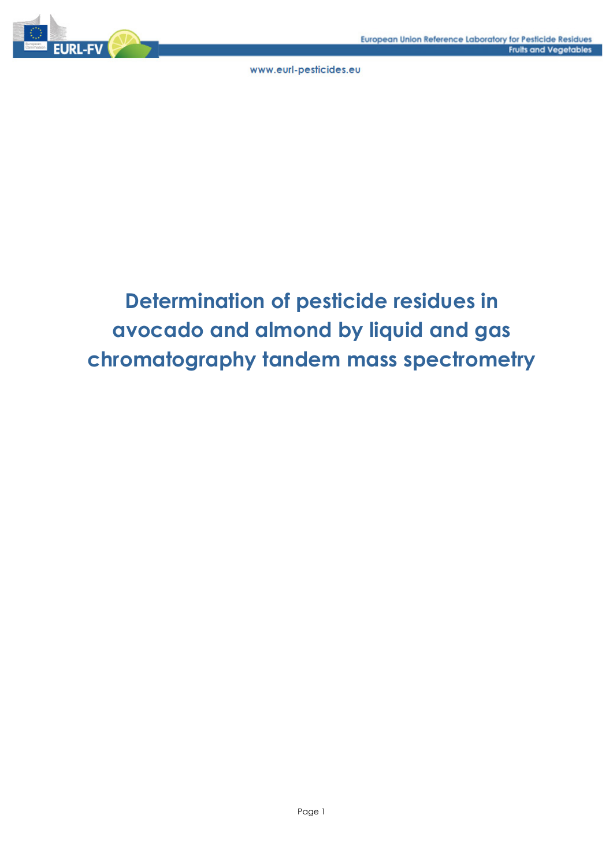

## **Determination of pesticide residues in avocado and almond by liquid and gas chromatography tandem mass spectrometry**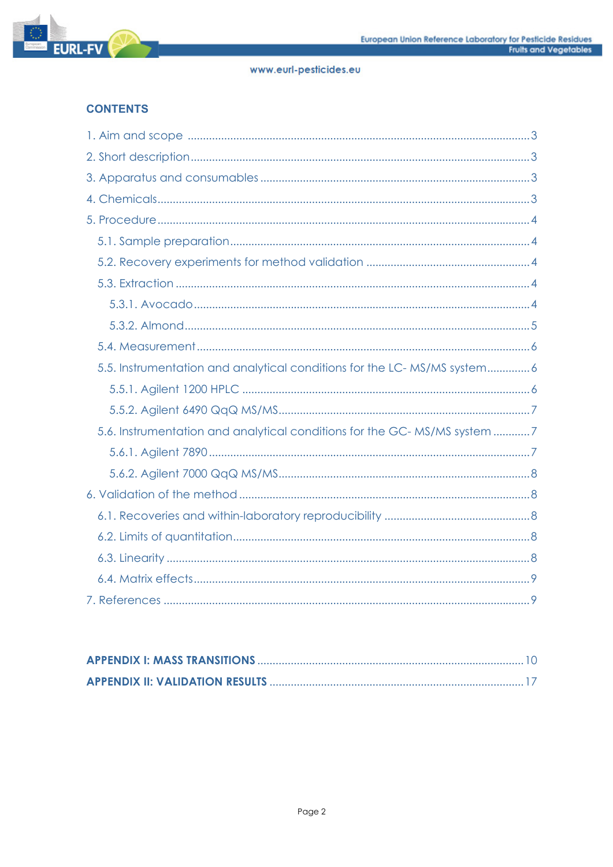

## **CONTENTS**

| 5.5. Instrumentation and analytical conditions for the LC-MS/MS system6  |
|--------------------------------------------------------------------------|
|                                                                          |
|                                                                          |
| 5.6. Instrumentation and analytical conditions for the GC-MS/MS system 7 |
|                                                                          |
|                                                                          |
|                                                                          |
|                                                                          |
|                                                                          |
|                                                                          |
|                                                                          |
|                                                                          |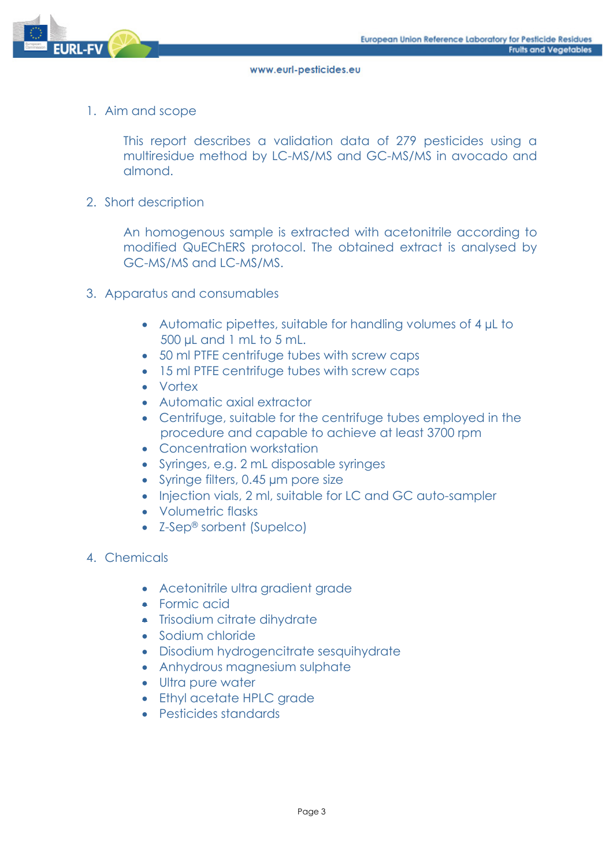

1. Aim and scope

This report describes a validation data of 279 pesticides using a multiresidue method by LC-MS/MS and GC-MS/MS in avocado and almond.

2. Short description

An homogenous sample is extracted with acetonitrile according to modified QuEChERS protocol. The obtained extract is analysed by GC-MS/MS and LC-MS/MS.

- 3. Apparatus and consumables
	- Automatic pipettes, suitable for handling volumes of 4 µL to 500 µL and 1 mL to 5 mL.
	- 50 ml PTFE centrifuge tubes with screw caps
	- 15 ml PTFE centrifuge tubes with screw caps
	- Vortex
	- Automatic axial extractor
	- Centrifuge, suitable for the centrifuge tubes employed in the procedure and capable to achieve at least 3700 rpm
	- Concentration workstation
	- Syringes, e.g. 2 mL disposable syringes
	- Syringe filters, 0.45 µm pore size
	- Injection vials, 2 ml, suitable for LC and GC auto-sampler
	- Volumetric flasks
	- Z-Sep® sorbent (Supelco)
- 4. Chemicals
	- Acetonitrile ultra gradient grade
	- **•** Formic acid
	- Trisodium citrate dihydrate
	- Sodium chloride
	- Disodium hydrogencitrate sesquihydrate
	- Anhydrous magnesium sulphate
	- Ultra pure water
	- Ethyl acetate HPLC grade
	- Pesticides standards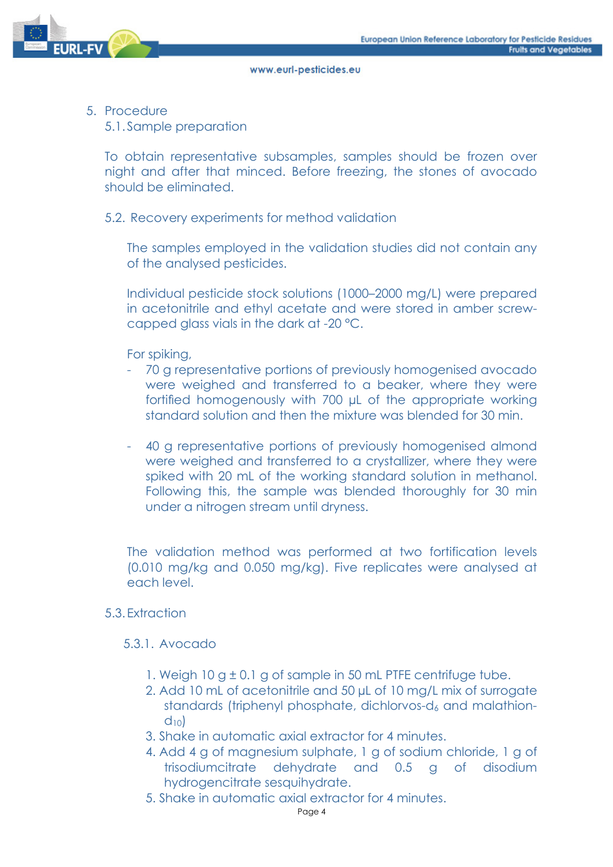

5. Procedure

5.1. Sample preparation

To obtain representative subsamples, samples should be frozen over night and after that minced. Before freezing, the stones of avocado should be eliminated.

## 5.2. Recovery experiments for method validation

The samples employed in the validation studies did not contain any of the analysed pesticides.

Individual pesticide stock solutions (1000–2000 mg/L) were prepared in acetonitrile and ethyl acetate and were stored in amber screwcapped glass vials in the dark at -20 °C.

For spiking,

- 70 g representative portions of previously homogenised avocado were weighed and transferred to a beaker, where they were fortified homogenously with 700 µL of the appropriate working standard solution and then the mixture was blended for 30 min.
- 40 g representative portions of previously homogenised almond were weighed and transferred to a crystallizer, where they were spiked with 20 mL of the working standard solution in methanol. Following this, the sample was blended thoroughly for 30 min under a nitrogen stream until dryness.

The validation method was performed at two fortification levels (0.010 mg/kg and 0.050 mg/kg). Five replicates were analysed at each level.

## 5.3. Extraction

## 5.3.1. Avocado

- 1. Weigh 10 g  $\pm$  0.1 g of sample in 50 mL PTFE centrifuge tube.
- 2. Add 10 mL of acetonitrile and 50 µL of 10 mg/L mix of surrogate standards (triphenyl phosphate, dichlorvos-d<sub>6</sub> and malathion $d_{10}$
- 3. Shake in automatic axial extractor for 4 minutes.
- 4. Add 4 g of magnesium sulphate, 1 g of sodium chloride, 1 g of trisodiumcitrate dehydrate and 0.5 g of disodium hydrogencitrate sesquihydrate.
- 5. Shake in automatic axial extractor for 4 minutes.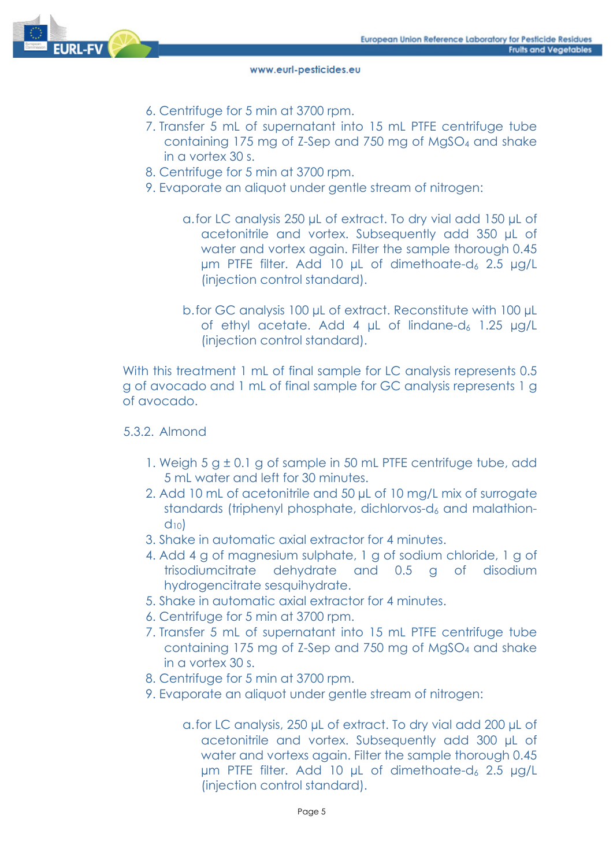

- 6. Centrifuge for 5 min at 3700 rpm.
- 7. Transfer 5 mL of supernatant into 15 mL PTFE centrifuge tube containing 175 mg of Z-Sep and 750 mg of MgSO4 and shake in a vortex 30 s.
- 8. Centrifuge for 5 min at 3700 rpm.
- 9. Evaporate an aliquot under gentle stream of nitrogen:
	- a.for LC analysis 250 µL of extract. To dry vial add 150 µL of acetonitrile and vortex. Subsequently add 350 µL of water and vortex again. Filter the sample thorough 0.45  $µm$  PTFE filter. Add 10  $µL$  of dimethoate-d<sub>6</sub> 2.5  $µg/L$ (injection control standard).
	- b.for GC analysis 100 µL of extract. Reconstitute with 100 µL of ethyl acetate. Add 4  $\mu$ L of lindane-d<sub>6</sub> 1.25  $\mu$ g/L (injection control standard).

With this treatment 1 mL of final sample for LC analysis represents 0.5 g of avocado and 1 mL of final sample for GC analysis represents 1 g of avocado.

## 5.3.2. Almond

- 1. Weigh  $5 g \pm 0.1 g$  of sample in 50 mL PTFE centrifuge tube, add 5 mL water and left for 30 minutes.
- 2. Add 10 mL of acetonitrile and 50 µL of 10 mg/L mix of surrogate standards (triphenyl phosphate, dichlorvos- $d_6$  and malathion $d_{10}$
- 3. Shake in automatic axial extractor for 4 minutes.
- 4. Add 4 g of magnesium sulphate, 1 g of sodium chloride, 1 g of trisodiumcitrate dehydrate and 0.5 g of disodium hydrogencitrate sesquihydrate.
- 5. Shake in automatic axial extractor for 4 minutes.
- 6. Centrifuge for 5 min at 3700 rpm.
- 7. Transfer 5 mL of supernatant into 15 mL PTFE centrifuge tube containing 175 mg of Z-Sep and 750 mg of MgSO4 and shake in a vortex 30 s.
- 8. Centrifuge for 5 min at 3700 rpm.
- 9. Evaporate an aliquot under gentle stream of nitrogen:
	- a.for LC analysis, 250 µL of extract. To dry vial add 200 µL of acetonitrile and vortex. Subsequently add 300 µL of water and vortexs again. Filter the sample thorough 0.45  $µm$  PTFE filter. Add 10  $µL$  of dimethoate-d<sub>6</sub> 2.5  $µg/L$ (injection control standard).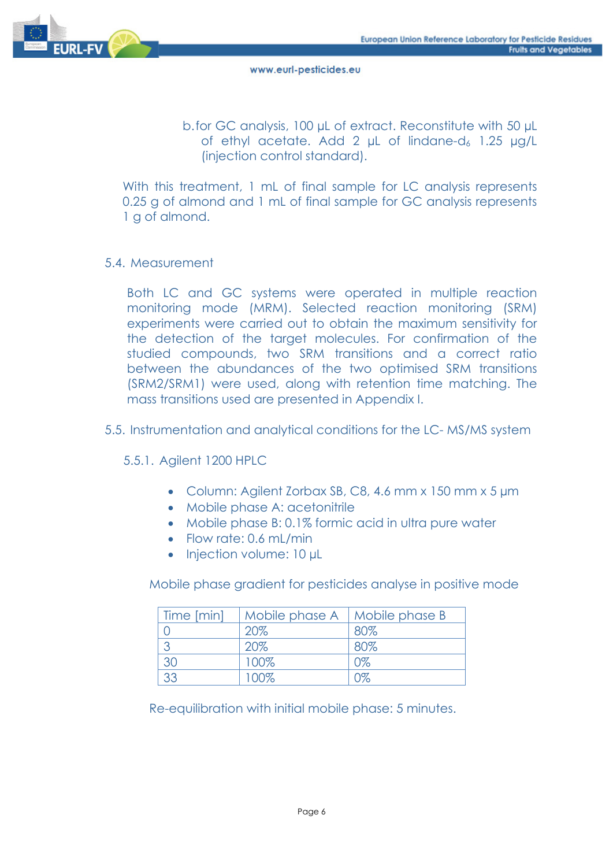

b.for GC analysis, 100 µL of extract. Reconstitute with 50 µL of ethyl acetate. Add 2 uL of lindane-d<sub>6</sub> 1.25 ug/L (injection control standard).

With this treatment, 1 mL of final sample for LC analysis represents 0.25 g of almond and 1 mL of final sample for GC analysis represents 1 g of almond.

## 5.4. Measurement

Both LC and GC systems were operated in multiple reaction monitoring mode (MRM). Selected reaction monitoring (SRM) experiments were carried out to obtain the maximum sensitivity for the detection of the target molecules. For confirmation of the studied compounds, two SRM transitions and a correct ratio between the abundances of the two optimised SRM transitions (SRM2/SRM1) were used, along with retention time matching. The mass transitions used are presented in Appendix I.

## 5.5. Instrumentation and analytical conditions for the LC- MS/MS system

## 5.5.1. Agilent 1200 HPLC

- Column: Agilent Zorbax SB, C8, 4.6 mm x 150 mm x 5 µm
- Mobile phase A: acetonitrile
- Mobile phase B: 0.1% formic acid in ultra pure water
- Flow rate: 0.6 mL/min
- Injection volume: 10 µL

Mobile phase gradient for pesticides analyse in positive mode

| Time [min] | Mobile phase A | Mobile phase B |
|------------|----------------|----------------|
|            | 20%            | 80%            |
|            | 20%            | 80%            |
| 30         | 100%           | 0%             |
| 33         | 100%           |                |

Re-equilibration with initial mobile phase: 5 minutes.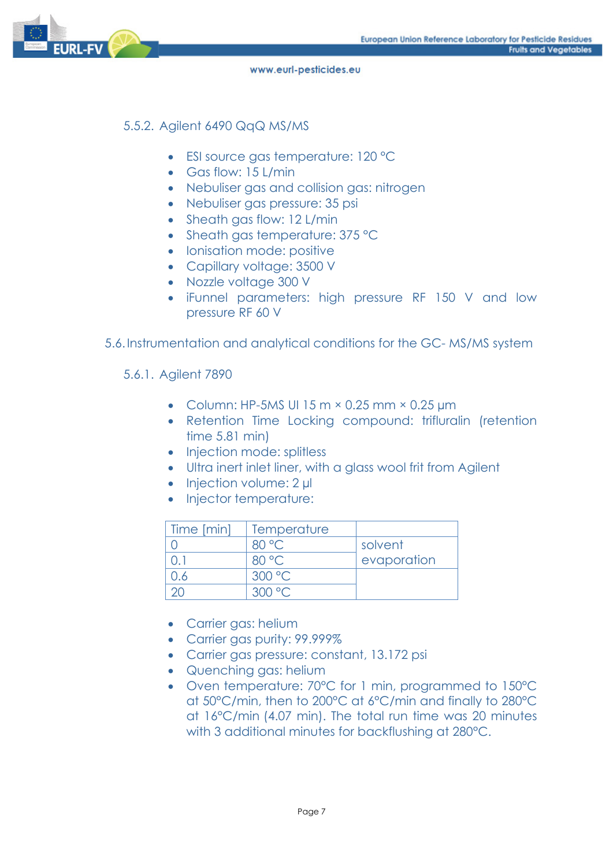

## 5.5.2. Agilent 6490 QqQ MS/MS

- ESI source gas temperature: 120 °C
- Gas flow: 15 L/min
- Nebuliser gas and collision gas: nitrogen
- Nebuliser gas pressure: 35 psi
- Sheath gas flow: 12 L/min
- Sheath gas temperature: 375 °C
- Ionisation mode: positive
- Capillary voltage: 3500 V
- Nozzle voltage 300 V
- iFunnel parameters: high pressure RF 150 V and low pressure RF 60 V
- 5.6.Instrumentation and analytical conditions for the GC- MS/MS system
	- 5.6.1. Agilent 7890
		- Column: HP-5MS UI 15 m  $\times$  0.25 mm  $\times$  0.25 µm
		- Retention Time Locking compound: trifluralin (retention time 5.81 min)
		- Injection mode: splitless
		- Ultra inert inlet liner, with a glass wool frit from Agilent
		- $\bullet$  Injection volume: 2 µl
		- Injector temperature:

| Time [min] | Temperature |             |
|------------|-------------|-------------|
|            | 80 °C       | solvent     |
|            | 80 °C       | evaporation |
| ۱.6        | 300 °C      |             |
|            | ാ∪∪ ാ       |             |

- Carrier gas: helium
- Carrier gas purity: 99.999%
- Carrier gas pressure: constant, 13.172 psi
- Quenching gas: helium
- Oven temperature: 70°C for 1 min, programmed to 150°C at 50°C/min, then to 200°C at 6°C/min and finally to 280°C at 16°C/min (4.07 min). The total run time was 20 minutes with 3 additional minutes for backflushing at 280°C.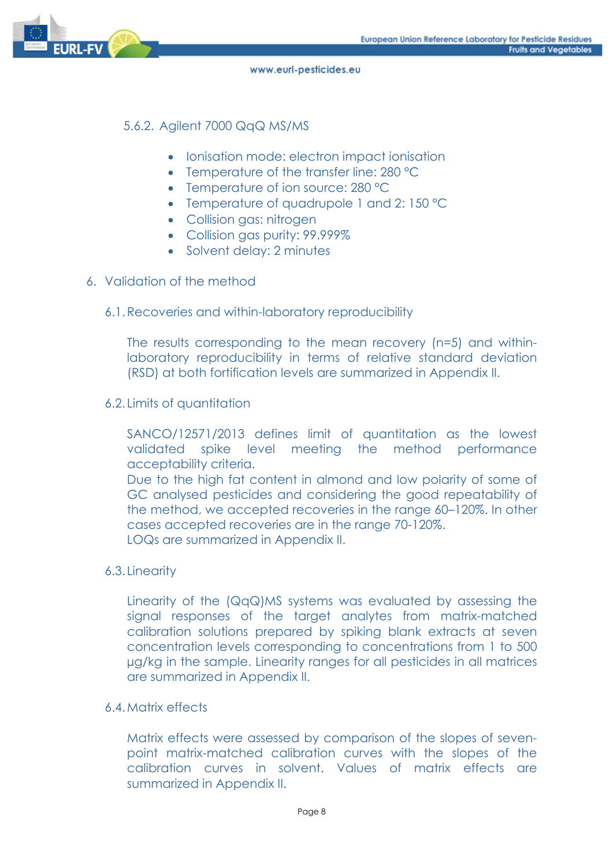

## 5.6.2. Agilent 7000 QqQ MS/MS

- Ionisation mode: electron impact ionisation
- Temperature of the transfer line: 280 °C
- Temperature of ion source: 280 °C
- Temperature of quadrupole 1 and 2: 150 °C
- Collision gas: nitrogen
- Collision gas purity: 99.999%
- Solvent delay: 2 minutes

## 6. Validation of the method

#### 6.1.Recoveries and within-laboratory reproducibility

The results corresponding to the mean recovery (n=5) and withinlaboratory reproducibility in terms of relative standard deviation (RSD) at both fortification levels are summarized in Appendix II.

#### 6.2. Limits of quantitation

SANCO/12571/2013 defines limit of quantitation as the lowest validated spike level meeting the method performance acceptability criteria.

Due to the high fat content in almond and low polarity of some of GC analysed pesticides and considering the good repeatability of the method, we accepted recoveries in the range 60–120%. In other cases accepted recoveries are in the range 70-120%. LOQs are summarized in Appendix II.

## 6.3. Linearity

Linearity of the (QqQ)MS systems was evaluated by assessing the signal responses of the target analytes from matrix-matched calibration solutions prepared by spiking blank extracts at seven concentration levels corresponding to concentrations from 1 to 500 µg/kg in the sample. Linearity ranges for all pesticides in all matrices are summarized in Appendix II.

#### 6.4.Matrix effects

Matrix effects were assessed by comparison of the slopes of sevenpoint matrix-matched calibration curves with the slopes of the calibration curves in solvent. Values of matrix effects are summarized in Appendix II.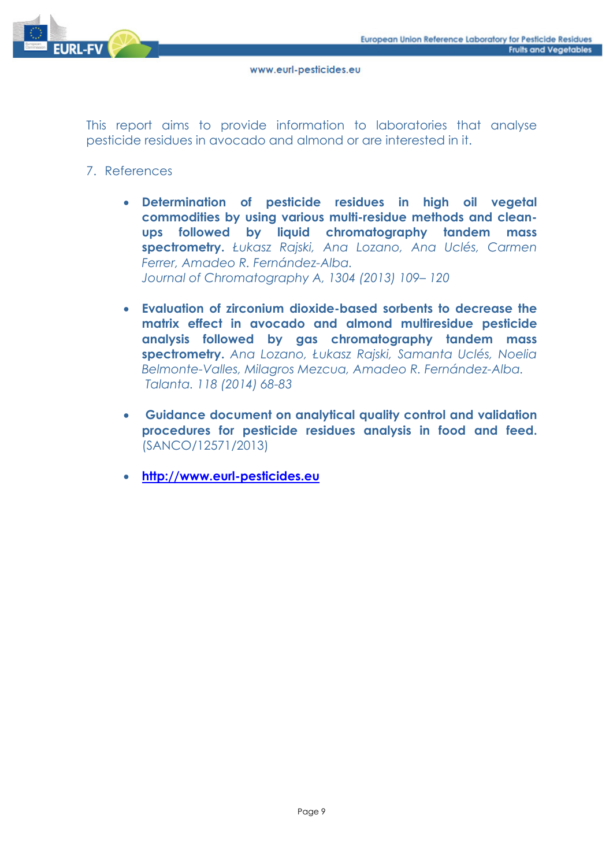

This report aims to provide information to laboratories that analyse pesticide residues in avocado and almond or are interested in it.

- 7. References
	- **Determination of pesticide residues in high oil vegetal commodities by using various multi-residue methods and cleanups followed by liquid chromatography tandem mass spectrometry.** *Łukasz Rajski, Ana Lozano, Ana Uclés, Carmen Ferrer, Amadeo R. Fernández-Alba. Journal of Chromatography A, 1304 (2013) 109– 120*
	- **Evaluation of zirconium dioxide-based sorbents to decrease the matrix effect in avocado and almond multiresidue pesticide analysis followed by gas chromatography tandem mass spectrometry.** *Ana Lozano, Łukasz Rajski, Samanta Uclés, Noelia Belmonte-Valles, Milagros Mezcua, Amadeo R. Fernández-Alba. Talanta. 118 (2014) 68-83*
	- **Guidance document on analytical quality control and validation procedures for pesticide residues analysis in food and feed.**  (SANCO/12571/2013)
	- **http://www.eurl-pesticides.eu**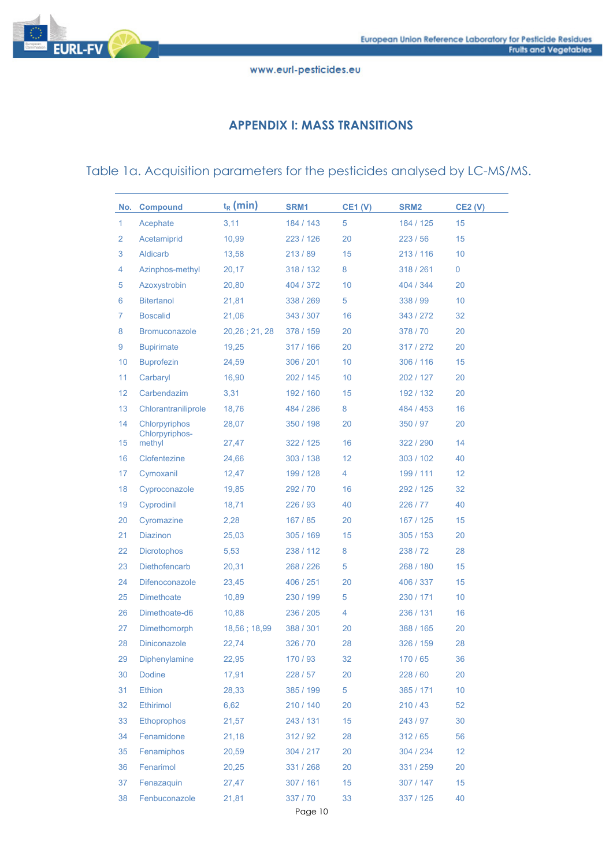

## **APPENDIX I: MASS TRANSITIONS**

## Table 1a. Acquisition parameters for the pesticides analysed by LC-MS/MS.

| No. | <b>Compound</b>          | $t_R$ (min)      | SRM <sub>1</sub> | <b>CE1 (V)</b> | SRM <sub>2</sub> | <b>CE2 (V)</b> |
|-----|--------------------------|------------------|------------------|----------------|------------------|----------------|
| 1   | Acephate                 | 3,11             | 184 / 143        | 5              | 184 / 125        | 15             |
| 2   | Acetamiprid              | 10,99            | 223 / 126        | 20             | 223/56           | 15             |
| 3   | Aldicarb                 | 13,58            | 213/89           | 15             | 213/116          | 10             |
| 4   | Azinphos-methyl          | 20,17            | 318 / 132        | 8              | 318 / 261        | 0              |
| 5   | Azoxystrobin             | 20,80            | 404 / 372        | 10             | 404 / 344        | 20             |
| 6   | <b>Bitertanol</b>        | 21,81            | 338 / 269        | 5              | 338 / 99         | 10             |
| 7   | <b>Boscalid</b>          | 21,06            | 343 / 307        | 16             | 343 / 272        | 32             |
| 8   | <b>Bromuconazole</b>     | $20,26$ ; 21, 28 | 378 / 159        | 20             | 378/70           | 20             |
| 9   | <b>Bupirimate</b>        | 19,25            | 317 / 166        | 20             | 317 / 272        | 20             |
| 10  | <b>Buprofezin</b>        | 24,59            | 306 / 201        | 10             | 306 / 116        | 15             |
| 11  | Carbaryl                 | 16,90            | 202 / 145        | 10             | 202 / 127        | 20             |
| 12  | Carbendazim              | 3,31             | 192 / 160        | 15             | 192 / 132        | 20             |
| 13  | Chlorantraniliprole      | 18,76            | 484 / 286        | 8              | 484 / 453        | 16             |
| 14  | Chlorpyriphos            | 28,07            | 350 / 198        | 20             | 350 / 97         | 20             |
| 15  | Chlorpyriphos-<br>methyl | 27,47            | 322 / 125        | 16             | 322 / 290        | 14             |
| 16  | Clofentezine             | 24,66            | 303 / 138        | 12             | 303 / 102        | 40             |
| 17  | Cymoxanil                | 12,47            | 199 / 128        | 4              | 199 / 111        | 12             |
| 18  | Cyproconazole            | 19,85            | 292/70           | 16             | 292 / 125        | 32             |
| 19  | Cyprodinil               | 18,71            | 226/93           | 40             | 226 / 77         | 40             |
| 20  | Cyromazine               | 2,28             | 167 / 85         | 20             | 167 / 125        | 15             |
| 21  | <b>Diazinon</b>          | 25,03            | 305 / 169        | 15             | 305/153          | 20             |
| 22  | <b>Dicrotophos</b>       | 5,53             | 238 / 112        | 8              | 238 / 72         | 28             |
| 23  | Diethofencarb            | 20,31            | 268 / 226        | 5              | 268 / 180        | 15             |
| 24  | Difenoconazole           | 23,45            | 406 / 251        | 20             | 406 / 337        | 15             |
| 25  | <b>Dimethoate</b>        | 10,89            | 230 / 199        | 5              | 230 / 171        | 10             |
| 26  | Dimethoate-d6            | 10,88            | 236 / 205        | 4              | 236 / 131        | 16             |
| 27  | Dimethomorph             | 18,56 : 18,99    | 388 / 301        | 20             | 388 / 165        | 20             |
| 28  | <b>Diniconazole</b>      | 22,74            | 326 / 70         | 28             | 326 / 159        | 28             |
| 29  | Diphenylamine            | 22,95            | 170 / 93         | 32             | 170 / 65         | 36             |
| 30  | <b>Dodine</b>            | 17,91            | 228 / 57         | 20             | 228/60           | 20             |
| 31  | <b>Ethion</b>            | 28,33            | 385 / 199        | 5              | 385 / 171        | 10             |
| 32  | <b>Ethirimol</b>         | 6,62             | 210 / 140        | 20             | 210/43           | 52             |
| 33  | <b>Ethoprophos</b>       | 21,57            | 243 / 131        | 15             | 243 / 97         | 30             |
| 34  | Fenamidone               | 21,18            | 312/92           | 28             | 312/65           | 56             |
| 35  | Fenamiphos               | 20,59            | 304 / 217        | 20             | 304 / 234        | 12             |
| 36  | Fenarimol                | 20,25            | 331 / 268        | 20             | 331 / 259        | 20             |
| 37  | Fenazaquin               | 27,47            | 307 / 161        | 15             | 307 / 147        | 15             |
| 38  | Fenbuconazole            | 21,81            | 337 / 70         | 33             | 337 / 125        | 40             |
|     |                          |                  | Page 10          |                |                  |                |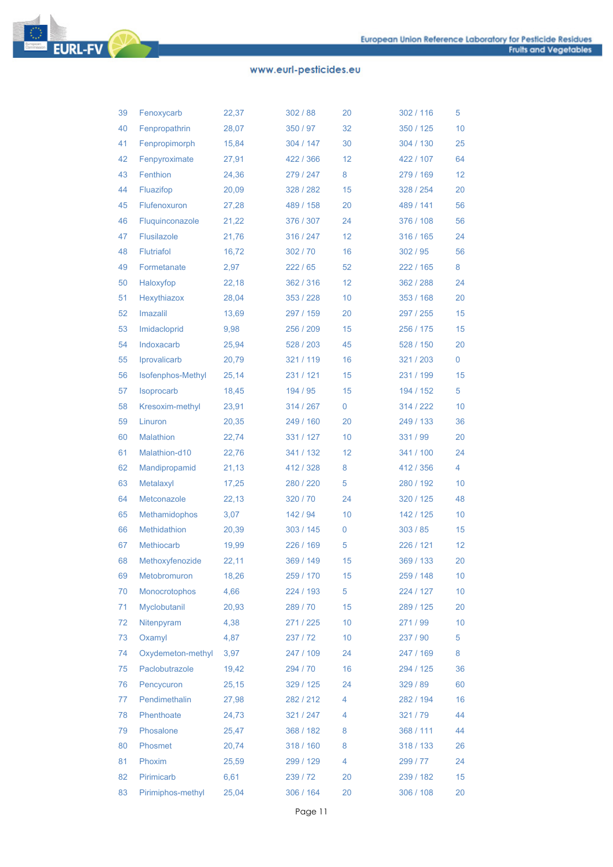

| 39 | Fenoxycarb           | 22,37 | 302/88    | 20          | 302 / 116 | 5  |
|----|----------------------|-------|-----------|-------------|-----------|----|
| 40 | Fenpropathrin        | 28,07 | 350 / 97  | 32          | 350 / 125 | 10 |
| 41 | Fenpropimorph        | 15,84 | 304 / 147 | 30          | 304 / 130 | 25 |
| 42 | Fenpyroximate        | 27,91 | 422 / 366 | 12          | 422 / 107 | 64 |
| 43 | Fenthion             | 24,36 | 279 / 247 | 8           | 279 / 169 | 12 |
| 44 | Fluazifop            | 20,09 | 328 / 282 | 15          | 328 / 254 | 20 |
| 45 | Flufenoxuron         | 27,28 | 489 / 158 | 20          | 489 / 141 | 56 |
| 46 | Fluquinconazole      | 21,22 | 376 / 307 | 24          | 376 / 108 | 56 |
| 47 | <b>Flusilazole</b>   | 21,76 | 316 / 247 | 12          | 316 / 165 | 24 |
| 48 | <b>Flutriafol</b>    | 16,72 | 302/70    | 16          | 302/95    | 56 |
| 49 | Formetanate          | 2,97  | 222/65    | 52          | 222 / 165 | 8  |
| 50 | Haloxyfop            | 22,18 | 362 / 316 | 12          | 362 / 288 | 24 |
| 51 | Hexythiazox          | 28,04 | 353 / 228 | 10          | 353 / 168 | 20 |
| 52 | Imazalil             | 13,69 | 297 / 159 | 20          | 297 / 255 | 15 |
| 53 | Imidacloprid         | 9,98  | 256 / 209 | 15          | 256 / 175 | 15 |
| 54 | Indoxacarb           | 25,94 | 528 / 203 | 45          | 528 / 150 | 20 |
| 55 | Iprovalicarb         | 20,79 | 321 / 119 | 16          | 321/203   | 0  |
| 56 | Isofenphos-Methyl    | 25,14 | 231 / 121 | 15          | 231 / 199 | 15 |
| 57 | <b>Isoprocarb</b>    | 18,45 | 194 / 95  | 15          | 194 / 152 | 5  |
| 58 | Kresoxim-methyl      | 23,91 | 314 / 267 | $\mathbf 0$ | 314 / 222 | 10 |
| 59 | Linuron              | 20,35 | 249 / 160 | 20          | 249 / 133 | 36 |
| 60 | <b>Malathion</b>     | 22,74 | 331 / 127 | 10          | 331 / 99  | 20 |
| 61 | Malathion-d10        | 22,76 | 341 / 132 | 12          | 341 / 100 | 24 |
| 62 | Mandipropamid        | 21,13 | 412/328   | 8           | 412 / 356 | 4  |
| 63 | Metalaxyl            | 17,25 | 280 / 220 | 5           | 280 / 192 | 10 |
| 64 | Metconazole          | 22,13 | 320/70    | 24          | 320 / 125 | 48 |
| 65 | <b>Methamidophos</b> | 3,07  | 142 / 94  | 10          | 142 / 125 | 10 |
| 66 | Methidathion         | 20,39 | 303 / 145 | 0           | 303/85    | 15 |
| 67 | <b>Methiocarb</b>    | 19,99 | 226 / 169 | 5           | 226 / 121 | 12 |
| 68 | Methoxyfenozide      | 22,11 | 369 / 149 | 15          | 369 / 133 | 20 |
| 69 | Metobromuron         | 18,26 | 259 / 170 | 15          | 259 / 148 | 10 |
| 70 | Monocrotophos        | 4,66  | 224 / 193 | 5           | 224 / 127 | 10 |
| 71 | Myclobutanil         | 20,93 | 289 / 70  | 15          | 289 / 125 | 20 |
| 72 | Nitenpyram           | 4,38  | 271 / 225 | 10          | 271/99    | 10 |
| 73 | Oxamyl               | 4,87  | 237/72    | 10          | 237 / 90  | 5  |
| 74 | Oxydemeton-methyl    | 3,97  | 247 / 109 | 24          | 247 / 169 | 8  |
| 75 | Paclobutrazole       | 19,42 | 294 / 70  | 16          | 294 / 125 | 36 |
| 76 | Pencycuron           | 25,15 | 329 / 125 | 24          | 329 / 89  | 60 |
| 77 | Pendimethalin        | 27,98 | 282 / 212 | 4           | 282 / 194 | 16 |
| 78 | Phenthoate           | 24,73 | 321 / 247 | 4           | 321/79    | 44 |
| 79 | Phosalone            | 25,47 | 368 / 182 | 8           | 368 / 111 | 44 |
| 80 | Phosmet              | 20,74 | 318 / 160 | 8           | 318 / 133 | 26 |
| 81 | Phoxim               | 25,59 | 299 / 129 | 4           | 299 / 77  | 24 |
| 82 | Pirimicarb           | 6,61  | 239 / 72  | 20          | 239 / 182 | 15 |
| 83 | Pirimiphos-methyl    | 25,04 | 306 / 164 | 20          | 306 / 108 | 20 |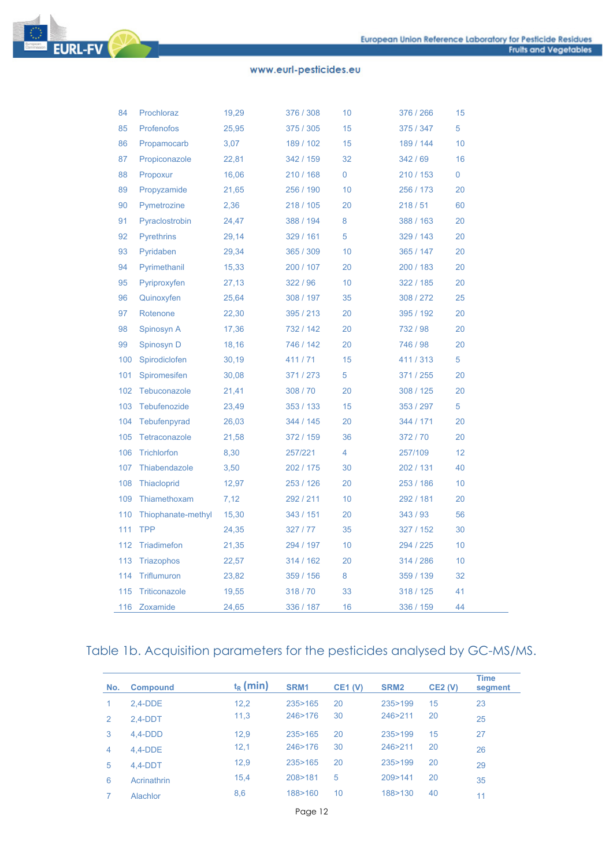

| 84  | Prochloraz         | 19,29 | 376 / 308 | 10 | 376 / 266 | 15              |
|-----|--------------------|-------|-----------|----|-----------|-----------------|
| 85  | <b>Profenofos</b>  | 25,95 | 375 / 305 | 15 | 375 / 347 | 5               |
| 86  | Propamocarb        | 3,07  | 189 / 102 | 15 | 189 / 144 | 10              |
| 87  | Propiconazole      | 22,81 | 342 / 159 | 32 | 342/69    | 16              |
| 88  | Propoxur           | 16,06 | 210 / 168 | 0  | 210 / 153 | 0               |
| 89  | Propyzamide        | 21,65 | 256 / 190 | 10 | 256 / 173 | 20              |
| 90  | Pymetrozine        | 2,36  | 218 / 105 | 20 | 218/51    | 60              |
| 91  | Pyraclostrobin     | 24,47 | 388 / 194 | 8  | 388 / 163 | 20              |
| 92  | <b>Pyrethrins</b>  | 29,14 | 329 / 161 | 5  | 329 / 143 | 20              |
| 93  | Pyridaben          | 29,34 | 365 / 309 | 10 | 365 / 147 | 20              |
| 94  | Pyrimethanil       | 15,33 | 200 / 107 | 20 | 200 / 183 | 20              |
| 95  | Pyriproxyfen       | 27,13 | 322 / 96  | 10 | 322 / 185 | 20              |
| 96  | Quinoxyfen         | 25,64 | 308 / 197 | 35 | 308 / 272 | 25              |
| 97  | Rotenone           | 22,30 | 395 / 213 | 20 | 395 / 192 | 20              |
| 98  | Spinosyn A         | 17,36 | 732 / 142 | 20 | 732 / 98  | 20              |
| 99  | Spinosyn D         | 18,16 | 746 / 142 | 20 | 746 / 98  | 20              |
| 100 | Spirodiclofen      | 30,19 | 411/71    | 15 | 411/313   | 5               |
| 101 | Spiromesifen       | 30,08 | 371/273   | 5  | 371 / 255 | 20              |
| 102 | Tebuconazole       | 21,41 | 308/70    | 20 | 308 / 125 | 20              |
| 103 | Tebufenozide       | 23,49 | 353 / 133 | 15 | 353 / 297 | 5               |
| 104 | Tebufenpyrad       | 26,03 | 344 / 145 | 20 | 344 / 171 | 20              |
| 105 | Tetraconazole      | 21,58 | 372 / 159 | 36 | 372/70    | 20              |
| 106 | <b>Trichlorfon</b> | 8,30  | 257/221   | 4  | 257/109   | 12              |
| 107 | Thiabendazole      | 3,50  | 202 / 175 | 30 | 202 / 131 | 40              |
| 108 | Thiacloprid        | 12,97 | 253 / 126 | 20 | 253 / 186 | 10              |
| 109 | Thiamethoxam       | 7,12  | 292/211   | 10 | 292 / 181 | 20              |
| 110 | Thiophanate-methyl | 15,30 | 343 / 151 | 20 | 343 / 93  | 56              |
| 111 | <b>TPP</b>         | 24,35 | 327/77    | 35 | 327 / 152 | 30              |
| 112 | Triadimefon        | 21,35 | 294 / 197 | 10 | 294 / 225 | 10              |
| 113 | <b>Triazophos</b>  | 22,57 | 314 / 162 | 20 | 314 / 286 | 10 <sup>1</sup> |
| 114 | <b>Triflumuron</b> | 23,82 | 359 / 156 | 8  | 359 / 139 | 32              |
| 115 | Triticonazole      | 19,55 | 318/70    | 33 | 318 / 125 | 41              |
| 116 | Zoxamide           | 24,65 | 336 / 187 | 16 | 336 / 159 | 44              |

## Table 1b. Acquisition parameters for the pesticides analysed by GC-MS/MS.

| No. | <b>Compound</b> | $t_{R}$ (min) | SRM <sub>1</sub> | <b>CE1 (V)</b> | SRM <sub>2</sub> | <b>CE2 (V)</b> | <b>Time</b><br>segment |
|-----|-----------------|---------------|------------------|----------------|------------------|----------------|------------------------|
| 1   | $2.4-DDE$       | 12,2          | 235>165          | 20             | 235>199          | 15             | 23                     |
| 2   | $2.4-DDT$       | 11,3          | 246>176          | 30             | 246>211          | 20             | 25                     |
| 3   | $4.4-DDD$       | 12.9          | 235>165          | 20             | 235>199          | 15             | 27                     |
| 4   | $4.4-DDE$       | 12,1          | 246>176          | 30             | 246>211          | 20             | 26                     |
| 5   | $4.4-DDT$       | 12,9          | 235 > 165        | 20             | 235>199          | 20             | 29                     |
| 6   | Acrinathrin     | 15,4          | 208>181          | 5              | 209 > 141        | 20             | 35                     |
|     | Alachlor        | 8,6           | 188>160          | 10             | 188>130          | 40             | 11                     |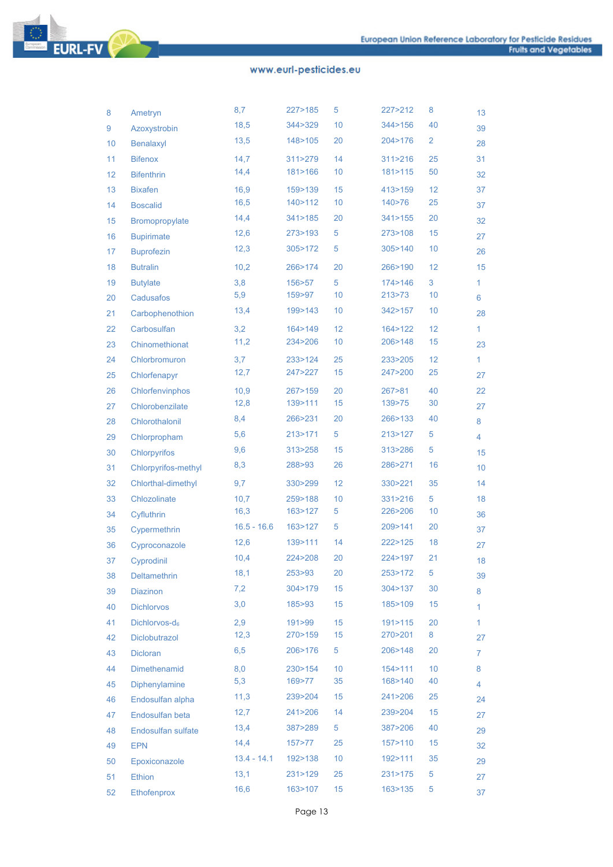**EURL-FV** 

| 8  | Ametryn                   | 8,7           | 227>185   | 5  | 227>212   | 8  | 13 |
|----|---------------------------|---------------|-----------|----|-----------|----|----|
| 9  | Azoxystrobin              | 18,5          | 344>329   | 10 | 344 > 156 | 40 | 39 |
| 10 | Benalaxyl                 | 13,5          | 148>105   | 20 | 204>176   | 2  | 28 |
| 11 | <b>Bifenox</b>            | 14,7          | 311 > 279 | 14 | 311 > 216 | 25 | 31 |
| 12 | <b>Bifenthrin</b>         | 14,4          | 181>166   | 10 | 181>115   | 50 | 32 |
| 13 | <b>Bixafen</b>            | 16,9          | 159>139   | 15 | 413>159   | 12 | 37 |
| 14 | <b>Boscalid</b>           | 16,5          | 140>112   | 10 | 140>76    | 25 | 37 |
| 15 | Bromopropylate            | 14,4          | 341 > 185 | 20 | 341 > 155 | 20 | 32 |
| 16 | <b>Bupirimate</b>         | 12,6          | 273>193   | 5  | 273>108   | 15 | 27 |
| 17 | <b>Buprofezin</b>         | 12,3          | 305>172   | 5  | 305>140   | 10 | 26 |
| 18 | <b>Butralin</b>           | 10,2          | 266>174   | 20 | 266>190   | 12 | 15 |
| 19 | <b>Butylate</b>           | 3,8           | 156>57    | 5  | 174>146   | 3  | 1  |
| 20 | Cadusafos                 | 5,9           | 159>97    | 10 | 213>73    | 10 | 6  |
| 21 | Carbophenothion           | 13,4          | 199>143   | 10 | 342>157   | 10 | 28 |
| 22 | Carbosulfan               | 3,2           | 164 > 149 | 12 | 164>122   | 12 | 1  |
| 23 | Chinomethionat            | 11,2          | 234>206   | 10 | 206>148   | 15 | 23 |
| 24 | Chlorbromuron             | 3,7           | 233>124   | 25 | 233>205   | 12 | 1  |
| 25 | Chlorfenapyr              | 12,7          | 247>227   | 15 | 247>200   | 25 | 27 |
| 26 | Chlorfenvinphos           | 10,9          | 267>159   | 20 | 267 > 81  | 40 | 22 |
| 27 | Chlorobenzilate           | 12,8          | 139>111   | 15 | 139>75    | 30 | 27 |
| 28 | Chlorothalonil            | 8,4           | 266>231   | 20 | 266>133   | 40 | 8  |
| 29 | Chlorpropham              | 5,6           | 213 > 171 | 5  | 213>127   | 5  | 4  |
| 30 | Chlorpyrifos              | 9,6           | 313>258   | 15 | 313>286   | 5  | 15 |
| 31 | Chlorpyrifos-methyl       | 8,3           | 288>93    | 26 | 286>271   | 16 | 10 |
| 32 | Chlorthal-dimethyl        | 9,7           | 330>299   | 12 | 330>221   | 35 | 14 |
| 33 | Chlozolinate              | 10,7          | 259>188   | 10 | 331 > 216 | 5  | 18 |
| 34 | Cyfluthrin                | 16,3          | 163>127   | 5  | 226>206   | 10 | 36 |
| 35 | Cypermethrin              | $16.5 - 16.6$ | 163>127   | 5  | 209>141   | 20 | 37 |
| 36 | Cyproconazole             | 12,6          | 139>111   | 14 | 222>125   | 18 | 27 |
| 37 | Cyprodinil                | 10,4          | 224>208   | 20 | 224>197   | 21 | 18 |
| 38 | Deltamethrin              | 18,1          | 253>93    | 20 | 253>172   | 5  | 39 |
| 39 | Diazinon                  | 7,2           | 304>179   | 15 | 304 > 137 | 30 | 8  |
| 40 | <b>Dichlorvos</b>         | 3,0           | 185>93    | 15 | 185>109   | 15 | 1  |
| 41 | Dichlorvos-d <sub>6</sub> | 2,9           | 191 > 99  | 15 | 191>115   | 20 | 1  |
| 42 | Diclobutrazol             | 12,3          | 270>159   | 15 | 270>201   | 8  | 27 |
| 43 | <b>Dicloran</b>           | 6,5           | 206>176   | 5  | 206>148   | 20 | 7  |
| 44 | Dimethenamid              | 8,0           | 230>154   | 10 | 154 > 111 | 10 | 8  |
| 45 | Diphenylamine             | 5,3           | 169>77    | 35 | 168>140   | 40 | 4  |
| 46 | Endosulfan alpha          | 11,3          | 239>204   | 15 | 241>206   | 25 | 24 |
| 47 | Endosulfan beta           | 12,7          | 241>206   | 14 | 239>204   | 15 | 27 |
| 48 | Endosulfan sulfate        | 13,4          | 387>289   | 5  | 387>206   | 40 | 29 |
| 49 | <b>EPN</b>                | 14,4          | 157 > 77  | 25 | 157>110   | 15 | 32 |
| 50 | Epoxiconazole             | $13.4 - 14.1$ | 192>138   | 10 | 192>111   | 35 | 29 |
| 51 | <b>Ethion</b>             | 13,1          | 231>129   | 25 | 231>175   | 5  | 27 |
| 52 | Ethofenprox               | 16,6          | 163>107   | 15 | 163>135   | 5  | 37 |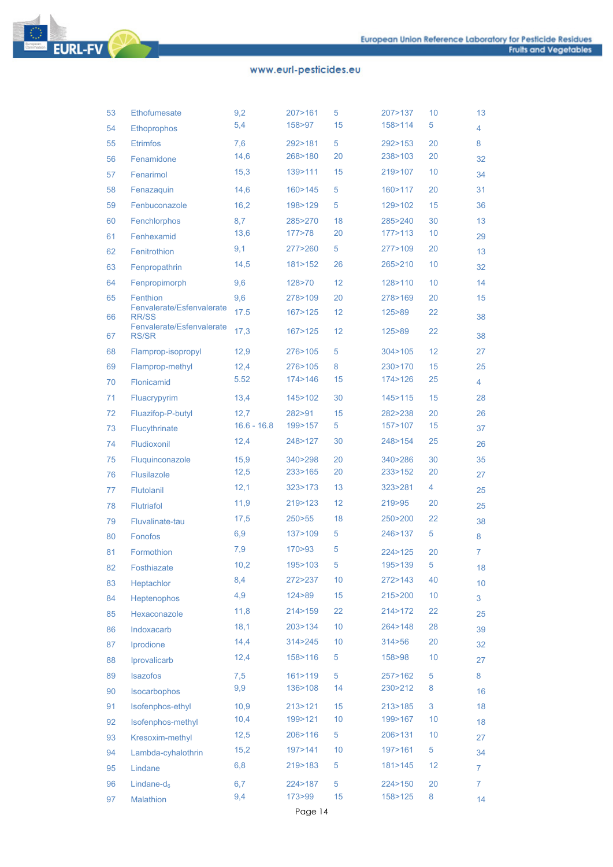

| 53 | <b>Ethofumesate</b>                       | 9,2           | 207>161   | 5  | 207>137   | 10 | 13 |
|----|-------------------------------------------|---------------|-----------|----|-----------|----|----|
| 54 | <b>Ethoprophos</b>                        | 5,4           | 158>97    | 15 | 158>114   | 5  | 4  |
| 55 | <b>Etrimfos</b>                           | 7,6           | 292>181   | 5  | 292>153   | 20 | 8  |
| 56 | Fenamidone                                | 14,6          | 268>180   | 20 | 238>103   | 20 | 32 |
| 57 | Fenarimol                                 | 15,3          | 139>111   | 15 | 219>107   | 10 | 34 |
| 58 | Fenazaquin                                | 14,6          | 160 > 145 | 5  | 160>117   | 20 | 31 |
| 59 | Fenbuconazole                             | 16,2          | 198>129   | 5  | 129>102   | 15 | 36 |
| 60 | Fenchlorphos                              | 8,7           | 285>270   | 18 | 285>240   | 30 | 13 |
| 61 | Fenhexamid                                | 13,6          | 177>78    | 20 | 177>113   | 10 | 29 |
| 62 | Fenitrothion                              | 9,1           | 277>260   | 5  | 277 > 109 | 20 | 13 |
| 63 | Fenpropathrin                             | 14,5          | 181>152   | 26 | 265>210   | 10 | 32 |
| 64 | Fenpropimorph                             | 9,6           | 128>70    | 12 | 128>110   | 10 | 14 |
| 65 | Fenthion                                  | 9,6           | 278>109   | 20 | 278>169   | 20 | 15 |
| 66 | Fenvalerate/Esfenvalerate<br><b>RR/SS</b> | 17.5          | 167>125   | 12 | 125>89    | 22 | 38 |
| 67 | Fenvalerate/Esfenvalerate<br><b>RS/SR</b> | 17,3          | 167>125   | 12 | 125>89    | 22 | 38 |
| 68 | Flamprop-isopropyl                        | 12,9          | 276>105   | 5  | 304 > 105 | 12 | 27 |
| 69 | Flamprop-methyl                           | 12,4          | 276>105   | 8  | 230>170   | 15 | 25 |
| 70 | Flonicamid                                | 5.52          | 174 > 146 | 15 | 174>126   | 25 | 4  |
| 71 | Fluacrypyrim                              | 13,4          | 145>102   | 30 | 145>115   | 15 | 28 |
| 72 | Fluazifop-P-butyl                         | 12,7          | 282>91    | 15 | 282>238   | 20 | 26 |
| 73 | Flucythrinate                             | $16.6 - 16.8$ | 199>157   | 5  | 157>107   | 15 | 37 |
| 74 | Fludioxonil                               | 12,4          | 248>127   | 30 | 248>154   | 25 | 26 |
| 75 | Fluquinconazole                           | 15,9          | 340>298   | 20 | 340>286   | 30 | 35 |
| 76 | <b>Flusilazole</b>                        | 12,5          | 233>165   | 20 | 233>152   | 20 | 27 |
| 77 | Flutolanil                                | 12,1          | 323>173   | 13 | 323>281   | 4  | 25 |
| 78 | <b>Flutriafol</b>                         | 11,9          | 219>123   | 12 | 219>95    | 20 | 25 |
| 79 | Fluvalinate-tau                           | 17,5          | 250 > 55  | 18 | 250>200   | 22 | 38 |
| 80 | Fonofos                                   | 6,9           | 137>109   | 5  | 246>137   | 5  | 8  |
| 81 | Formothion                                | 7,9           | 170>93    | 5  | 224>125   | 20 | 7  |
| 82 | Fosthiazate                               | 10,2          | 195>103   | 5  | 195>139   | 5  | 18 |
| 83 | Heptachlor                                | 8,4           | 272>237   | 10 | 272>143   | 40 | 10 |
| 84 | <b>Heptenophos</b>                        | 4,9           | 124 > 89  | 15 | 215>200   | 10 | 3  |
| 85 | Hexaconazole                              | 11,8          | 214 > 159 | 22 | 214>172   | 22 | 25 |
| 86 | Indoxacarb                                | 18,1          | 203>134   | 10 | 264>148   | 28 | 39 |
| 87 | Iprodione                                 | 14,4          | 314>245   | 10 | 314 > 56  | 20 | 32 |
| 88 | Iprovalicarb                              | 12,4          | 158>116   | 5  | 158>98    | 10 | 27 |
| 89 | Isazofos                                  | 7,5           | 161 > 119 | 5  | 257>162   | 5  | 8  |
| 90 | Isocarbophos                              | 9,9           | 136>108   | 14 | 230>212   | 8  | 16 |
| 91 | Isofenphos-ethyl                          | 10,9          | 213>121   | 15 | 213>185   | 3  | 18 |
| 92 | Isofenphos-methyl                         | 10,4          | 199>121   | 10 | 199>167   | 10 | 18 |
| 93 | Kresoxim-methyl                           | 12,5          | 206>116   | 5  | 206>131   | 10 | 27 |
| 94 | Lambda-cyhalothrin                        | 15,2          | 197>141   | 10 | 197>161   | 5  | 34 |
| 95 | Lindane                                   | 6,8           | 219>183   | 5  | 181 > 145 | 12 | 7  |
| 96 | Lindane- $d_6$                            | 6,7           | 224>187   | 5  | 224>150   | 20 | 7. |
| 97 | Malathion                                 | 9,4           | 173>99    | 15 | 158>125   | 8  | 14 |
|    |                                           |               |           |    |           |    |    |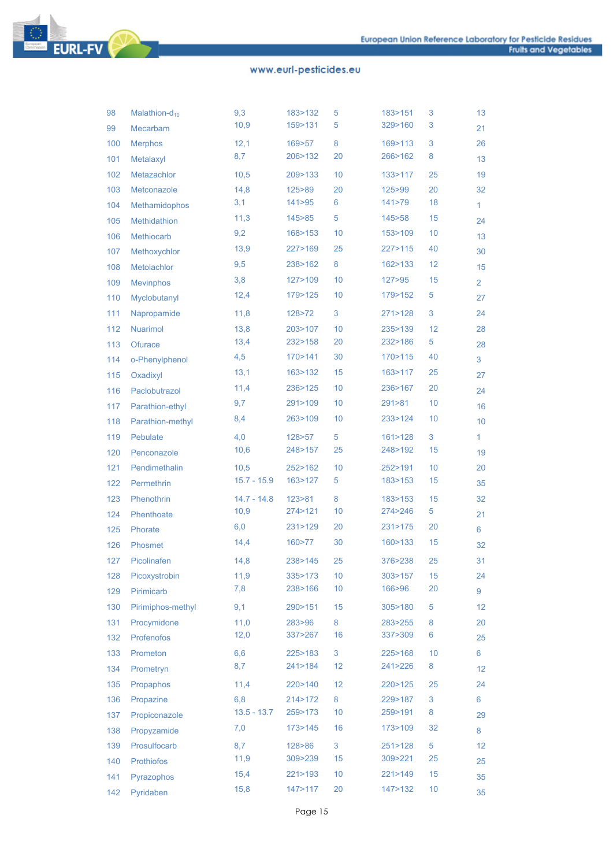# **EURL-FV**

| 98  | Malathion-d <sub>10</sub> | 9,3           | 183>132  | 5    | 183>151   | 3               | 13             |
|-----|---------------------------|---------------|----------|------|-----------|-----------------|----------------|
| 99  | Mecarbam                  | 10,9          | 159>131  | 5    | 329>160   | 3               | 21             |
| 100 | <b>Merphos</b>            | 12,1          | 169>57   | 8    | 169>113   | 3               | 26             |
| 101 | Metalaxyl                 | 8,7           | 206>132  | 20   | 266>162   | 8               | 13             |
| 102 | Metazachlor               | 10,5          | 209>133  | 10   | 133>117   | 25              | 19             |
| 103 | Metconazole               | 14,8          | 125>89   | 20   | 125>99    | 20              | 32             |
| 104 | Methamidophos             | 3,1           | 141 > 95 | 6    | 141 > 79  | 18              | 1              |
| 105 | Methidathion              | 11,3          | 145>85   | 5    | 145>58    | 15              | 24             |
| 106 | <b>Methiocarb</b>         | 9,2           | 168>153  | 10   | 153>109   | 10              | 13             |
| 107 | Methoxychlor              | 13,9          | 227>169  | 25   | 227 > 115 | 40              | 30             |
| 108 | Metolachlor               | 9,5           | 238>162  | 8    | 162>133   | 12              | 15             |
| 109 | <b>Mevinphos</b>          | 3,8           | 127>109  | 10   | 127 > 95  | 15              | $\overline{2}$ |
| 110 | Myclobutanyl              | 12,4          | 179>125  | 10   | 179>152   | 5               | 27             |
| 111 | Napropamide               | 11,8          | 128>72   | 3    | 271 > 128 | $\sqrt{3}$      | 24             |
| 112 | <b>Nuarimol</b>           | 13,8          | 203>107  | 10   | 235>139   | 12              | 28             |
| 113 | Ofurace                   | 13,4          | 232>158  | 20   | 232>186   | 5               | 28             |
| 114 | o-Phenylphenol            | 4,5           | 170>141  | 30   | 170 > 115 | 40              | 3              |
| 115 | Oxadixyl                  | 13,1          | 163>132  | 15   | 163>117   | 25              | 27             |
| 116 | Paclobutrazol             | 11,4          | 236>125  | 10   | 236>167   | 20              | 24             |
| 117 | Parathion-ethyl           | 9,7           | 291>109  | 10   | 291 > 81  | 10              | 16             |
| 118 | Parathion-methyl          | 8,4           | 263>109  | 10   | 233>124   | 10              | 10             |
| 119 | Pebulate                  | 4,0           | 128>57   | 5    | 161 > 128 | 3               | 1              |
| 120 | Penconazole               | 10,6          | 248>157  | 25   | 248>192   | 15              | 19             |
| 121 | Pendimethalin             | 10,5          | 252>162  | 10   | 252>191   | 10              | 20             |
| 122 | Permethrin                | $15.7 - 15.9$ | 163>127  | 5    | 183>153   | 15              | 35             |
| 123 | Phenothrin                | $14.7 - 14.8$ | 123 > 81 | 8    | 183>153   | 15              | 32             |
| 124 | Phenthoate                | 10,9          | 274>121  | 10   | 274>246   | 5               | 21             |
| 125 | Phorate                   | 6,0           | 231>129  | 20   | 231>175   | 20              | 6              |
| 126 | Phosmet                   | 14,4          | 160>77   | 30   | 160>133   | 15              | 32             |
| 127 | Picolinafen               | 14,8          | 238>145  | 25   | 376>238   | 25              | 31             |
| 128 | Picoxystrobin             | 11,9          | 335>173  | 10   | 303>157   | 15              | 24             |
| 129 | Pirimicarb                | 7,8           | 238>166  | $10$ | 166>96    | 20              | 9              |
| 130 | Pirimiphos-methyl         | 9,1           | 290>151  | 15   | 305>180   | 5               | 12             |
| 131 | Procymidone               | 11,0          | 283>96   | 8    | 283>255   | 8               | 20             |
| 132 | Profenofos                | 12,0          | 337>267  | 16   | 337>309   | 6               | 25             |
| 133 | Prometon                  | 6,6           | 225>183  | 3    | 225>168   | 10              | 6              |
| 134 | Prometryn                 | 8,7           | 241>184  | 12   | 241>226   | $\bf 8$         | 12             |
| 135 | Propaphos                 | 11,4          | 220>140  | 12   | 220>125   | 25              | 24             |
| 136 | Propazine                 | 6,8           | 214>172  | 8    | 229>187   | $\sqrt{3}$      | 6              |
| 137 | Propiconazole             | $13.5 - 13.7$ | 259>173  | $10$ | 259>191   | 8               | 29             |
| 138 | Propyzamide               | 7,0           | 173>145  | 16   | 173>109   | 32              | 8              |
| 139 | Prosulfocarb              | 8,7           | 128>86   | 3    | 251 > 128 | $\sqrt{5}$      | 12             |
| 140 | Prothiofos                | 11,9          | 309>239  | 15   | 309>221   | 25              | 25             |
| 141 | Pyrazophos                | 15,4          | 221>193  | 10   | 221 > 149 | 15              | 35             |
| 142 | Pyridaben                 | 15,8          | 147>117  | 20   | 147>132   | 10 <sup>°</sup> | 35             |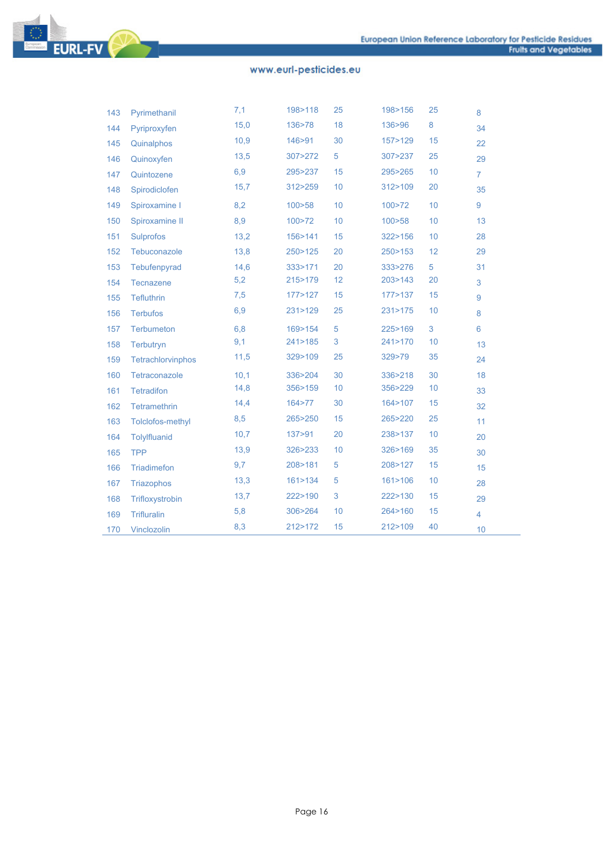

| 143 | Pyrimethanil       | 7,1  | 198>118   | 25 | 198>156   | 25 | 8              |
|-----|--------------------|------|-----------|----|-----------|----|----------------|
| 144 | Pyriproxyfen       | 15,0 | 136>78    | 18 | 136>96    | 8  | 34             |
| 145 | Quinalphos         | 10,9 | 146>91    | 30 | 157>129   | 15 | 22             |
| 146 | Quinoxyfen         | 13,5 | 307>272   | 5  | 307>237   | 25 | 29             |
| 147 | Quintozene         | 6,9  | 295>237   | 15 | 295>265   | 10 | $\overline{7}$ |
| 148 | Spirodiclofen      | 15,7 | 312>259   | 10 | 312>109   | 20 | 35             |
| 149 | Spiroxamine I      | 8,2  | 100 > 58  | 10 | 100>72    | 10 | 9              |
| 150 | Spiroxamine II     | 8,9  | 100 > 72  | 10 | 100 > 58  | 10 | 13             |
| 151 | <b>Sulprofos</b>   | 13,2 | 156>141   | 15 | 322>156   | 10 | 28             |
| 152 | Tebuconazole       | 13,8 | 250>125   | 20 | 250 > 153 | 12 | 29             |
| 153 | Tebufenpyrad       | 14,6 | 333>171   | 20 | 333>276   | 5  | 31             |
| 154 | Tecnazene          | 5,2  | 215>179   | 12 | 203>143   | 20 | 3              |
| 155 | <b>Tefluthrin</b>  | 7,5  | 177>127   | 15 | 177>137   | 15 | 9              |
| 156 | <b>Terbufos</b>    | 6,9  | 231>129   | 25 | 231>175   | 10 | 8              |
| 157 | Terbumeton         | 6, 8 | 169>154   | 5  | 225>169   | 3  | 6              |
| 158 | Terbutryn          | 9,1  | 241 > 185 | 3  | 241>170   | 10 | 13             |
| 159 | Tetrachlorvinphos  | 11,5 | 329>109   | 25 | 329>79    | 35 | 24             |
| 160 | Tetraconazole      | 10,1 | 336>204   | 30 | 336>218   | 30 | 18             |
| 161 | <b>Tetradifon</b>  | 14,8 | 356>159   | 10 | 356>229   | 10 | 33             |
| 162 | Tetramethrin       | 14,4 | 164 > 77  | 30 | 164>107   | 15 | 32             |
| 163 | Tolclofos-methyl   | 8,5  | 265>250   | 15 | 265>220   | 25 | 11             |
| 164 | Tolylfluanid       | 10,7 | 137>91    | 20 | 238>137   | 10 | 20             |
| 165 | <b>TPP</b>         | 13,9 | 326>233   | 10 | 326>169   | 35 | 30             |
| 166 | Triadimefon        | 9,7  | 208>181   | 5  | 208>127   | 15 | 15             |
| 167 | <b>Triazophos</b>  | 13.3 | 161 > 134 | 5  | 161 > 106 | 10 | 28             |
| 168 | Trifloxystrobin    | 13,7 | 222>190   | 3  | 222>130   | 15 | 29             |
| 169 | <b>Trifluralin</b> | 5,8  | 306>264   | 10 | 264>160   | 15 | $\overline{4}$ |
| 170 | Vinclozolin        | 8,3  | 212>172   | 15 | 212>109   | 40 | 10             |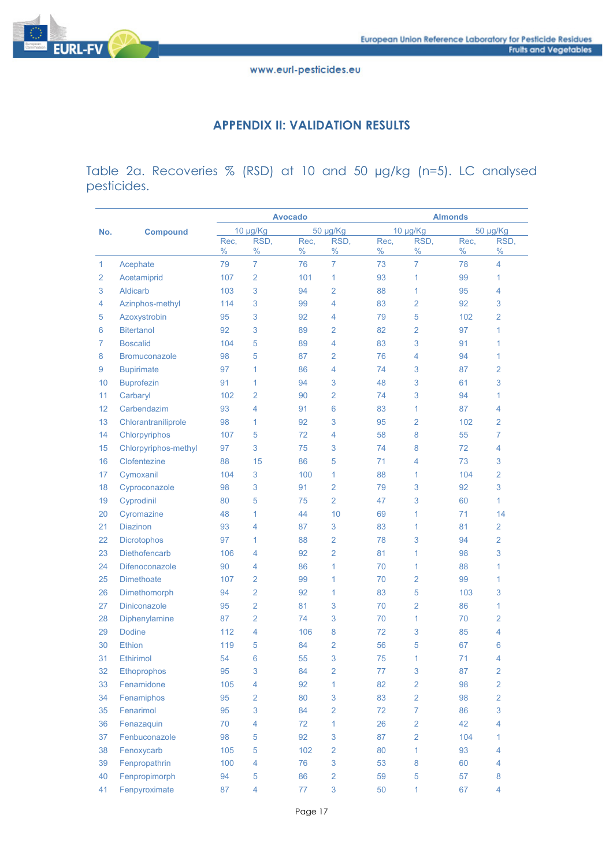

#### **APPENDIX II: VALIDATION RESULTS**

Table 2a. Recoveries % (RSD) at 10 and 50 µg/kg (n=5). LC analysed pesticides.

|              |                      | <b>Avocado</b> |                |              |                | <b>Almonds</b> |                |              |                |  |
|--------------|----------------------|----------------|----------------|--------------|----------------|----------------|----------------|--------------|----------------|--|
| No.          | <b>Compound</b>      |                | 10 µg/Kg       |              | 50 µg/Kg       |                | 10 µg/Kg       |              | 50 µg/Kg       |  |
|              |                      | Rec,<br>$\%$   | RSD,<br>$\%$   | Rec,<br>$\%$ | RSD,<br>$\%$   | Rec,<br>$\%$   | RSD,<br>$\%$   | Rec,<br>$\%$ | RSD,<br>%      |  |
| $\mathbf{1}$ | Acephate             | 79             | $\overline{7}$ | 76           | $\overline{7}$ | 73             | $\overline{7}$ | 78           | 4              |  |
| 2            | Acetamiprid          | 107            | 2              | 101          | 1              | 93             | 1              | 99           | 1              |  |
| 3            | <b>Aldicarb</b>      | 103            | 3              | 94           | 2              | 88             | 1              | 95           | 4              |  |
| 4            | Azinphos-methyl      | 114            | 3              | 99           | 4              | 83             | $\overline{2}$ | 92           | 3              |  |
| 5            | Azoxystrobin         | 95             | 3              | 92           | 4              | 79             | 5              | 102          | 2              |  |
| 6            | <b>Bitertanol</b>    | 92             | 3              | 89           | $\overline{2}$ | 82             | $\overline{2}$ | 97           | 1              |  |
| 7            | <b>Boscalid</b>      | 104            | 5              | 89           | 4              | 83             | 3              | 91           | 1              |  |
| 8            | <b>Bromuconazole</b> | 98             | 5              | 87           | 2              | 76             | 4              | 94           | 1              |  |
| 9            | <b>Bupirimate</b>    | 97             | 1              | 86           | 4              | 74             | 3              | 87           | 2              |  |
| 10           | <b>Buprofezin</b>    | 91             | 1              | 94           | 3              | 48             | 3              | 61           | 3              |  |
| 11           | Carbaryl             | 102            | 2              | 90           | 2              | 74             | 3              | 94           | 1              |  |
| 12           | Carbendazim          | 93             | 4              | 91           | 6              | 83             | 1              | 87           | 4              |  |
| 13           | Chlorantraniliprole  | 98             | 1              | 92           | 3              | 95             | 2              | 102          | 2              |  |
| 14           | Chlorpyriphos        | 107            | 5              | 72           | 4              | 58             | 8              | 55           | 7              |  |
| 15           | Chlorpyriphos-methyl | 97             | 3              | 75           | 3              | 74             | 8              | 72           | 4              |  |
| 16           | Clofentezine         | 88             | 15             | 86           | 5              | 71             | 4              | 73           | 3              |  |
| 17           | Cymoxanil            | 104            | 3              | 100          | 1              | 88             | 1              | 104          | 2              |  |
| 18           | Cyproconazole        | 98             | 3              | 91           | $\overline{2}$ | 79             | 3              | 92           | 3              |  |
| 19           | Cyprodinil           | 80             | 5              | 75           | $\overline{2}$ | 47             | 3              | 60           | 1              |  |
| 20           | Cyromazine           | 48             | 1              | 44           | 10             | 69             | 1              | 71           | 14             |  |
| 21           | <b>Diazinon</b>      | 93             | 4              | 87           | 3              | 83             | 1              | 81           | 2              |  |
| 22           | <b>Dicrotophos</b>   | 97             | 1              | 88           | $\overline{2}$ | 78             | 3              | 94           | 2              |  |
| 23           | Diethofencarb        | 106            | 4              | 92           | $\overline{2}$ | 81             | 1              | 98           | 3              |  |
| 24           | Difenoconazole       | 90             | 4              | 86           | 1              | 70             | 1              | 88           | 1              |  |
| 25           | <b>Dimethoate</b>    | 107            | 2              | 99           | 1              | 70             | $\overline{2}$ | 99           | 1              |  |
| 26           | Dimethomorph         | 94             | $\overline{2}$ | 92           | 1              | 83             | 5              | 103          | 3              |  |
| 27           | <b>Diniconazole</b>  | 95             | 2              | 81           | 3              | 70             | 2              | 86           | 1              |  |
| 28           | Diphenylamine        | 87             | $\overline{2}$ | 74           | 3              | 70             | 1              | 70           | 2              |  |
| 29           | <b>Dodine</b>        | 112            | 4              | 106          | 8              | 72             | 3              | 85           | 4              |  |
| 30           | <b>Ethion</b>        | 119            | 5              | 84           | $\overline{2}$ | 56             | 5              | 67           | 6              |  |
| 31           | Ethirimol            | 54             | 6              | 55           | 3              | 75             | 1              | 71           | 4              |  |
| 32           | <b>Ethoprophos</b>   | 95             | 3              | 84           | $\overline{2}$ | 77             | 3              | 87           | 2              |  |
| 33           | Fenamidone           | 105            | 4              | 92           | 1              | 82             | $\overline{2}$ | 98           | $\overline{2}$ |  |
| 34           | Fenamiphos           | 95             | $\overline{2}$ | 80           | $\sqrt{3}$     | 83             | $\overline{2}$ | 98           | $\overline{2}$ |  |
| 35           | Fenarimol            | 95             | 3              | 84           | 2              | 72             | $\overline{7}$ | 86           | 3              |  |
| 36           | Fenazaquin           | 70             | $\overline{4}$ | 72           | 1              | 26             | $\overline{2}$ | 42           | 4              |  |
| 37           | Fenbuconazole        | 98             | $\sqrt{5}$     | 92           | $\sqrt{3}$     | 87             | $\overline{2}$ | 104          | 1              |  |
| 38           | Fenoxycarb           | 105            | 5              | 102          | $\overline{2}$ | 80             | 1              | 93           | 4              |  |
| 39           | Fenpropathrin        | 100            | 4              | 76           | 3              | 53             | 8              | 60           | 4              |  |
| 40           | Fenpropimorph        | 94             | 5              | 86           | $\overline{2}$ | 59             | 5              | 57           | 8              |  |
| 41           | Fenpyroximate        | 87             | $\overline{4}$ | 77           | $\mathbf{3}$   | 50             | 1              | 67           | 4              |  |
|              |                      |                |                |              |                |                |                |              |                |  |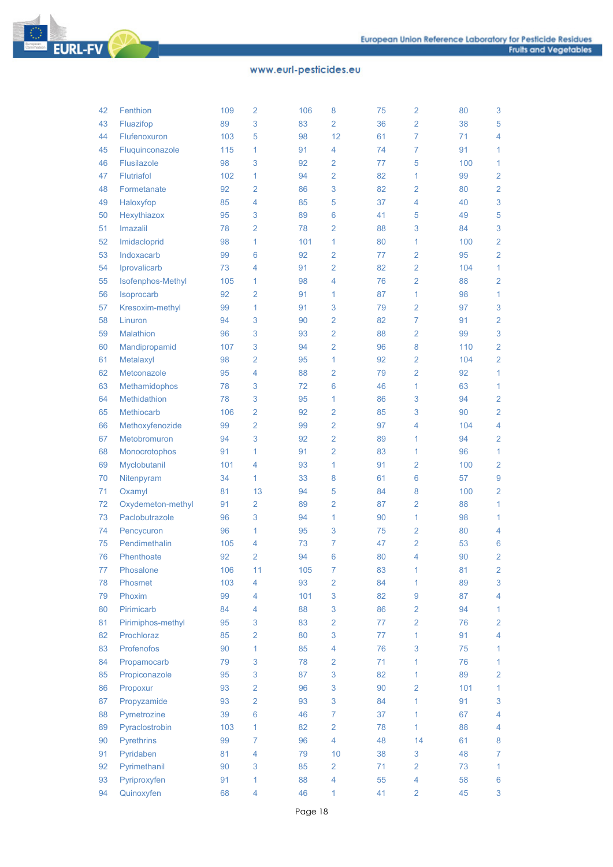

| 42 | Fenthion          | 109 | 2               | 106 | 8              | 75 | 2              | 80  | 3              |
|----|-------------------|-----|-----------------|-----|----------------|----|----------------|-----|----------------|
| 43 | Fluazifop         | 89  | 3               | 83  | $\overline{2}$ | 36 | $\overline{2}$ | 38  | 5              |
| 44 | Flufenoxuron      | 103 | 5               | 98  | 12             | 61 | 7              | 71  | 4              |
| 45 | Fluquinconazole   | 115 | 1               | 91  | 4              | 74 | 7              | 91  | 1              |
| 46 | Flusilazole       | 98  | 3               | 92  | 2              | 77 | 5              | 100 | $\mathbf{1}$   |
| 47 | <b>Flutriafol</b> | 102 | 1               | 94  | $\overline{2}$ | 82 | 1              | 99  | $\overline{2}$ |
| 48 | Formetanate       | 92  | $\overline{2}$  | 86  | 3              | 82 | 2              | 80  | $\overline{2}$ |
| 49 | Haloxyfop         | 85  | 4               | 85  | 5              | 37 | 4              | 40  | 3              |
| 50 | Hexythiazox       | 95  | 3               | 89  | 6              | 41 | 5              | 49  | 5              |
| 51 | Imazalil          | 78  | $\overline{2}$  | 78  | $\overline{2}$ | 88 | 3              | 84  | 3              |
| 52 | Imidacloprid      | 98  | 1               | 101 | 1              | 80 | 1              | 100 | $\overline{2}$ |
| 53 | Indoxacarb        | 99  | 6               | 92  | $\overline{2}$ | 77 | 2              | 95  | $\overline{2}$ |
| 54 | Iprovalicarb      | 73  | 4               | 91  | 2              | 82 | $\overline{2}$ | 104 | 1              |
| 55 | Isofenphos-Methyl | 105 | 1               | 98  | 4              | 76 | $\overline{2}$ | 88  | $\overline{2}$ |
| 56 | Isoprocarb        | 92  | $\overline{2}$  | 91  | 1              | 87 | 1              | 98  | 1              |
| 57 | Kresoxim-methyl   | 99  | 1               | 91  | 3              | 79 | 2              | 97  | 3              |
| 58 | Linuron           | 94  | 3               | 90  | $\overline{2}$ | 82 | $\overline{7}$ | 91  | $\overline{2}$ |
| 59 | <b>Malathion</b>  | 96  | 3               | 93  | $\overline{2}$ | 88 | 2              | 99  | 3              |
| 60 | Mandipropamid     | 107 | 3               | 94  | $\overline{2}$ | 96 | 8              | 110 | $\overline{2}$ |
| 61 | Metalaxyl         | 98  | $\overline{2}$  | 95  | 1              | 92 | 2              | 104 | $\overline{2}$ |
| 62 | Metconazole       | 95  | 4               | 88  | 2              | 79 | $\overline{2}$ | 92  | 1              |
| 63 | Methamidophos     | 78  | 3               | 72  | 6              | 46 | 1              | 63  | 1              |
| 64 | Methidathion      | 78  | 3               | 95  | 1              | 86 | 3              | 94  | $\overline{2}$ |
| 65 | <b>Methiocarb</b> | 106 | $\overline{2}$  | 92  | 2              | 85 | 3              | 90  | $\overline{2}$ |
| 66 | Methoxyfenozide   | 99  | $\overline{2}$  | 99  | $\overline{2}$ | 97 | 4              | 104 | 4              |
| 67 | Metobromuron      | 94  | 3               | 92  | $\overline{2}$ | 89 | 1              | 94  | $\overline{2}$ |
| 68 | Monocrotophos     | 91  | 1               | 91  | $\overline{2}$ | 83 | 1              | 96  | $\mathbf{1}$   |
| 69 | Myclobutanil      | 101 | 4               | 93  | 1              | 91 | 2              | 100 | $\overline{2}$ |
| 70 | Nitenpyram        | 34  | 1               | 33  | 8              | 61 | 6              | 57  | 9              |
| 71 | Oxamyl            | 81  | 13              | 94  | 5              | 84 | 8              | 100 | $\overline{2}$ |
| 72 | Oxydemeton-methyl | 91  | $\overline{2}$  | 89  | $\overline{2}$ | 87 | 2              | 88  | 1              |
| 73 | Paclobutrazole    | 96  | 3               | 94  | 1              | 90 | 1              | 98  | 1              |
| 74 | Pencycuron        | 96  | 1               | 95  | 3              | 75 | 2              | 80  | 4              |
| 75 | Pendimethalin     | 105 | 4               | 73  | 7              | 47 | 2              | 53  | 6              |
| 76 | Phenthoate        | 92  | 2               | 94  | 6              | 80 | 4              | 90  | $\overline{2}$ |
| 77 | Phosalone         | 106 | 11              | 105 | 7              | 83 | 1              | 81  | $\overline{2}$ |
| 78 | Phosmet           | 103 | 4               | 93  | $\overline{2}$ | 84 | 1              | 89  | 3              |
| 79 | Phoxim            | 99  | 4               | 101 | 3              | 82 | 9              | 87  | 4              |
| 80 | Pirimicarb        | 84  | 4               | 88  | 3              | 86 | $\overline{2}$ | 94  | 1              |
| 81 | Pirimiphos-methyl | 95  | 3               | 83  | $\overline{2}$ | 77 | 2              | 76  | $\overline{2}$ |
| 82 | Prochloraz        | 85  | $\overline{2}$  | 80  | 3              | 77 | 1              | 91  | 4              |
| 83 | Profenofos        | 90  | 1               | 85  | 4              | 76 | 3              | 75  | $\mathbf{1}$   |
| 84 | Propamocarb       | 79  | 3               | 78  | 2              | 71 | 1              | 76  | $\mathbf{1}$   |
| 85 | Propiconazole     | 95  | 3               | 87  | 3              | 82 | 1              | 89  | $\overline{2}$ |
| 86 | Propoxur          | 93  | $\overline{2}$  | 96  | 3              | 90 | 2              | 101 | 1              |
| 87 | Propyzamide       | 93  | $\overline{2}$  | 93  | 3              | 84 | 1              | 91  | 3              |
| 88 | Pymetrozine       | 39  | $6\phantom{1}6$ | 46  | $\overline{7}$ | 37 | 1              | 67  | $\overline{4}$ |
| 89 | Pyraclostrobin    | 103 | 1               | 82  | $\overline{2}$ | 78 | 1              | 88  | 4              |
| 90 | <b>Pyrethrins</b> | 99  | $\overline{7}$  | 96  | $\overline{4}$ | 48 | 14             | 61  | 8              |
| 91 | Pyridaben         | 81  | 4               | 79  | 10             | 38 | 3              | 48  | $\overline{7}$ |
| 92 | Pyrimethanil      | 90  | 3               | 85  | $\overline{2}$ | 71 | $\overline{2}$ | 73  | 1              |
| 93 | Pyriproxyfen      | 91  | 1               | 88  | 4              | 55 | 4              | 58  | 6              |
| 94 | Quinoxyfen        | 68  | 4               | 46  | $\mathbf{1}$   | 41 | $\overline{2}$ | 45  | 3              |
|    |                   |     |                 |     |                |    |                |     |                |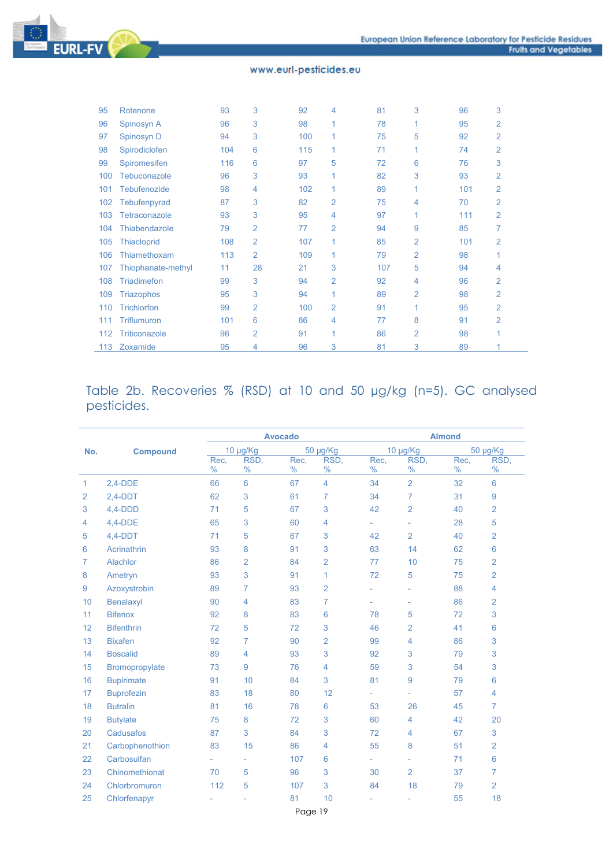

| 95  | Rotenone             | 93  | 3              | 92  | 4            | 81  | 3              | 96  | 3              |
|-----|----------------------|-----|----------------|-----|--------------|-----|----------------|-----|----------------|
| 96  | Spinosyn A           | 96  | 3              | 98  | 1            | 78  | 1              | 95  | 2              |
| 97  | Spinosyn D           | 94  | 3              | 100 | $\mathbf{1}$ | 75  | 5              | 92  | $\overline{2}$ |
| 98  | Spirodiclofen        | 104 | 6              | 115 | 1            | 71  | 1              | 74  | 2              |
| 99  | Spiromesifen         | 116 | 6              | 97  | 5            | 72  | 6              | 76  | 3              |
| 100 | Tebuconazole         | 96  | 3              | 93  | 1            | 82  | 3              | 93  | 2              |
| 101 | <b>Tebufenozide</b>  | 98  | 4              | 102 | 1            | 89  | 1              | 101 | $\overline{2}$ |
| 102 | Tebufenpyrad         | 87  | 3              | 82  | 2            | 75  | 4              | 70  | $\overline{2}$ |
| 103 | <b>Tetraconazole</b> | 93  | 3              | 95  | 4            | 97  | 1              | 111 | 2              |
| 104 | <b>Thiabendazole</b> | 79  | $\overline{2}$ | 77  | 2            | 94  | 9              | 85  | 7              |
| 105 | <b>Thiacloprid</b>   | 108 | 2              | 107 | 1            | 85  | 2              | 101 | 2              |
| 106 | Thiamethoxam         | 113 | 2              | 109 | $\mathbf{1}$ | 79  | 2              | 98  |                |
| 107 | Thiophanate-methyl   | 11  | 28             | 21  | 3            | 107 | 5              | 94  | 4              |
| 108 | <b>Triadimefon</b>   | 99  | 3              | 94  | 2            | 92  | 4              | 96  | $\overline{2}$ |
| 109 | <b>Triazophos</b>    | 95  | 3              | 94  | 1            | 89  | 2              | 98  | 2              |
| 110 | <b>Trichlorfon</b>   | 99  | 2              | 100 | 2            | 91  | 1              | 95  | $\overline{2}$ |
| 111 | <b>Triflumuron</b>   | 101 | 6              | 86  | 4            | 77  | 8              | 91  | $\overline{2}$ |
| 112 | <b>Triticonazole</b> | 96  | $\overline{2}$ | 91  | 1            | 86  | $\overline{2}$ | 98  | 1              |
| 113 | Zoxamide             | 95  | 4              | 96  | 3            | 81  | 3              | 89  | 1              |

## Table 2b. Recoveries % (RSD) at 10 and 50 µg/kg (n=5). GC analysed pesticides.

|                |                   |                       | <b>Avocado</b> |              |                 | <b>Almond</b>            |                |              |                 |  |
|----------------|-------------------|-----------------------|----------------|--------------|-----------------|--------------------------|----------------|--------------|-----------------|--|
| No.            | <b>Compound</b>   |                       | 10 µg/Kg       |              | 50 µg/Kg        | 10 µg/Kg                 |                | 50 µg/Kg     |                 |  |
|                |                   | Rec.<br>$\frac{0}{0}$ | RSD.<br>$\%$   | Rec,<br>$\%$ | RSD.<br>$\%$    | Rec.<br>$\%$             | RSD.<br>$\%$   | Rec.<br>$\%$ | RSD,<br>$\%$    |  |
| 1              | $2,4-DDE$         | 66                    | 6              | 67           | $\overline{4}$  | 34                       | $\overline{2}$ | 32           | 6               |  |
| $\overline{2}$ | $2,4-DDT$         | 62                    | 3              | 61           | 7               | 34                       | 7              | 31           | 9               |  |
| 3              | $4,4-DDD$         | 71                    | 5              | 67           | 3               | 42                       | $\overline{2}$ | 40           | 2               |  |
| 4              | $4,4-DDE$         | 65                    | 3              | 60           | 4               | ÷.                       | ÷,             | 28           | 5               |  |
| 5              | $4,4-DDT$         | 71                    | 5              | 67           | 3               | 42                       | $\overline{2}$ | 40           | $\overline{2}$  |  |
| 6              | Acrinathrin       | 93                    | 8              | 91           | 3               | 63                       | 14             | 62           | 6               |  |
| 7              | Alachlor          | 86                    | $\overline{2}$ | 84           | $\overline{2}$  | 77                       | 10             | 75           | $\overline{2}$  |  |
| 8              | Ametryn           | 93                    | 3              | 91           | 1               | 72                       | 5              | 75           | 2               |  |
| 9              | Azoxystrobin      | 89                    | $\overline{7}$ | 93           | $\overline{2}$  |                          | ÷,             | 88           | 4               |  |
| 10             | Benalaxyl         | 90                    | 4              | 83           | 7               | ÷,                       | ÷,             | 86           | $\overline{2}$  |  |
| 11             | <b>Bifenox</b>    | 92                    | 8              | 83           | 6               | 78                       | 5              | 72           | 3               |  |
| 12             | <b>Bifenthrin</b> | 72                    | 5              | 72           | 3               | 46                       | 2              | 41           | 6               |  |
| 13             | <b>Bixafen</b>    | 92                    | $\overline{7}$ | 90           | $\overline{2}$  | 99                       | 4              | 86           | 3               |  |
| 14             | <b>Boscalid</b>   | 89                    | 4              | 93           | 3               | 92                       | 3              | 79           | 3               |  |
| 15             | Bromopropylate    | 73                    | 9              | 76           | 4               | 59                       | 3              | 54           | 3               |  |
| 16             | <b>Bupirimate</b> | 91                    | 10             | 84           | 3               | 81                       | 9              | 79           | 6               |  |
| 17             | <b>Buprofezin</b> | 83                    | 18             | 80           | 12              | u.                       |                | 57           | 4               |  |
| 18             | <b>Butralin</b>   | 81                    | 16             | 78           | $6\phantom{1}6$ | 53                       | 26             | 45           | $\overline{7}$  |  |
| 19             | <b>Butylate</b>   | 75                    | 8              | 72           | 3               | 60                       | 4              | 42           | 20              |  |
| 20             | Cadusafos         | 87                    | 3              | 84           | 3               | 72                       | 4              | 67           | 3               |  |
| 21             | Carbophenothion   | 83                    | 15             | 86           | 4               | 55                       | 8              | 51           | $\overline{2}$  |  |
| 22             | Carbosulfan       | $\overline{a}$        | ÷,             | 107          | 6               | $\overline{\phantom{a}}$ | ÷,             | 71           | $6\phantom{1}6$ |  |
| 23             | Chinomethionat    | 70                    | 5              | 96           | 3               | 30                       | $\overline{2}$ | 37           | 7               |  |
| 24             | Chlorbromuron     | 112                   | 5              | 107          | 3               | 84                       | 18             | 79           | $\overline{2}$  |  |
| 25             | Chlorfenapyr      |                       |                | 81           | 10              | $\overline{a}$           | ÷,             | 55           | 18              |  |
|                |                   |                       |                |              |                 |                          |                |              |                 |  |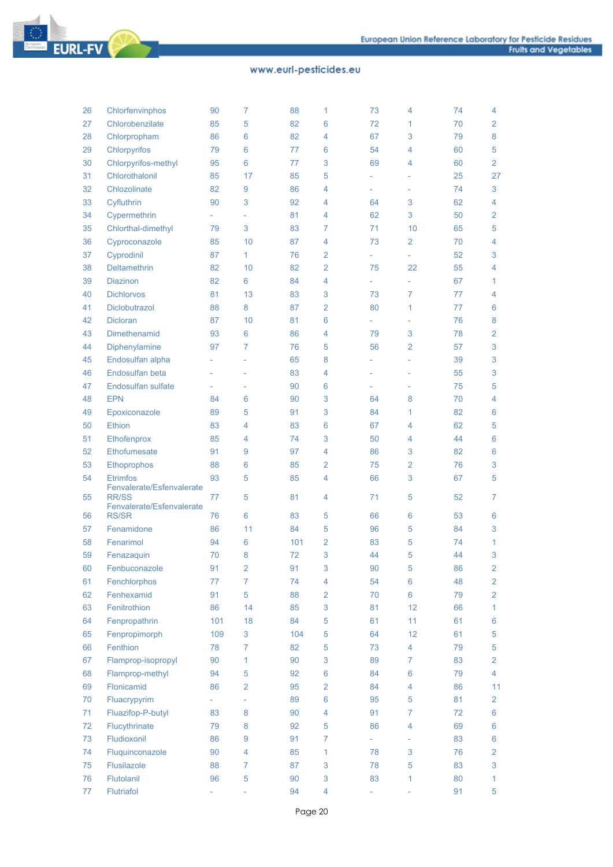

**EURL-FV** 

| 26 | Chlorfenvinphos                           | 90                       | $\overline{7}$ | 88  | 1               | 73 | 4  | 74 | 4                |
|----|-------------------------------------------|--------------------------|----------------|-----|-----------------|----|----|----|------------------|
| 27 | Chlorobenzilate                           | 85                       | 5              | 82  | 6               | 72 | 1  | 70 | $\overline{2}$   |
| 28 | Chlorpropham                              | 86                       | 6              | 82  | 4               | 67 | 3  | 79 | 8                |
| 29 | Chlorpyrifos                              | 79                       | 6              | 77  | 6               | 54 | 4  | 60 | 5                |
| 30 | Chlorpyrifos-methyl                       | 95                       | 6              | 77  | 3               | 69 | 4  | 60 | $\overline{2}$   |
| 31 | Chlorothalonil                            | 85                       | 17             | 85  | 5               |    |    | 25 | 27               |
| 32 | Chlozolinate                              | 82                       | 9              | 86  | 4               | L, | L, | 74 | 3                |
| 33 | Cyfluthrin                                | 90                       | 3              | 92  | 4               | 64 | 3  | 62 | $\overline{4}$   |
| 34 | Cypermethrin                              | $\overline{\phantom{0}}$ | L,             | 81  | 4               | 62 | 3  | 50 | $\overline{2}$   |
| 35 | Chlorthal-dimethyl                        | 79                       | 3              | 83  | 7               | 71 | 10 | 65 | 5                |
| 36 | Cyproconazole                             | 85                       | 10             | 87  | 4               | 73 | 2  | 70 | $\overline{4}$   |
| 37 | Cyprodinil                                | 87                       | 1              | 76  | 2               |    | ٠  | 52 | 3                |
| 38 | Deltamethrin                              | 82                       | 10             | 82  | $\overline{2}$  | 75 | 22 | 55 | 4                |
| 39 | <b>Diazinon</b>                           | 82                       | 6              | 84  | 4               |    | ÷, | 67 | $\mathbf{1}$     |
| 40 | <b>Dichlorvos</b>                         | 81                       | 13             | 83  | 3               | 73 | 7  | 77 | 4                |
| 41 | Diclobutrazol                             | 88                       | 8              | 87  | $\overline{2}$  | 80 | 1  | 77 | $6\phantom{1}$   |
| 42 | <b>Dicloran</b>                           | 87                       | 10             | 81  | 6               |    |    | 76 | 8                |
| 43 | Dimethenamid                              | 93                       | 6              | 86  | 4               | 79 | 3  | 78 | $\overline{2}$   |
|    | Diphenylamine                             |                          |                | 76  |                 |    |    | 57 | 3                |
| 44 |                                           | 97                       | 7              |     | 5               | 56 | 2  |    |                  |
| 45 | Endosulfan alpha                          |                          | u,             | 65  | 8               |    |    | 39 | 3                |
| 46 | Endosulfan beta                           |                          | ÷,             | 83  | 4               |    |    | 55 | 3                |
| 47 | Endosulfan sulfate                        | ٠                        | ÷,             | 90  | 6               | ÷, | ÷, | 75 | 5                |
| 48 | <b>EPN</b>                                | 84                       | 6              | 90  | 3               | 64 | 8  | 70 | $\overline{4}$   |
| 49 | Epoxiconazole                             | 89                       | 5              | 91  | 3               | 84 | 1  | 82 | $6\phantom{1}$   |
| 50 | <b>Ethion</b>                             | 83                       | 4              | 83  | 6               | 67 | 4  | 62 | 5                |
| 51 | Ethofenprox                               | 85                       | 4              | 74  | 3               | 50 | 4  | 44 | $6\phantom{1}$   |
| 52 | Ethofumesate                              | 91                       | 9              | 97  | 4               | 86 | 3  | 82 | 6                |
| 53 | Ethoprophos                               | 88                       | 6              | 85  | 2               | 75 | 2  | 76 | 3                |
| 54 | <b>Etrimfos</b>                           | 93                       | 5              | 85  | 4               | 66 | 3  | 67 | 5                |
| 55 | Fenvalerate/Esfenvalerate<br><b>RR/SS</b> | 77                       | 5              | 81  | 4               | 71 | 5  | 52 | $\overline{7}$   |
|    | Fenvalerate/Esfenvalerate                 |                          |                |     |                 |    |    |    |                  |
| 56 | <b>RS/SR</b>                              | 76                       | 6              | 83  | 5               | 66 | 6  | 53 | 6                |
| 57 | Fenamidone                                | 86                       | 11             | 84  | 5               | 96 | 5  | 84 | 3                |
| 58 | Fenarimol                                 | 94                       | 6              | 101 | $\overline{2}$  | 83 | 5  | 74 | $\mathbf{1}$     |
| 59 | Fenazaquin                                | 70                       | 8              | 72  | 3               | 44 | 5  | 44 | 3                |
| 60 | Fenbuconazole                             | 91                       | $\overline{c}$ | 91  | 3               | 90 | 5  | 86 | $\overline{2}$   |
| 61 | Fenchlorphos                              | 77                       | $\overline{7}$ | 74  | 4               | 54 | 6  | 48 | $\overline{2}$   |
| 62 | Fenhexamid                                | 91                       | 5              | 88  | 2               | 70 | 6  | 79 | $\overline{2}$   |
| 63 | Fenitrothion                              | 86                       | 14             | 85  | 3               | 81 | 12 | 66 | $\mathbf{1}$     |
| 64 | Fenpropathrin                             | 101                      | 18             | 84  | 5               | 61 | 11 | 61 | 6                |
| 65 | Fenpropimorph                             | 109                      | 3              | 104 | 5               | 64 | 12 | 61 | $\sqrt{5}$       |
| 66 | Fenthion                                  | 78                       | 7              | 82  | 5               | 73 | 4  | 79 | $\sqrt{5}$       |
| 67 | Flamprop-isopropyl                        | 90                       | 1              | 90  | 3               | 89 | 7  | 83 | $\overline{2}$   |
| 68 | Flamprop-methyl                           | 94                       | 5              | 92  | $6\phantom{1}6$ | 84 | 6  | 79 | $\overline{4}$   |
| 69 | Flonicamid                                | 86                       | 2              | 95  | 2               | 84 | 4  | 86 | 11               |
| 70 | Fluacrypyrim                              | ÷.                       | ÷,             | 89  | 6               | 95 | 5  | 81 | $\overline{2}$   |
| 71 | Fluazifop-P-butyl                         | 83                       | 8              | 90  | 4               | 91 | 7  | 72 | 6                |
| 72 | Flucythrinate                             | 79                       | 8              | 92  | 5               | 86 | 4  | 69 | 6                |
| 73 | Fludioxonil                               | 86                       | 9              | 91  | 7               | ä, |    | 83 | $\boldsymbol{6}$ |
| 74 | Fluquinconazole                           | 90                       | 4              | 85  | 1               | 78 | 3  | 76 | $\overline{2}$   |
| 75 | Flusilazole                               | 88                       | 7              | 87  | 3               | 78 | 5  | 83 | $\mathbf{3}$     |
| 76 | Flutolanil                                | 96                       | 5              | 90  | 3               | 83 | 1  | 80 | 1                |
| 77 | Flutriafol                                |                          |                | 94  | 4               |    |    | 91 | 5                |
|    |                                           |                          |                |     |                 |    |    |    |                  |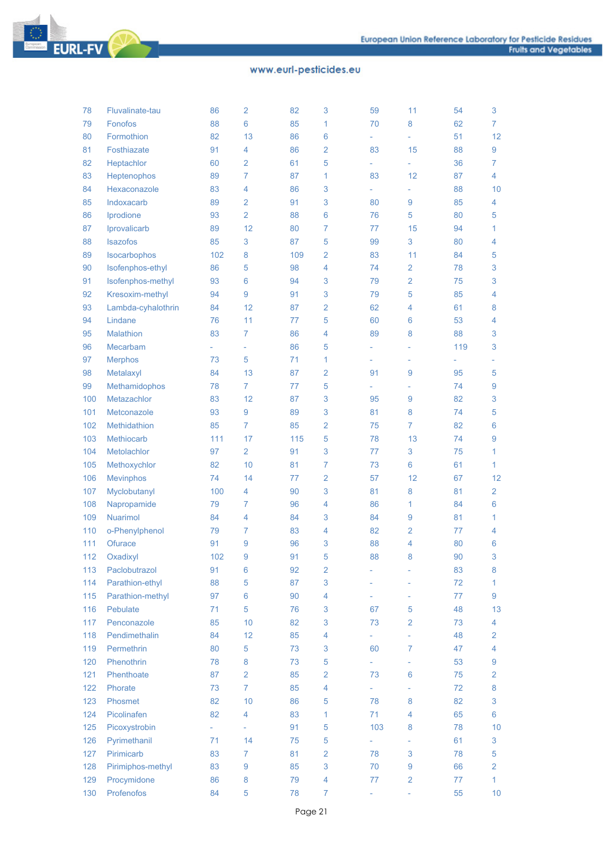

**EURL-FV** 

| 78  | Fluvalinate-tau    | 86  | $\overline{2}$      | 82  | 3                       | 59  | 11                       | 54  | 3               |
|-----|--------------------|-----|---------------------|-----|-------------------------|-----|--------------------------|-----|-----------------|
| 79  | Fonofos            | 88  | 6                   | 85  | 1                       | 70  | 8                        | 62  | 7               |
| 80  | Formothion         | 82  | 13                  | 86  | 6                       | L,  | L,                       | 51  | 12              |
| 81  | Fosthiazate        | 91  | 4                   | 86  | $\overline{2}$          | 83  | 15                       | 88  | 9               |
| 82  | Heptachlor         | 60  | $\overline{2}$      | 61  | 5                       | ÷.  | L,                       | 36  | 7               |
| 83  | Heptenophos        | 89  | $\overline{7}$      | 87  | 1                       | 83  | 12                       | 87  | 4               |
| 84  | Hexaconazole       | 83  | 4                   | 86  | 3                       | ÷.  | ÷,                       | 88  | 10              |
| 85  | Indoxacarb         | 89  | $\overline{2}$      | 91  | 3                       | 80  | 9                        | 85  | 4               |
| 86  | Iprodione          | 93  | $\overline{2}$      | 88  | $6\phantom{1}6$         | 76  | 5                        | 80  | 5               |
| 87  | Iprovalicarb       | 89  | 12                  | 80  | $\overline{7}$          | 77  | 15                       | 94  | 1               |
| 88  | Isazofos           | 85  | 3                   | 87  | 5                       | 99  | 3                        | 80  | 4               |
| 89  | Isocarbophos       | 102 | 8                   | 109 | $\overline{2}$          | 83  | 11                       | 84  | 5               |
| 90  | Isofenphos-ethyl   | 86  | 5                   | 98  | 4                       | 74  | 2                        | 78  | 3               |
| 91  | Isofenphos-methyl  | 93  | 6                   | 94  | 3                       | 79  | 2                        | 75  | 3               |
| 92  |                    |     | 9                   |     | 3                       | 79  |                          |     |                 |
|     | Kresoxim-methyl    | 94  |                     | 91  |                         |     | 5                        | 85  | 4               |
| 93  | Lambda-cyhalothrin | 84  | 12                  | 87  | $\overline{2}$          | 62  | 4                        | 61  | 8               |
| 94  | Lindane            | 76  | 11                  | 77  | 5                       | 60  | 6                        | 53  | 4               |
| 95  | Malathion          | 83  | 7                   | 86  | 4                       | 89  | 8                        | 88  | 3               |
| 96  | Mecarbam           | ÷.  | $\bar{\phantom{a}}$ | 86  | 5                       | ÷,  | ÷                        | 119 | 3               |
| 97  | <b>Merphos</b>     | 73  | 5                   | 71  | 1                       | ÷,  | ÷,                       |     |                 |
| 98  | Metalaxyl          | 84  | 13                  | 87  | $\overline{2}$          | 91  | 9                        | 95  | 5               |
| 99  | Methamidophos      | 78  | $\overline{7}$      | 77  | 5                       | L,  | ÷,                       | 74  | 9               |
| 100 | Metazachlor        | 83  | 12                  | 87  | 3                       | 95  | 9                        | 82  | 3               |
| 101 | Metconazole        | 93  | 9                   | 89  | 3                       | 81  | 8                        | 74  | 5               |
| 102 | Methidathion       | 85  | $\overline{7}$      | 85  | $\overline{2}$          | 75  | 7                        | 82  | 6               |
| 103 | Methiocarb         | 111 | 17                  | 115 | 5                       | 78  | 13                       | 74  | 9               |
| 104 | Metolachlor        | 97  | $\overline{2}$      | 91  | 3                       | 77  | 3                        | 75  | 1               |
| 105 | Methoxychlor       | 82  | 10                  | 81  | $\overline{7}$          | 73  | 6                        | 61  | 1               |
| 106 | <b>Mevinphos</b>   | 74  | 14                  | 77  | $\overline{2}$          | 57  | 12                       | 67  | 12              |
| 107 | Myclobutanyl       | 100 | 4                   | 90  | 3                       | 81  | 8                        | 81  | $\overline{2}$  |
| 108 | Napropamide        | 79  | $\overline{7}$      | 96  | 4                       | 86  | 1                        | 84  | 6               |
| 109 | Nuarimol           | 84  | 4                   | 84  | 3                       | 84  | 9                        | 81  | 1               |
| 110 | o-Phenylphenol     | 79  | $\overline{7}$      | 83  | 4                       | 82  | 2                        | 77  | 4               |
| 111 | Ofurace            | 91  | 9                   | 96  | 3                       | 88  | 4                        | 80  | 6               |
| 112 | Oxadixyl           | 102 | 9                   | 91  | 5                       | 88  | 8                        | 90  | 3               |
| 113 | Paclobutrazol      | 91  | 6                   | 92  | $\overline{\mathbf{c}}$ | ۰   |                          | 83  | 8               |
| 114 | Parathion-ethyl    | 88  | 5                   | 87  | 3                       |     |                          | 72  | 1               |
| 115 | Parathion-methyl   | 97  | $6\phantom{a}$      | 90  | $\overline{4}$          |     | ÷,                       | 77  | 9               |
| 116 | Pebulate           | 71  | 5                   | 76  | 3                       | 67  | 5                        | 48  | 13              |
| 117 | Penconazole        | 85  | 10                  | 82  | 3                       | 73  | $\overline{2}$           | 73  | 4               |
| 118 | Pendimethalin      | 84  | 12                  | 85  | $\overline{4}$          | ÷,  | ÷.                       | 48  | 2               |
| 119 | Permethrin         | 80  | 5                   | 73  | 3                       | 60  | $\overline{7}$           | 47  | 4               |
| 120 | Phenothrin         | 78  | 8                   | 73  | 5                       | ÷.  | $\overline{\phantom{a}}$ | 53  | 9               |
| 121 | Phenthoate         | 87  | $\overline{2}$      | 85  | $\overline{2}$          | 73  | $6\phantom{1}6$          | 75  | 2               |
| 122 | Phorate            | 73  | $\overline{7}$      | 85  | $\overline{4}$          | ÷.  | $\overline{\phantom{a}}$ | 72  | 8               |
| 123 | Phosmet            | 82  | 10                  | 86  | 5                       | 78  | 8                        | 82  | 3               |
| 124 | Picolinafen        | 82  | $\overline{4}$      | 83  | $\mathbf{1}$            | 71  | 4                        | 65  | 6               |
|     |                    |     |                     |     |                         |     |                          |     |                 |
| 125 | Picoxystrobin      | ÷.  | $\equiv$<br>14      | 91  | 5<br>5                  | 103 | 8                        | 78  | 10              |
| 126 | Pyrimethanil       | 71  |                     | 75  |                         |     | ÷                        | 61  | 3               |
| 127 | Pirimicarb         | 83  | 7                   | 81  | $\overline{2}$          | 78  | 3                        | 78  | 5               |
| 128 | Pirimiphos-methyl  | 83  | 9                   | 85  | 3                       | 70  | 9                        | 66  | 2               |
| 129 | Procymidone        | 86  | 8                   | 79  | 4                       | 77  | $\overline{2}$           | 77  | $\mathbf{1}$    |
| 130 | Profenofos         | 84  | 5                   | 78  | $\overline{7}$          | ÷,  | $\overline{\phantom{a}}$ | 55  | 10 <sup>°</sup> |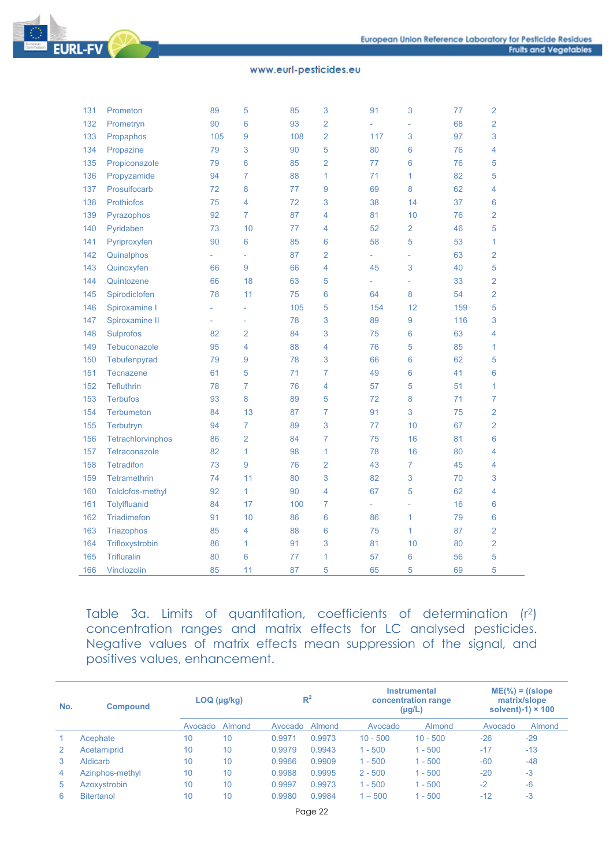

| 131 | Prometon            | 89  | 5                        | 85  | 3               | 91  | 3              | 77  | $\overline{2}$ |
|-----|---------------------|-----|--------------------------|-----|-----------------|-----|----------------|-----|----------------|
| 132 | Prometryn           | 90  | 6                        | 93  | $\overline{2}$  |     |                | 68  | $\overline{2}$ |
| 133 | Propaphos           | 105 | 9                        | 108 | $\overline{2}$  | 117 | 3              | 97  | 3              |
| 134 | Propazine           | 79  | 3                        | 90  | 5               | 80  | 6              | 76  | 4              |
| 135 | Propiconazole       | 79  | 6                        | 85  | $\overline{2}$  | 77  | 6              | 76  | 5              |
| 136 | Propyzamide         | 94  | 7                        | 88  | 1               | 71  | 1              | 82  | 5              |
| 137 | Prosulfocarb        | 72  | 8                        | 77  | 9               | 69  | 8              | 62  | 4              |
| 138 | <b>Prothiofos</b>   | 75  | 4                        | 72  | 3               | 38  | 14             | 37  | 6              |
| 139 | Pyrazophos          | 92  | 7                        | 87  | 4               | 81  | 10             | 76  | $\overline{2}$ |
| 140 | Pyridaben           | 73  | 10                       | 77  | 4               | 52  | $\overline{2}$ | 46  | 5              |
| 141 | Pyriproxyfen        | 90  | 6                        | 85  | $6\phantom{1}6$ | 58  | 5              | 53  | 1              |
| 142 | Quinalphos          |     | L,                       | 87  | $\overline{2}$  |     | ÷,             | 63  | $\overline{2}$ |
| 143 | Quinoxyfen          | 66  | 9                        | 66  | 4               | 45  | 3              | 40  | 5              |
| 144 | Quintozene          | 66  | 18                       | 63  | 5               |     | $\overline{a}$ | 33  | 2              |
| 145 | Spirodiclofen       | 78  | 11                       | 75  | 6               | 64  | 8              | 54  | $\overline{2}$ |
| 146 | Spiroxamine I       |     | L,                       | 105 | 5               | 154 | 12             | 159 | 5              |
| 147 | Spiroxamine II      |     | $\overline{\phantom{0}}$ | 78  | 3               | 89  | 9              | 116 | 3              |
| 148 | <b>Sulprofos</b>    | 82  | $\overline{2}$           | 84  | 3               | 75  | 6              | 63  | 4              |
| 149 | Tebuconazole        | 95  | 4                        | 88  | 4               | 76  | 5              | 85  | 1              |
| 150 | Tebufenpyrad        | 79  | 9                        | 78  | 3               | 66  | 6              | 62  | 5              |
| 151 | <b>Tecnazene</b>    | 61  | 5                        | 71  | 7               | 49  | 6              | 41  | 6              |
| 152 | <b>Tefluthrin</b>   | 78  | 7                        | 76  | 4               | 57  | 5              | 51  | 1              |
| 153 | <b>Terbufos</b>     | 93  | 8                        | 89  | 5               | 72  | 8              | 71  | $\overline{7}$ |
| 154 | <b>Terbumeton</b>   | 84  | 13                       | 87  | 7               | 91  | 3              | 75  | $\overline{2}$ |
| 155 | Terbutryn           | 94  | 7                        | 89  | 3               | 77  | 10             | 67  | $\overline{2}$ |
| 156 | Tetrachlorvinphos   | 86  | 2                        | 84  | 7               | 75  | 16             | 81  | 6              |
| 157 | Tetraconazole       | 82  | 1                        | 98  | 1               | 78  | 16             | 80  | 4              |
| 158 | <b>Tetradifon</b>   | 73  | 9                        | 76  | $\overline{2}$  | 43  | 7              | 45  | 4              |
| 159 | <b>Tetramethrin</b> | 74  | 11                       | 80  | 3               | 82  | 3              | 70  | 3              |
| 160 | Tolclofos-methyl    | 92  | 1                        | 90  | 4               | 67  | 5              | 62  | 4              |
| 161 | Tolylfluanid        | 84  | 17                       | 100 | 7               | L,  |                | 16  | 6              |
| 162 | <b>Triadimefon</b>  | 91  | 10                       | 86  | 6               | 86  | 1              | 79  | 6              |
| 163 | Triazophos          | 85  | 4                        | 88  | 6               | 75  | $\mathbf{1}$   | 87  | $\overline{2}$ |
| 164 | Trifloxystrobin     | 86  | 1                        | 91  | 3               | 81  | 10             | 80  | $\overline{2}$ |
| 165 | <b>Trifluralin</b>  | 80  | 6                        | 77  | 1               | 57  | 6              | 56  | 5              |
| 166 | Vinclozolin         | 85  | 11                       | 87  | 5               | 65  | 5              | 69  | 5              |

Table 3a. Limits of quantitation, coefficients of determination (r2) concentration ranges and matrix effects for LC analysed pesticides. Negative values of matrix effects mean suppression of the signal, and positives values, enhancement.

| No. | <b>Compound</b>   |                 | $LOQ$ ( $\mu$ g/kg) | $R^2$   |        | <b>Instrumental</b><br>concentration range<br>(µg/L) |            | $ME(\%)=(slope)$<br>matrix/slope<br>solvent)-1) $\times$ 100 |        |
|-----|-------------------|-----------------|---------------------|---------|--------|------------------------------------------------------|------------|--------------------------------------------------------------|--------|
|     |                   | Avocado         | Almond              | Avocado | Almond | Avocado                                              | Almond     | Avocado                                                      | Almond |
|     | Acephate          | 10              | 10                  | 0.9971  | 0.9973 | $10 - 500$                                           | $10 - 500$ | $-26$                                                        | $-29$  |
| 2   | Acetamiprid       | 10 <sup>1</sup> | 10                  | 0.9979  | 0.9943 | $-500$                                               | $1 - 500$  | $-17$                                                        | $-13$  |
| 3   | Aldicarb          | 10 <sup>°</sup> | 10                  | 0.9966  | 0.9909 | $1 - 500$                                            | $1 - 500$  | $-60$                                                        | $-48$  |
| 4   | Azinphos-methyl   | 10 <sup>°</sup> | 10                  | 0.9988  | 0.9995 | $2 - 500$                                            | $1 - 500$  | $-20$                                                        | $-3$   |
| 5   | Azoxystrobin      | 10 <sup>°</sup> | 10                  | 0.9997  | 0.9973 | $1 - 500$                                            | $1 - 500$  | $-2$                                                         | $-6$   |
| 6   | <b>Bitertanol</b> | 10              | 10                  | 0.9980  | 0.9984 | $-500$                                               | $1 - 500$  | $-12$                                                        | $-3$   |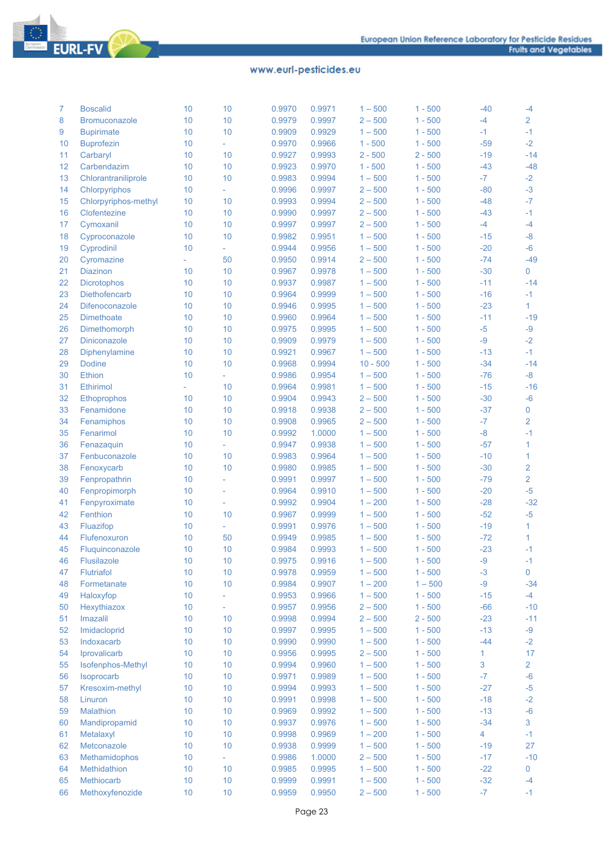

| 7  | <b>Boscalid</b>      | 10 | 10                          | 0.9970 | 0.9971           | $1 - 500$               | $1 - 500$ | $-40$        | $-4$           |
|----|----------------------|----|-----------------------------|--------|------------------|-------------------------|-----------|--------------|----------------|
| 8  | Bromuconazole        | 10 | 10                          | 0.9979 | 0.9997           | $2 - 500$               | $1 - 500$ | $-4$         | $\overline{2}$ |
| 9  | <b>Bupirimate</b>    | 10 | 10                          | 0.9909 | 0.9929           | $1 - 500$               | $1 - 500$ | $-1$         | $-1$           |
| 10 | <b>Buprofezin</b>    | 10 | ÷.                          | 0.9970 | 0.9966           | $1 - 500$               | $1 - 500$ | $-59$        | $-2$           |
| 11 | Carbaryl             | 10 | 10                          | 0.9927 | 0.9993           | $2 - 500$               | $2 - 500$ | $-19$        | $-14$          |
| 12 | Carbendazim          | 10 | 10                          | 0.9923 | 0.9970           | $1 - 500$               | $1 - 500$ | $-43$        | $-48$          |
| 13 | Chlorantraniliprole  | 10 | 10                          | 0.9983 | 0.9994           | $1 - 500$               | $1 - 500$ | $-7$         | $-2$           |
| 14 | Chlorpyriphos        | 10 | ÷.                          | 0.9996 | 0.9997           | $2 - 500$               | $1 - 500$ | $-80$        | $-3$           |
| 15 | Chlorpyriphos-methyl | 10 | 10                          | 0.9993 | 0.9994           | $2 - 500$               | $1 - 500$ | $-48$        | $-7$           |
| 16 | Clofentezine         | 10 | 10                          | 0.9990 | 0.9997           | $2 - 500$               | $1 - 500$ | $-43$        | $-1$           |
| 17 | Cymoxanil            | 10 | 10                          | 0.9997 | 0.9997           | $2 - 500$               | $1 - 500$ | $-4$         | $-4$           |
| 18 | Cyproconazole        | 10 | 10                          | 0.9982 | 0.9951           | $1 - 500$               | $1 - 500$ | $-15$        | $-8$           |
| 19 | Cyprodinil           | 10 | $\mathcal{L}^{\mathcal{A}}$ | 0.9944 | 0.9956           | $1 - 500$               | $1 - 500$ | $-20$        | $-6$           |
| 20 | Cyromazine           | ÷. | 50                          | 0.9950 | 0.9914           | $2 - 500$               | $1 - 500$ | $-74$        | $-49$          |
| 21 | <b>Diazinon</b>      | 10 | 10                          | 0.9967 | 0.9978           | $1 - 500$               | $1 - 500$ | $-30$        | $\mathbf 0$    |
| 22 | Dicrotophos          | 10 | 10                          | 0.9937 | 0.9987           | $1 - 500$               | $1 - 500$ | $-11$        | $-14$          |
| 23 | Diethofencarb        | 10 | 10                          | 0.9964 | 0.9999           | $1 - 500$               | $1 - 500$ | $-16$        | $-1$           |
| 24 | Difenoconazole       | 10 | 10                          | 0.9946 | 0.9995           | $1 - 500$               | $1 - 500$ | $-23$        | $\mathbf{1}$   |
| 25 | <b>Dimethoate</b>    | 10 | 10                          | 0.9960 | 0.9964           | $1 - 500$               | $1 - 500$ | $-11$        | $-19$          |
| 26 | Dimethomorph         | 10 | 10                          | 0.9975 | 0.9995           | $1 - 500$               | $1 - 500$ | $-5$         | $-9$           |
| 27 | <b>Diniconazole</b>  | 10 | 10                          | 0.9909 | 0.9979           | $1 - 500$               | $1 - 500$ | $-9$         | $-2$           |
| 28 |                      | 10 | 10                          | 0.9921 | 0.9967           | $1 - 500$               | $1 - 500$ | $-13$        | $-1$           |
|    | Diphenylamine        | 10 | 10                          |        |                  |                         | $1 - 500$ | $-34$        | $-14$          |
| 29 | <b>Dodine</b>        | 10 |                             | 0.9968 | 0.9994<br>0.9954 | $10 - 500$<br>$1 - 500$ |           |              |                |
| 30 | <b>Ethion</b>        |    | $\mathcal{L}_{\mathcal{A}}$ | 0.9986 |                  |                         | $1 - 500$ | $-76$        | $-8$           |
| 31 | <b>Ethirimol</b>     | a. | 10                          | 0.9964 | 0.9981           | $1 - 500$               | $1 - 500$ | $-15$        | $-16$          |
| 32 | Ethoprophos          | 10 | 10                          | 0.9904 | 0.9943           | $2 - 500$               | $1 - 500$ | $-30$        | $-6$           |
| 33 | Fenamidone           | 10 | 10                          | 0.9918 | 0.9938           | $2 - 500$               | $1 - 500$ | $-37$        | $\mathbf 0$    |
| 34 | Fenamiphos           | 10 | 10                          | 0.9908 | 0.9965           | $2 - 500$               | $1 - 500$ | $-7$         | $\overline{2}$ |
| 35 | Fenarimol            | 10 | 10                          | 0.9992 | 1.0000           | $1 - 500$               | $1 - 500$ | $-8$         | $-1$           |
| 36 | Fenazaquin           | 10 | ÷.                          | 0.9947 | 0.9938           | $1 - 500$               | $1 - 500$ | $-57$        | 1              |
| 37 | Fenbuconazole        | 10 | 10                          | 0.9983 | 0.9964           | $1 - 500$               | $1 - 500$ | $-10$        | 1              |
| 38 | Fenoxycarb           | 10 | 10                          | 0.9980 | 0.9985           | $1 - 500$               | $1 - 500$ | $-30$        | $\overline{2}$ |
| 39 | Fenpropathrin        | 10 | L                           | 0.9991 | 0.9997           | $1 - 500$               | $1 - 500$ | $-79$        | $\overline{2}$ |
| 40 | Fenpropimorph        | 10 |                             | 0.9964 | 0.9910           | $1 - 500$               | $1 - 500$ | $-20$        | $-5$           |
| 41 | Fenpyroximate        | 10 | u,                          | 0.9992 | 0.9904           | $1 - 200$               | $1 - 500$ | $-28$        | $-32$          |
| 42 | Fenthion             | 10 | 10                          | 0.9967 | 0.9999           | $1 - 500$               | $1 - 500$ | $-52$        | $-5$           |
| 43 | Fluazifop            | 10 | $\equiv$                    | 0.9991 | 0.9976           | $1 - 500$               | $1 - 500$ | $-19$        | 1              |
| 44 | Flufenoxuron         | 10 | 50                          | 0.9949 | 0.9985           | $1 - 500$               | $1 - 500$ | $-72$        | 1              |
| 45 | Fluquinconazole      | 10 | 10                          | 0.9984 | 0.9993           | $1 - 500$               | $1 - 500$ | $-23$        | $-1$           |
| 46 | Flusilazole          | 10 | 10                          | 0.9975 | 0.9916           | $1 - 500$               | $1 - 500$ | $-9$         | $-1$           |
| 47 | Flutriafol           | 10 | 10                          | 0.9978 | 0.9959           | $1 - 500$               | $1 - 500$ | $-3$         | $\pmb{0}$      |
| 48 | Formetanate          | 10 | 10                          | 0.9984 | 0.9907           | $1 - 200$               | $1 - 500$ | $-9$         | $-34$          |
| 49 | Haloxyfop            | 10 | L,                          | 0.9953 | 0.9966           | $1 - 500$               | $1 - 500$ | $-15$        | $-4$           |
| 50 | Hexythiazox          | 10 | ä,                          | 0.9957 | 0.9956           | $2 - 500$               | $1 - 500$ | $-66$        | $-10$          |
| 51 | Imazalil             | 10 | 10                          | 0.9998 | 0.9994           | $2 - 500$               | $2 - 500$ | $-23$        | $-11$          |
| 52 | Imidacloprid         | 10 | 10                          | 0.9997 | 0.9995           | $1 - 500$               | $1 - 500$ | $-13$        | $-9$           |
| 53 | Indoxacarb           | 10 | 10                          | 0.9990 | 0.9990           | $1 - 500$               | $1 - 500$ | $-44$        | $-2$           |
| 54 | Iprovalicarb         | 10 | 10                          | 0.9956 | 0.9995           | $2 - 500$               | $1 - 500$ | 1            | 17             |
| 55 | Isofenphos-Methyl    | 10 | 10                          | 0.9994 | 0.9960           | $1 - 500$               | $1 - 500$ | $\mathbf{3}$ | $\overline{2}$ |
| 56 | Isoprocarb           | 10 | 10                          | 0.9971 | 0.9989           | $1 - 500$               | $1 - 500$ | $-7$         | $-6$           |
| 57 | Kresoxim-methyl      | 10 | 10                          | 0.9994 | 0.9993           | $1 - 500$               | $1 - 500$ | $-27$        | $-5$           |
| 58 | Linuron              | 10 | 10                          | 0.9991 | 0.9998           | $1 - 500$               | $1 - 500$ | $-18$        | $-2$           |
| 59 | Malathion            | 10 | 10                          | 0.9969 | 0.9992           | $1 - 500$               | $1 - 500$ | $-13$        | $-6$           |
| 60 | Mandipropamid        | 10 | 10                          | 0.9937 | 0.9976           | $1 - 500$               | $1 - 500$ | $-34$        | $\mathbf{3}$   |
| 61 | Metalaxyl            | 10 | 10                          | 0.9998 | 0.9969           | $1 - 200$               | $1 - 500$ | 4            | $-1$           |
| 62 | Metconazole          | 10 | 10                          | 0.9938 | 0.9999           | $1 - 500$               | $1 - 500$ | $-19$        | 27             |
| 63 | Methamidophos        | 10 |                             | 0.9986 | 1.0000           | $2 - 500$               | $1 - 500$ | $-17$        | $-10$          |
| 64 | Methidathion         | 10 | 10                          | 0.9985 | 0.9995           | $1 - 500$               | $1 - 500$ | $-22$        | $\overline{0}$ |
| 65 | Methiocarb           | 10 | 10                          | 0.9999 | 0.9991           | $1 - 500$               | $1 - 500$ | $-32$        | $-4$           |
| 66 | Methoxyfenozide      | 10 | 10                          | 0.9959 | 0.9950           | $2 - 500$               | $1 - 500$ | $-7$         | $-1$           |
|    |                      |    |                             |        |                  |                         |           |              |                |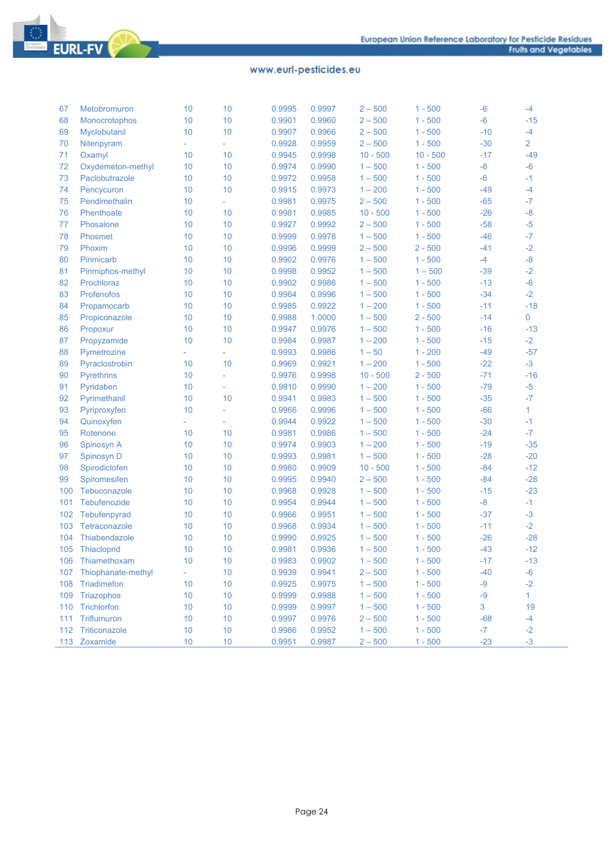| 67  | Metobromuron           | 10 | 10                          | 0.9995 | 0.9997 | $2 - 500$  | $1 - 500$  | $-6$  | $-4$                |
|-----|------------------------|----|-----------------------------|--------|--------|------------|------------|-------|---------------------|
| 68  | Monocrotophos          | 10 | 10                          | 0.9901 | 0.9960 | $2 - 500$  | $1 - 500$  | $-6$  | $-15$               |
| 69  | Myclobutanil           | 10 | 10                          | 0.9907 | 0.9966 | $2 - 500$  | $1 - 500$  | $-10$ | $-4$                |
| 70  | Nitenpyram             | ÷, | $\mathcal{L}_{\mathcal{A}}$ | 0.9928 | 0.9959 | $2 - 500$  | $1 - 500$  | $-30$ | $\overline{2}$      |
| 71  | Oxamyl                 | 10 | 10                          | 0.9945 | 0.9998 | $10 - 500$ | $10 - 500$ | $-17$ | $-49$               |
| 72  | Oxydemeton-methyl      | 10 | 10                          | 0.9974 | 0.9990 | $1 - 500$  | $1 - 500$  | $-6$  | $-6$                |
| 73  | Paclobutrazole         | 10 | 10                          | 0.9972 | 0.9958 | $1 - 500$  | $1 - 500$  | $-6$  | $-1$                |
| 74  | Pencycuron             | 10 | 10                          | 0.9915 | 0.9973 | $1 - 200$  | $1 - 500$  | $-49$ | $-4$                |
| 75  | Pendimethalin          | 10 | ÷.                          | 0.9981 | 0.9975 | $2 - 500$  | $1 - 500$  | $-65$ | $-7$                |
| 76  | Phenthoate             | 10 | 10                          | 0.9981 | 0.9985 | $10 - 500$ | $1 - 500$  | $-26$ | $-8$                |
| 77  | Phosalone              | 10 | 10                          | 0.9927 | 0.9992 | $2 - 500$  | $1 - 500$  | $-58$ | $-5$                |
| 78  | Phosmet                | 10 | 10                          | 0.9999 | 0.9978 | $1 - 500$  | $1 - 500$  | $-46$ | $-7$                |
| 79  | Phoxim                 | 10 | 10                          | 0.9996 | 0.9999 | $2 - 500$  | $2 - 500$  | $-41$ | $-2$                |
| 80  | Pirimicarb             | 10 | 10                          | 0.9902 | 0.9976 | $1 - 500$  | $1 - 500$  | $-4$  | $-8-$               |
| 81  | Pirimiphos-methyl      | 10 | 10                          | 0.9998 | 0.9952 | $1 - 500$  | $1 - 500$  | $-39$ | $-2$                |
| 82  | Prochloraz             | 10 | 10                          | 0.9902 | 0.9986 | $1 - 500$  | $1 - 500$  | $-13$ | $-6$                |
| 83  | Profenofos             | 10 | 10                          | 0.9964 | 0.9996 | $1 - 500$  | $1 - 500$  | $-34$ | $-2$                |
| 84  | Propamocarb            | 10 | 10                          | 0.9985 | 0.9922 | $1 - 200$  | $1 - 500$  | $-11$ | $-18$               |
| 85  | Propiconazole          | 10 | 10                          | 0.9988 | 1.0000 | $1 - 500$  | $2 - 500$  | $-14$ | $\mathsf{O}\xspace$ |
| 86  | Propoxur               | 10 | 10                          | 0.9947 | 0.9976 | $1 - 500$  | $1 - 500$  | $-16$ | $-13$               |
| 87  | Propyzamide            | 10 | 10                          | 0.9984 | 0.9987 | $1 - 200$  | $1 - 500$  | $-15$ | $-2$                |
| 88  | Pymetrozine            | ÷, | $\mathcal{L}_{\mathcal{A}}$ | 0.9993 | 0.9986 | $1 - 50$   | $1 - 200$  | $-49$ | $-57$               |
| 89  | Pyraclostrobin         | 10 | 10                          | 0.9969 | 0.9921 | $1 - 200$  | $1 - 500$  | $-22$ | $-3$                |
| 90  | <b>Pyrethrins</b>      | 10 | L.                          | 0.9976 | 0.9998 | $10 - 500$ | $2 - 500$  | $-71$ | $-16$               |
| 91  | Pyridaben              | 10 | L,                          | 0.9910 | 0.9990 | $1 - 200$  | $1 - 500$  | $-79$ | $-5$                |
| 92  | Pyrimethanil           | 10 | 10                          | 0.9941 | 0.9983 | $1 - 500$  | $1 - 500$  | $-35$ | $-7$                |
| 93  | Pyriproxyfen           | 10 | $\bar{\phantom{a}}$         | 0.9966 | 0.9996 | $1 - 500$  | $1 - 500$  | $-66$ | $\mathbf{1}$        |
| 94  | Quinoxyfen             | ÷. | $\equiv$                    | 0.9944 | 0.9922 | $1 - 500$  | $1 - 500$  | $-30$ | $-1$                |
| 95  | Rotenone               | 10 | 10                          | 0.9981 | 0.9986 | $1 - 500$  | $1 - 500$  | $-24$ | $-7$                |
| 96  | Spinosyn A             | 10 | 10                          | 0.9974 | 0.9903 | $1 - 200$  | $1 - 500$  | $-19$ | $-35$               |
| 97  | Spinosyn D             | 10 | 10                          | 0.9993 | 0.9981 | $1 - 500$  | $1 - 500$  | $-28$ | $-20$               |
| 98  | Spirodiclofen          | 10 | $10$                        | 0.9980 | 0.9909 | $10 - 500$ | $1 - 500$  | $-84$ | $-12$               |
| 99  | Spiromesifen           | 10 | $10$                        | 0.9995 | 0.9940 | $2 - 500$  | $1 - 500$  | $-84$ | $-28$               |
| 100 | Tebuconazole           | 10 | 10                          | 0.9968 | 0.9928 | $1 - 500$  | $1 - 500$  | $-15$ | $-23$               |
| 101 | Tebufenozide           | 10 | 10                          | 0.9954 | 0.9944 | $1 - 500$  | $1 - 500$  | $-8$  | $-1$                |
| 102 | Tebufenpyrad           | 10 | 10                          | 0.9966 | 0.9951 | $1 - 500$  | $1 - 500$  | $-37$ | $-3$                |
| 103 | Tetraconazole          | 10 | 10                          | 0.9968 | 0.9934 | $1 - 500$  | $1 - 500$  | $-11$ | $-2$                |
| 104 | Thiabendazole          | 10 | 10                          | 0.9990 | 0.9925 | $1 - 500$  | $1 - 500$  | $-26$ | $-28$               |
| 105 | Thiacloprid            | 10 | 10                          | 0.9981 | 0.9936 | $1 - 500$  | $1 - 500$  | $-43$ | $-12$               |
| 106 | Thiamethoxam           | 10 | 10                          | 0.9983 | 0.9902 | $1 - 500$  | $1 - 500$  | $-17$ | $-13$               |
|     | 107 Thiophanate-methyl |    | 10                          | 0.9939 | 0.9941 | $2 - 500$  | $1 - 500$  | $-40$ | $-6$                |
| 108 | Triadimefon            | 10 | 10                          | 0.9925 | 0.9975 | $1 - 500$  | $1 - 500$  | $-9$  | $-2$                |
| 109 | Triazophos             | 10 | 10                          | 0.9999 | 0.9988 | $1 - 500$  | $1 - 500$  | $-9$  | $\mathbf{1}$        |
| 110 | Trichlorfon            | 10 | 10                          | 0.9999 | 0.9997 | $1 - 500$  | $1 - 500$  | 3     | 19                  |
| 111 | Triflumuron            | 10 | 10                          | 0.9997 | 0.9976 | $2 - 500$  | $1 - 500$  | $-68$ | $-4$                |
| 112 | Triticonazole          | 10 | 10                          | 0.9986 | 0.9952 | $1 - 500$  | $1 - 500$  | $-7$  | $-2$                |
|     | 113 Zoxamide           | 10 | 10                          | 0.9951 | 0.9987 | $2 - 500$  | $1 - 500$  | $-23$ | $-3$                |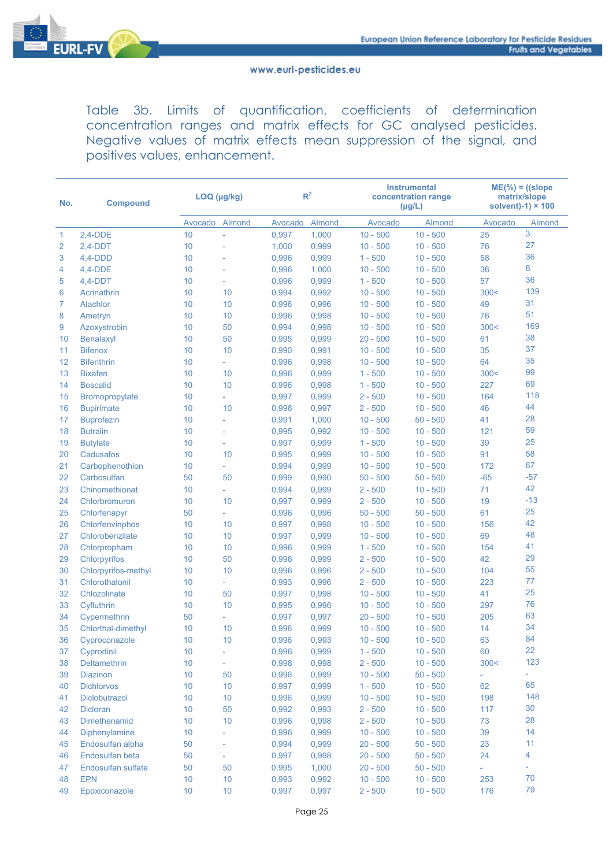

Table 3b. Limits of quantification, coefficients of determination concentration ranges and matrix effects for GC analysed pesticides. Negative values of matrix effects mean suppression of the signal, and positives values, enhancement.

| No.            | <b>Compound</b>     | LOQ (µg/kg)     |                          |         | R <sup>2</sup> |            | <b>Instrumental</b><br>concentration range<br>$(\mu g/L)$ | $ME(\%)=(slope)$<br>matrix/slope<br>solvent)-1) $\times$ 100 |        |  |
|----------------|---------------------|-----------------|--------------------------|---------|----------------|------------|-----------------------------------------------------------|--------------------------------------------------------------|--------|--|
|                |                     | Avocado         | Almond                   | Avocado | Almond         | Avocado    | Almond                                                    | Avocado                                                      | Almond |  |
| 1              | $2,4-DDE$           | 10              | ÷,                       | 0,997   | 1,000          | $10 - 500$ | $10 - 500$                                                | 25                                                           | 3      |  |
| $\overline{2}$ | $2,4-DDT$           | 10              | L,                       | 1,000   | 0,999          | $10 - 500$ | $10 - 500$                                                | 76                                                           | 27     |  |
| 3              | $4,4-DDD$           | 10              |                          | 0,996   | 0,999          | $1 - 500$  | $10 - 500$                                                | 58                                                           | 36     |  |
| 4              | $4,4-DDE$           | 10              | L,                       | 0,996   | 1,000          | $10 - 500$ | $10 - 500$                                                | 36                                                           | 8      |  |
| 5              | $4,4-DDT$           | 10              | $\bar{\phantom{a}}$      | 0,996   | 0,999          | $1 - 500$  | $10 - 500$                                                | 57                                                           | 36     |  |
| 6              | Acrinathrin         | 10 <sup>°</sup> | 10                       | 0,994   | 0,992          | $10 - 500$ | $10 - 500$                                                | 300<                                                         | 139    |  |
| 7              | Alachlor            | 10 <sup>°</sup> | 10                       | 0,996   | 0,996          | $10 - 500$ | $10 - 500$                                                | 49                                                           | 31     |  |
| 8              | Ametryn             | 10              | 10                       | 0,996   | 0,998          | $10 - 500$ | $10 - 500$                                                | 76                                                           | 51     |  |
| 9              | Azoxystrobin        | 10 <sup>°</sup> | 50                       | 0,994   | 0,998          | $10 - 500$ | $10 - 500$                                                | 300<                                                         | 169    |  |
| 10             | Benalaxyl           | 10 <sup>°</sup> | 50                       | 0,995   | 0,999          | $20 - 500$ | $10 - 500$                                                | 61                                                           | 38     |  |
| 11             | <b>Bifenox</b>      | 10              | 10                       | 0,990   | 0,991          | $10 - 500$ | $10 - 500$                                                | 35                                                           | 37     |  |
| 12             | <b>Bifenthrin</b>   | 10              | ÷.                       | 0,996   | 0,998          | $10 - 500$ | $10 - 500$                                                | 64                                                           | 35     |  |
| 13             | <b>Bixafen</b>      | 10              | 10                       | 0,996   | 0,999          | $1 - 500$  | $10 - 500$                                                | 300<                                                         | 99     |  |
| 14             | <b>Boscalid</b>     | 10              | 10                       | 0,996   | 0,998          | $1 - 500$  | $10 - 500$                                                | 227                                                          | 69     |  |
| 15             | Bromopropylate      | 10              | ÷.                       | 0,997   | 0,999          | $2 - 500$  | $10 - 500$                                                | 164                                                          | 118    |  |
| 16             | <b>Bupirimate</b>   | 10 <sup>°</sup> | 10                       | 0,998   | 0,997          | $2 - 500$  | $10 - 500$                                                | 46                                                           | 44     |  |
| 17             | <b>Buprofezin</b>   | 10 <sup>°</sup> | L                        | 0,991   | 1,000          | $10 - 500$ | $50 - 500$                                                | 41                                                           | 28     |  |
| 18             | <b>Butralin</b>     | 10 <sup>°</sup> | $\bar{\phantom{a}}$      | 0,995   | 0,992          | $10 - 500$ | $10 - 500$                                                | 121                                                          | 59     |  |
| 19             | <b>Butylate</b>     | 10              | L,                       | 0,997   | 0,999          | $1 - 500$  | $10 - 500$                                                | 39                                                           | 25     |  |
| 20             | Cadusafos           | 10              | 10                       | 0,995   | 0,999          | $10 - 500$ | $10 - 500$                                                | 91                                                           | 58     |  |
| 21             | Carbophenothion     | 10              | $\overline{\phantom{a}}$ | 0,994   | 0,999          | $10 - 500$ | $10 - 500$                                                | 172                                                          | 67     |  |
| 22             | Carbosulfan         | 50              | 50                       | 0,999   | 0,990          | $50 - 500$ | $50 - 500$                                                | $-65$                                                        | $-57$  |  |
| 23             | Chinomethionat      | 10              | ÷.                       | 0,994   | 0,999          | $2 - 500$  | $10 - 500$                                                | 71                                                           | 42     |  |
| 24             | Chlorbromuron       | 10              | 10                       | 0,997   | 0,999          | $2 - 500$  | $10 - 500$                                                | 19                                                           | $-13$  |  |
| 25             | Chlorfenapyr        | 50              | ÷.                       | 0,996   | 0,996          | $50 - 500$ | $50 - 500$                                                | 61                                                           | 25     |  |
| 26             | Chlorfenvinphos     | 10 <sup>°</sup> | 10                       | 0,997   | 0,998          | $10 - 500$ | $10 - 500$                                                | 156                                                          | 42     |  |
| 27             | Chlorobenzilate     | 10              | 10                       | 0,997   | 0,999          | $10 - 500$ | $10 - 500$                                                | 69                                                           | 48     |  |
| 28             | Chlorpropham        | 10              | 10                       | 0,996   | 0,999          | $1 - 500$  | $10 - 500$                                                | 154                                                          | 41     |  |
| 29             | Chlorpyrifos        | 10 <sup>°</sup> | 50                       | 0,996   | 0,999          | $2 - 500$  | $10 - 500$                                                | 42                                                           | 29     |  |
| 30             | Chlorpyrifos-methyl | 10              | 10                       | 0,996   | 0,996          | $2 - 500$  | $10 - 500$                                                | 104                                                          | 55     |  |
| 31             | Chlorothalonil      | 10 <sup>1</sup> | ÷.                       | 0,993   | 0,996          | $2 - 500$  | $10 - 500$                                                | 223                                                          | 77     |  |
| 32             | Chlozolinate        | 10 <sup>1</sup> | 50                       | 0,997   | 0,998          | $10 - 500$ | $10 - 500$                                                | 41                                                           | 25     |  |
| 33             | Cyfluthrin          | 10              | 10                       | 0,995   | 0,996          | $10 - 500$ | $10 - 500$                                                | 297                                                          | 76     |  |
| 34             | Cypermethrin        | 50              | ÷.                       | 0,997   | 0,997          | $20 - 500$ | $10 - 500$                                                | 205                                                          | 63     |  |
| 35             | Chlorthal-dimethyl  | 10              | 10                       | 0,996   | 0,999          | $10 - 500$ | $10 - 500$                                                | 14                                                           | 34     |  |
| 36             | Cyproconazole       | 10              | 10                       | 0,996   | 0,993          | $10 - 500$ | $10 - 500$                                                | 63                                                           | 84     |  |
| 37             | Cyprodinil          | 10              |                          | 0,996   | 0,999          | $1 - 500$  | $10 - 500$                                                | 60                                                           | 22     |  |
| 38             | Deltamethrin        | 10              |                          | 0,998   | 0,998          | $2 - 500$  | $10 - 500$                                                | 300<                                                         | 123    |  |
| 39             | <b>Diazinon</b>     | 10              | 50                       | 0,996   | 0,999          | $10 - 500$ | $50 - 500$                                                | ÷.                                                           | ÷.     |  |
| 40             | <b>Dichlorvos</b>   | 10              | 10                       | 0,997   | 0,999          | $1 - 500$  | $10 - 500$                                                | 62                                                           | 65     |  |
| 41             | Diclobutrazol       | 10              | $10$                     | 0,996   | 0,999          | $10 - 500$ | $10 - 500$                                                | 198                                                          | 148    |  |
| 42             | Dicloran            | 10              | 50                       | 0,992   | 0,993          | $2 - 500$  | $10 - 500$                                                | 117                                                          | 30     |  |
| 43             | Dimethenamid        | 10              | 10                       | 0,996   | 0,998          | $2 - 500$  | $10 - 500$                                                | 73                                                           | 28     |  |
| 44             | Diphenylamine       | 10              |                          | 0,996   | 0,999          | $10 - 500$ | $10 - 500$                                                | 39                                                           | 14     |  |
| 45             | Endosulfan alpha    | 50              |                          | 0,994   | 0,999          | $20 - 500$ | $50 - 500$                                                | 23                                                           | 11     |  |
| 46             | Endosulfan beta     | 50              |                          | 0,997   | 0,998          | $20 - 500$ | $50 - 500$                                                | 24                                                           | 4      |  |
| 47             | Endosulfan sulfate  | 50              | 50                       | 0,995   | 1,000          | $20 - 500$ | $50 - 500$                                                |                                                              | ÷.     |  |
| 48             | <b>EPN</b>          | 10              | 10                       | 0,993   | 0,992          | $10 - 500$ | $10 - 500$                                                | 253                                                          | 70     |  |
| 49             | Epoxiconazole       | 10              | $10$                     | 0,997   | 0,997          | $2 - 500$  | $10 - 500$                                                | 176                                                          | 79     |  |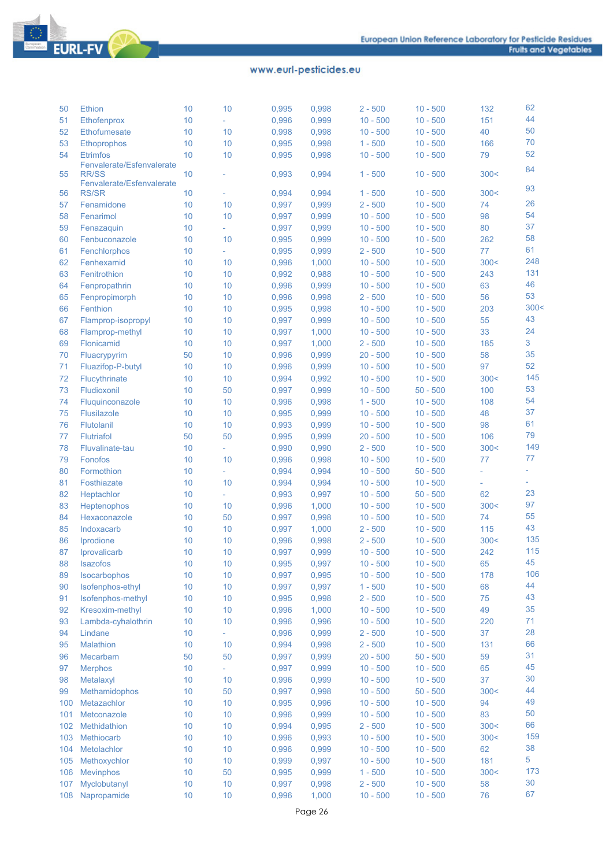| 50  | <b>Ethion</b>                             | 10 | 10             | 0,995 | 0,998 | $2 - 500$  | $10 - 500$ | 132                         | 62                       |
|-----|-------------------------------------------|----|----------------|-------|-------|------------|------------|-----------------------------|--------------------------|
| 51  | Ethofenprox                               | 10 | $\overline{a}$ | 0,996 | 0,999 | $10 - 500$ | $10 - 500$ | 151                         | 44                       |
| 52  | Ethofumesate                              | 10 | 10             | 0,998 | 0,998 | $10 - 500$ | $10 - 500$ | 40                          | 50                       |
| 53  | Ethoprophos                               | 10 | 10             | 0,995 | 0,998 | $1 - 500$  | $10 - 500$ | 166                         | 70                       |
| 54  | <b>Etrimfos</b>                           | 10 | 10             | 0,995 | 0.998 | $10 - 500$ | $10 - 500$ | 79                          | 52                       |
| 55  | Fenvalerate/Esfenvalerate<br><b>RR/SS</b> | 10 |                | 0,993 | 0,994 | $1 - 500$  | $10 - 500$ | 300<                        | 84                       |
|     | Fenvalerate/Esfenvalerate                 |    |                |       |       |            |            |                             | 93                       |
| 56  | <b>RS/SR</b>                              | 10 | L              | 0,994 | 0,994 | $1 - 500$  | $10 - 500$ | 300<                        |                          |
| 57  | Fenamidone                                | 10 | 10             | 0,997 | 0,999 | $2 - 500$  | $10 - 500$ | 74                          | 26                       |
| 58  | Fenarimol                                 | 10 | 10             | 0,997 | 0,999 | $10 - 500$ | $10 - 500$ | 98                          | 54                       |
| 59  | Fenazaquin                                | 10 | L,             | 0,997 | 0,999 | $10 - 500$ | $10 - 500$ | 80                          | 37                       |
| 60  | Fenbuconazole                             | 10 | 10             | 0,995 | 0,999 | $10 - 500$ | $10 - 500$ | 262                         | 58                       |
| 61  | Fenchlorphos                              | 10 | L,             | 0,995 | 0,999 | $2 - 500$  | $10 - 500$ | 77                          | 61                       |
| 62  | Fenhexamid                                | 10 | 10             | 0,996 | 1,000 | $10 - 500$ | $10 - 500$ | 300<                        | 248                      |
| 63  | Fenitrothion                              | 10 | 10             | 0,992 | 0,988 | $10 - 500$ | $10 - 500$ | 243                         | 131                      |
| 64  | Fenpropathrin                             | 10 | 10             | 0,996 | 0,999 | $10 - 500$ | $10 - 500$ | 63                          | 46                       |
| 65  | Fenpropimorph                             | 10 | 10             | 0,996 | 0,998 | $2 - 500$  | $10 - 500$ | 56                          | 53                       |
| 66  | Fenthion                                  | 10 | 10             | 0,995 | 0,998 | $10 - 500$ | $10 - 500$ | 203                         | 300<                     |
| 67  | Flamprop-isopropyl                        | 10 | 10             | 0,997 | 0,999 | $10 - 500$ | $10 - 500$ | 55                          | 43                       |
| 68  | Flamprop-methyl                           | 10 | 10             | 0,997 | 1,000 | $10 - 500$ | $10 - 500$ | 33                          | 24                       |
| 69  | Flonicamid                                | 10 | 10             | 0,997 | 1,000 | $2 - 500$  | $10 - 500$ | 185                         | 3                        |
| 70  | Fluacrypyrim                              | 50 | 10             | 0,996 | 0,999 | $20 - 500$ | $10 - 500$ | 58                          | 35                       |
| 71  | Fluazifop-P-butyl                         | 10 | 10             | 0,996 | 0,999 | $10 - 500$ | $10 - 500$ | 97                          | 52                       |
| 72  | Flucythrinate                             | 10 | 10             | 0,994 | 0,992 | $10 - 500$ | $10 - 500$ | 300<                        | 145                      |
| 73  | Fludioxonil                               | 10 | 50             | 0,997 | 0,999 | $10 - 500$ | $50 - 500$ | 100                         | 53                       |
| 74  | Fluquinconazole                           | 10 | 10             | 0,996 | 0,998 | $1 - 500$  | $10 - 500$ | 108                         | 54                       |
| 75  | <b>Flusilazole</b>                        | 10 | 10             | 0,995 | 0,999 | $10 - 500$ | $10 - 500$ | 48                          | 37                       |
| 76  | Flutolanil                                | 10 | 10             | 0,993 | 0,999 | $10 - 500$ | $10 - 500$ | 98                          | 61                       |
| 77  | <b>Flutriafol</b>                         | 50 | 50             | 0,995 | 0,999 | $20 - 500$ | $10 - 500$ | 106                         | 79                       |
| 78  | Fluvalinate-tau                           | 10 | L,             | 0,990 | 0,990 | $2 - 500$  | $10 - 500$ | 300<                        | 149                      |
| 79  | Fonofos                                   | 10 | 10             | 0,996 | 0,998 | $10 - 500$ | $10 - 500$ | 77                          | 77                       |
| 80  | Formothion                                | 10 | L,             | 0,994 | 0,994 | $10 - 500$ | $50 - 500$ | $\mathcal{L}_{\mathcal{A}}$ | $\overline{\phantom{a}}$ |
| 81  | Fosthiazate                               | 10 | 10             | 0,994 | 0,994 | $10 - 500$ | $10 - 500$ | $\equiv$                    |                          |
| 82  | Heptachlor                                | 10 | L,             | 0,993 | 0,997 | $10 - 500$ | $50 - 500$ | 62                          | 23                       |
| 83  | Heptenophos                               | 10 | 10             | 0,996 | 1.000 | $10 - 500$ | $10 - 500$ | 300<                        | 97                       |
| 84  | Hexaconazole                              | 10 | 50             | 0,997 | 0,998 | $10 - 500$ | $10 - 500$ | 74                          | 55                       |
| 85  | Indoxacarb                                | 10 | 10             | 0,997 | 1,000 | $2 - 500$  | $10 - 500$ | 115                         | 43                       |
| 86  | Iprodione                                 | 10 | 10             | 0,996 | 0,998 | $2 - 500$  | $10 - 500$ | 300<                        | 135                      |
| 87  | Iprovalicarb                              | 10 | 10             | 0,997 | 0,999 | $10 - 500$ | $10 - 500$ | 242                         | 115                      |
| 88  | Isazofos                                  | 10 | 10             | 0,995 | 0,997 | $10 - 500$ | $10 - 500$ | 65                          | 45                       |
| 89  | Isocarbophos                              | 10 | 10             | 0,997 | 0,995 | $10 - 500$ | $10 - 500$ | 178                         | 106                      |
| 90  | Isofenphos-ethyl                          | 10 | 10             | 0,997 | 0,997 | $1 - 500$  | $10 - 500$ | 68                          | 44                       |
| 91  | Isofenphos-methyl                         | 10 | 10             | 0,995 | 0,998 | $2 - 500$  | $10 - 500$ | 75                          | 43                       |
| 92  | Kresoxim-methyl                           | 10 | 10             | 0,996 | 1,000 | $10 - 500$ | $10 - 500$ | 49                          | 35                       |
| 93  | Lambda-cyhalothrin                        | 10 | 10             | 0,996 | 0,996 | $10 - 500$ | $10 - 500$ | 220                         | 71                       |
|     |                                           |    |                |       |       |            |            |                             | 28                       |
| 94  | Lindane                                   | 10 |                | 0,996 | 0,999 | $2 - 500$  | $10 - 500$ | 37                          | 66                       |
| 95  | Malathion                                 | 10 | 10             | 0,994 | 0,998 | $2 - 500$  | $10 - 500$ | 131                         |                          |
| 96  | Mecarbam                                  | 50 | 50             | 0,997 | 0,999 | $20 - 500$ | $50 - 500$ | 59                          | 31                       |
| 97  | <b>Merphos</b>                            | 10 | ÷,             | 0,997 | 0,999 | $10 - 500$ | $10 - 500$ | 65                          | 45                       |
| 98  | Metalaxyl                                 | 10 | 10             | 0,996 | 0,999 | $10 - 500$ | $10 - 500$ | 37                          | 30                       |
| 99  | Methamidophos                             | 10 | 50             | 0,997 | 0,998 | $10 - 500$ | $50 - 500$ | 300<                        | 44                       |
| 100 | Metazachlor                               | 10 | 10             | 0,995 | 0,996 | $10 - 500$ | $10 - 500$ | 94                          | 49                       |
| 101 | Metconazole                               | 10 | 10             | 0,996 | 0,999 | $10 - 500$ | $10 - 500$ | 83                          | 50                       |
| 102 | Methidathion                              | 10 | 10             | 0,994 | 0,995 | $2 - 500$  | $10 - 500$ | 300<                        | 66                       |
| 103 | <b>Methiocarb</b>                         | 10 | 10             | 0,996 | 0,993 | $10 - 500$ | $10 - 500$ | 300<                        | 159                      |
| 104 | Metolachlor                               | 10 | 10             | 0,996 | 0,999 | $10 - 500$ | $10 - 500$ | 62                          | 38                       |
| 105 | Methoxychlor                              | 10 | 10             | 0,999 | 0,997 | $10 - 500$ | $10 - 500$ | 181                         | 5                        |
| 106 | <b>Mevinphos</b>                          | 10 | 50             | 0,995 | 0,999 | $1 - 500$  | $10 - 500$ | 300<                        | 173                      |
| 107 | Myclobutanyl                              | 10 | 10             | 0,997 | 0,998 | $2 - 500$  | $10 - 500$ | 58                          | 30                       |
| 108 | Napropamide                               | 10 | 10             | 0,996 | 1,000 | $10 - 500$ | $10 - 500$ | 76                          | 67                       |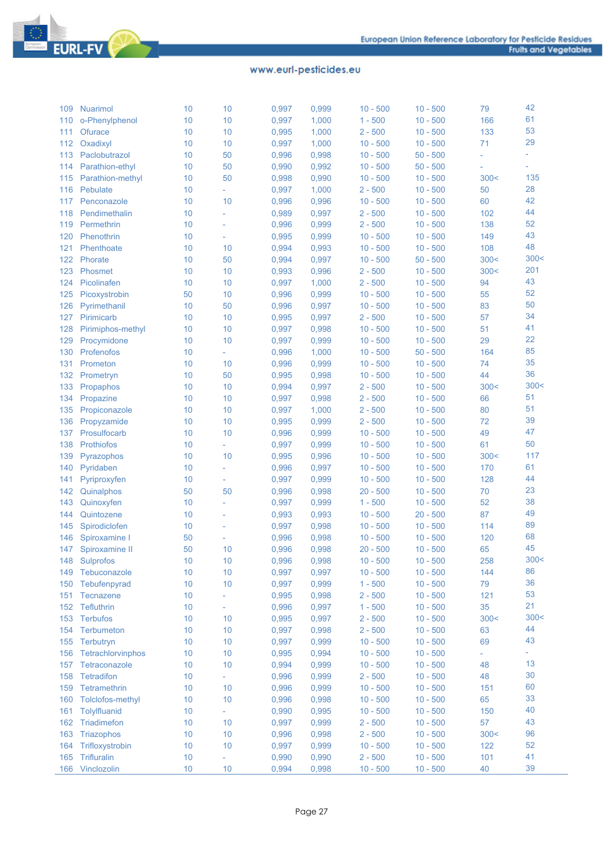

| 109 | <b>Nuarimol</b>          | 10 | 10                       | 0,997 | 0,999 | $10 - 500$ | $10 - 500$ | 79   | 42   |
|-----|--------------------------|----|--------------------------|-------|-------|------------|------------|------|------|
| 110 | o-Phenylphenol           | 10 | 10                       | 0,997 | 1,000 | $1 - 500$  | $10 - 500$ | 166  | 61   |
| 111 | <b>Ofurace</b>           | 10 | 10                       | 0,995 | 1,000 | $2 - 500$  | $10 - 500$ | 133  | 53   |
| 112 | Oxadixyl                 | 10 | 10                       | 0,997 | 1,000 | $10 - 500$ | $10 - 500$ | 71   | 29   |
| 113 | Paclobutrazol            | 10 | 50                       | 0,996 | 0,998 | $10 - 500$ | $50 - 500$ |      | ÷,   |
| 114 | Parathion-ethyl          | 10 | 50                       | 0,990 | 0,992 | $10 - 500$ | $50 - 500$ |      | ٠    |
| 115 | Parathion-methyl         | 10 | 50                       | 0,998 | 0,990 | $10 - 500$ | $10 - 500$ | 300< | 135  |
| 116 | Pebulate                 | 10 | L,                       | 0,997 | 1,000 | $2 - 500$  | $10 - 500$ | 50   | 28   |
| 117 | Penconazole              | 10 | 10                       | 0,996 | 0,996 | $10 - 500$ | $10 - 500$ | 60   | 42   |
| 118 | Pendimethalin            | 10 | L,                       | 0,989 | 0,997 | $2 - 500$  | $10 - 500$ | 102  | 44   |
| 119 | Permethrin               | 10 | L                        | 0,996 | 0,999 | $2 - 500$  | $10 - 500$ | 138  | 52   |
| 120 | Phenothrin               | 10 | $\overline{\phantom{a}}$ | 0,995 | 0,999 | $10 - 500$ | $10 - 500$ | 149  | 43   |
| 121 | Phenthoate               | 10 | 10                       | 0,994 | 0,993 | $10 - 500$ | $10 - 500$ | 108  | 48   |
| 122 | Phorate                  | 10 | 50                       | 0,994 | 0,997 | $10 - 500$ | $50 - 500$ | 300< | 300< |
| 123 | Phosmet                  | 10 | 10                       | 0,993 | 0,996 | $2 - 500$  | $10 - 500$ | 300< | 201  |
| 124 | Picolinafen              | 10 | 10                       | 0,997 | 1,000 | $2 - 500$  | $10 - 500$ | 94   | 43   |
| 125 | Picoxystrobin            | 50 | 10                       | 0,996 | 0,999 | $10 - 500$ | $10 - 500$ | 55   | 52   |
| 126 | Pyrimethanil             | 10 | 50                       | 0,996 | 0,997 | $10 - 500$ | $10 - 500$ | 83   | 50   |
| 127 | Pirimicarb               | 10 | 10                       | 0,995 | 0,997 | $2 - 500$  | $10 - 500$ | 57   | 34   |
| 128 | Pirimiphos-methyl        | 10 | 10                       | 0,997 | 0,998 | $10 - 500$ | $10 - 500$ | 51   | 41   |
| 129 | Procymidone              | 10 | 10                       | 0,997 | 0,999 | $10 - 500$ | $10 - 500$ | 29   | 22   |
| 130 | Profenofos               | 10 | L,                       | 0,996 | 1,000 | $10 - 500$ | $50 - 500$ | 164  | 85   |
| 131 | Prometon                 | 10 | 10                       | 0,996 | 0,999 | $10 - 500$ | $10 - 500$ | 74   | 35   |
| 132 | Prometryn                | 10 | 50                       | 0,995 | 0,998 | $10 - 500$ | $10 - 500$ | 44   | 36   |
| 133 | Propaphos                | 10 | 10                       | 0,994 | 0,997 | $2 - 500$  | $10 - 500$ | 300< | 300< |
| 134 | Propazine                | 10 | 10                       | 0,997 | 0,998 | $2 - 500$  | $10 - 500$ | 66   | 51   |
| 135 | Propiconazole            | 10 | 10                       | 0,997 | 1,000 | $2 - 500$  | $10 - 500$ | 80   | 51   |
| 136 | Propyzamide              | 10 | 10                       | 0,995 | 0,999 | $2 - 500$  | $10 - 500$ | 72   | 39   |
| 137 | Prosulfocarb             | 10 | 10                       | 0,996 | 0,999 | $10 - 500$ | $10 - 500$ | 49   | 47   |
| 138 | Prothiofos               | 10 | ÷.                       | 0,997 | 0,999 | $10 - 500$ | $10 - 500$ | 61   | 50   |
| 139 | Pyrazophos               | 10 | 10                       | 0,995 | 0,996 | $10 - 500$ | $10 - 500$ | 300< | 117  |
| 140 | Pyridaben                | 10 | L,                       | 0,996 | 0,997 | $10 - 500$ | $10 - 500$ | 170  | 61   |
| 141 |                          | 10 | L,                       | 0,997 | 0,999 | $10 - 500$ | $10 - 500$ | 128  | 44   |
| 142 | Pyriproxyfen             | 50 | 50                       | 0,996 | 0,998 | $20 - 500$ | $10 - 500$ | 70   | 23   |
|     | Quinalphos<br>Quinoxyfen |    | $\bar{\phantom{a}}$      |       |       |            | $10 - 500$ | 52   | 38   |
| 143 |                          | 10 | L                        | 0,997 | 0,999 | $1 - 500$  | $20 - 500$ | 87   | 49   |
| 144 | Quintozene               | 10 |                          | 0,993 | 0,993 | $10 - 500$ |            |      | 89   |
| 145 | Spirodiclofen            | 10 | ÷,                       | 0,997 | 0,998 | $10 - 500$ | $10 - 500$ | 114  | 68   |
| 146 | Spiroxamine I            | 50 |                          | 0,996 | 0,998 | $10 - 500$ | $10 - 500$ | 120  | 45   |
| 147 | Spiroxamine II           | 50 | 10                       | 0,996 | 0,998 | $20 - 500$ | $10 - 500$ | 65   | 300< |
| 148 | Sulprofos                | 10 | 10                       | 0,996 | 0,998 | $10 - 500$ | $10 - 500$ | 258  |      |
| 149 | Tebuconazole             | 10 | 10                       | 0,997 | 0,997 | $10 - 500$ | $10 - 500$ | 144  | 86   |
| 150 | Tebufenpyrad             | 10 | 10                       | 0,997 | 0,999 | $1 - 500$  | $10 - 500$ | 79   | 36   |
| 151 | Tecnazene                | 10 | L,                       | 0,995 | 0,998 | $2 - 500$  | $10 - 500$ | 121  | 53   |
| 152 | Tefluthrin               | 10 | ÷,                       | 0,996 | 0,997 | $1 - 500$  | $10 - 500$ | 35   | 21   |
| 153 | <b>Terbufos</b>          | 10 | 10                       | 0,995 | 0,997 | $2 - 500$  | $10 - 500$ | 300< | 300< |
| 154 | Terbumeton               | 10 | 10                       | 0,997 | 0,998 | $2 - 500$  | $10 - 500$ | 63   | 44   |
| 155 | Terbutryn                | 10 | 10                       | 0,997 | 0,999 | $10 - 500$ | $10 - 500$ | 69   | 43   |
| 156 | Tetrachlorvinphos        | 10 | 10                       | 0,995 | 0,994 | $10 - 500$ | $10 - 500$ |      | ÷    |
| 157 | Tetraconazole            | 10 | 10                       | 0,994 | 0,999 | $10 - 500$ | $10 - 500$ | 48   | 13   |
| 158 | <b>Tetradifon</b>        | 10 | ÷,                       | 0,996 | 0,999 | $2 - 500$  | $10 - 500$ | 48   | 30   |
| 159 | Tetramethrin             | 10 | 10                       | 0,996 | 0,999 | $10 - 500$ | $10 - 500$ | 151  | 60   |
| 160 | Tolclofos-methyl         | 10 | 10                       | 0,996 | 0,998 | $10 - 500$ | $10 - 500$ | 65   | 33   |
| 161 | Tolylfluanid             | 10 | ÷,                       | 0,990 | 0,995 | $10 - 500$ | $10 - 500$ | 150  | 40   |
| 162 | Triadimefon              | 10 | 10                       | 0,997 | 0,999 | $2 - 500$  | $10 - 500$ | 57   | 43   |
| 163 | Triazophos               | 10 | 10                       | 0,996 | 0,998 | $2 - 500$  | $10 - 500$ | 300< | 96   |
| 164 | Trifloxystrobin          | 10 | 10                       | 0,997 | 0,999 | $10 - 500$ | $10 - 500$ | 122  | 52   |
| 165 | Trifluralin              | 10 | ÷,                       | 0,990 | 0,990 | $2 - 500$  | $10 - 500$ | 101  | 41   |
| 166 | Vinclozolin              | 10 | 10                       | 0,994 | 0,998 | $10 - 500$ | $10 - 500$ | 40   | 39   |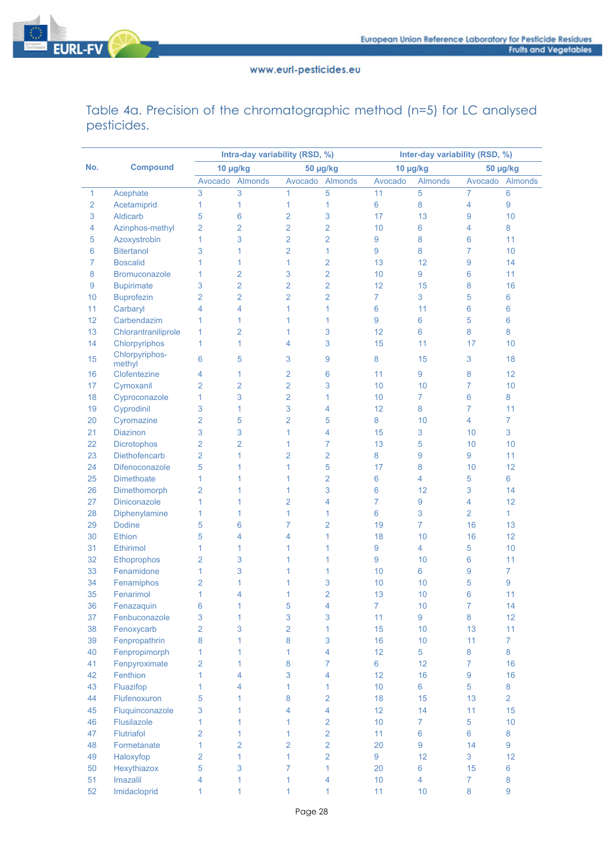

Table 4a. Precision of the chromatographic method (n=5) for LC analysed pesticides.

|                |                      |                |                | Intra-day variability (RSD, %) |                | Inter-day variability (RSD, %) |                |                |                |  |  |
|----------------|----------------------|----------------|----------------|--------------------------------|----------------|--------------------------------|----------------|----------------|----------------|--|--|
| No.            | <b>Compound</b>      | 10 µg/kg       |                |                                | 50 µg/kg       | 10 µg/kg                       |                | 50 µg/kg       |                |  |  |
|                |                      | Avocado        | <b>Almonds</b> | Avocado                        | <b>Almonds</b> | Avocado                        | <b>Almonds</b> | Avocado        | Almonds        |  |  |
| 1              | Acephate             | 3              | 3              | 1                              | 5              | 11                             | 5              | 7              | 6              |  |  |
| $\overline{2}$ | Acetamiprid          | 1              | $\mathbf{1}$   | 1                              | $\mathbf{1}$   | $\boldsymbol{6}$               | 8              | 4              | 9              |  |  |
| 3              | Aldicarb             | 5              | 6              | $\overline{2}$                 | 3              | 17                             | 13             | 9              | 10             |  |  |
| 4              | Azinphos-methyl      | $\overline{2}$ | $\overline{2}$ | $\overline{2}$                 | $\overline{2}$ | 10                             | 6              | 4              | 8              |  |  |
| 5              | Azoxystrobin         | 1              | 3              | $\overline{2}$                 | $\overline{2}$ | 9                              | 8              | 6              | 11             |  |  |
| 6              | <b>Bitertanol</b>    | 3              | 1              | $\overline{2}$                 | 1              | 9                              | 8              | 7              | 10             |  |  |
| $\overline{7}$ | <b>Boscalid</b>      | 1              | 1              | 1                              | $\overline{2}$ | 13                             | 12             | 9              | 14             |  |  |
| 8              | <b>Bromuconazole</b> | 1              | $\overline{2}$ | 3                              | $\overline{2}$ | 10                             | 9              | 6              | 11             |  |  |
| 9              | <b>Bupirimate</b>    | 3              | $\overline{2}$ | $\overline{2}$                 | $\overline{2}$ | 12                             | 15             | 8              | 16             |  |  |
| 10             | <b>Buprofezin</b>    | $\overline{2}$ | $\overline{2}$ | $\overline{2}$                 | $\overline{2}$ | $\overline{7}$                 | 3              | 5              | 6              |  |  |
| 11             | Carbaryl             | 4              | 4              | 1                              | 1              | $\boldsymbol{6}$               | 11             | 6              | 6              |  |  |
| 12             | Carbendazim          | 1              | 1              | 1                              | 1              | 9                              | 6              | 5              | 6              |  |  |
| 13             | Chlorantraniliprole  | 1              | $\overline{2}$ | 1                              | 3              | 12                             | 6              | 8              | 8              |  |  |
| 14             | Chlorpyriphos        | 1              | 1              | 4                              | 3              | 15                             | 11             | 17             | 10             |  |  |
| 15             | Chlorpyriphos-       | 6              | 5              | 3                              | 9              | 8                              | 15             | 3              | 18             |  |  |
|                | methyl               |                |                |                                |                |                                |                |                |                |  |  |
| 16             | Clofentezine         | 4              | 1              | $\overline{2}$                 | 6              | 11                             | 9              | 8              | 12             |  |  |
| 17             | Cymoxanil            | $\overline{2}$ | $\overline{2}$ | 2                              | 3              | 10                             | 10             | 7              | 10             |  |  |
| 18             | Cyproconazole        | 1              | 3              | $\overline{2}$                 | $\mathbf{1}$   | 10                             | $\overline{7}$ | $6\phantom{a}$ | 8              |  |  |
| 19             | Cyprodinil           | 3              | 1              | 3                              | 4              | 12                             | 8              | 7              | 11             |  |  |
| 20             | Cyromazine           | $\overline{2}$ | 5              | $\overline{2}$                 | 5              | 8                              | 10             | $\overline{4}$ | $\overline{7}$ |  |  |
| 21             | <b>Diazinon</b>      | 3              | 3              | 1                              | 4              | 15                             | 3              | 10             | 3              |  |  |
| 22             | <b>Dicrotophos</b>   | $\overline{2}$ | $\overline{2}$ | 1                              | $\overline{7}$ | 13                             | 5              | 10             | 10             |  |  |
| 23             | Diethofencarb        | $\overline{2}$ | 1              | $\overline{2}$                 | $\overline{2}$ | 8                              | 9              | 9              | 11             |  |  |
| 24             | Difenoconazole       | 5              | 1              | 1                              | 5              | 17                             | 8              | 10             | 12             |  |  |
| 25             | <b>Dimethoate</b>    | 1              | 1              | 1                              | 2              | 6                              | 4              | 5              | 6              |  |  |
| 26             | Dimethomorph         | $\overline{2}$ | 1              | 1                              | 3              | 6                              | 12             | 3              | 14             |  |  |
| 27             | <b>Diniconazole</b>  | 1              | 1              | $\overline{2}$                 | 4              | $\overline{7}$                 | 9              | 4              | 12             |  |  |
| 28             | Diphenylamine        | 1              | 1              | $\mathbf{1}$                   | 1              | 6                              | 3              | $\overline{2}$ | $\mathbf{1}$   |  |  |
| 29             | <b>Dodine</b>        | 5              | 6              | $\overline{7}$                 | $\overline{2}$ | 19                             | $\overline{7}$ | 16             | 13             |  |  |
| 30             | Ethion               | 5              | 4              | 4                              | 1              | 18                             | 10             | 16             | 12             |  |  |
| 31             | <b>Ethirimol</b>     | 1              | 1              | 1                              | 1              | $\overline{9}$                 | 4              | 5              | 10             |  |  |
| 32             | Ethoprophos          | $\overline{2}$ | 3              | 1                              | 1              | 9                              | 10             | 6              | 11             |  |  |
| 33             | Fenamidone           | 1              | 3              | 1                              | 1              | 10                             | 6              | 9              | $\overline{7}$ |  |  |
| 34             | Fenamiphos           | $\overline{2}$ | 1              | 1                              | 3              | 10                             | 10             | 5              | 9              |  |  |
| 35             | Fenarimol            | 1              | 4              | 1                              | $\overline{2}$ | 13                             | 10             | 6              | 11             |  |  |
| 36             | Fenazaquin           | 6              | 1              | 5                              | 4              | $\overline{7}$                 | 10             | 7              | 14             |  |  |
| 37             | Fenbuconazole        | 3              | 1              | $\sqrt{3}$                     | 3              | 11                             | 9              | 8              | 12             |  |  |
| 38             | Fenoxycarb           | $\overline{2}$ | 3              | $\overline{2}$                 | 1              | 15                             | 10             | 13             | 11             |  |  |
| 39             | Fenpropathrin        | 8              | 1              | 8                              | 3              | 16                             | 10             | 11             | $\overline{7}$ |  |  |
| 40             | Fenpropimorph        | $\mathbf{1}$   | 1              | 1                              | $\overline{4}$ | 12                             | 5              | 8              | 8              |  |  |
| 41             | Fenpyroximate        | $\overline{2}$ | 1              | 8                              | $\overline{7}$ | 6                              | 12             | $\overline{7}$ | 16             |  |  |
| 42             | Fenthion             | $\mathbf{1}$   | 4              | 3                              | 4              | 12                             | 16             | 9              | 16             |  |  |
| 43             | Fluazifop            | $\mathbf{1}$   | 4              | $\mathbf{1}$                   | $\mathbf{1}$   | 10                             | 6              | 5              | 8              |  |  |
| 44             | Flufenoxuron         | 5              | 1              | 8                              | $\overline{2}$ | 18                             | 15             | 13             | $\overline{2}$ |  |  |
| 45             | Fluquinconazole      | 3              | $\mathbf{1}$   | $\overline{4}$                 | $\overline{4}$ | 12                             | 14             | 11             | 15             |  |  |
| 46             | Flusilazole          | 1              | $\mathbf{1}$   | $\mathbf{1}$                   | $\overline{2}$ | 10                             | $\overline{7}$ | 5              | 10             |  |  |
| 47             | Flutriafol           | $\overline{2}$ | $\mathbf{1}$   | $\mathbf{1}$                   | $\overline{2}$ | 11                             | $6\phantom{a}$ | 6              | 8              |  |  |
| 48             | Formetanate          | $\mathbf{1}$   | $\overline{2}$ | $\overline{2}$                 | $\overline{2}$ | 20                             | 9              | 14             | 9              |  |  |
| 49             | Haloxyfop            | $\overline{2}$ | $\mathbf{1}$   | $\mathbf{1}$                   | $\overline{2}$ | 9                              | 12             | 3              | 12             |  |  |
| 50             | Hexythiazox          | 5              | 3              | $\overline{7}$                 | $\mathbf{1}$   | 20                             | 6              | 15             | 6              |  |  |
| 51             | Imazalil             | 4              | 1              | 1                              | $\overline{4}$ | 10                             | $\overline{4}$ | $\overline{7}$ | 8              |  |  |
| 52             | Imidacloprid         | 1              | $\mathbf{1}$   | $\mathbf{1}$                   | 1              | 11                             | 10             | 8              | 9              |  |  |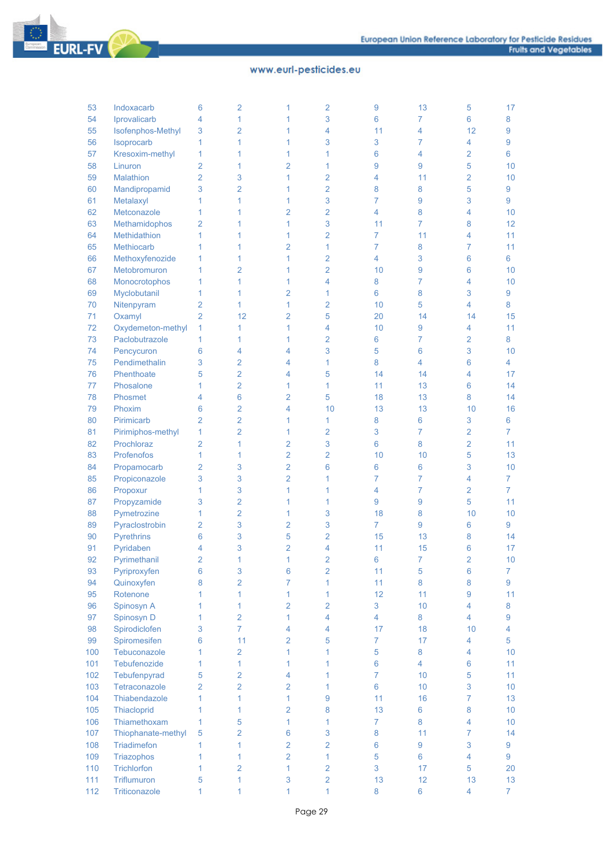

| 53       | Indoxacarb                  | 6              | $\overline{2}$ | 1              | $\overline{2}$          | 9              | 13               | 5                       | 17             |
|----------|-----------------------------|----------------|----------------|----------------|-------------------------|----------------|------------------|-------------------------|----------------|
| 54       | Iprovalicarb                | 4              | 1              | 1              | 3                       | 6              | 7                | 6                       | 8              |
| 55       | Isofenphos-Methyl           | 3              | $\overline{2}$ | 1              | 4                       | 11             | 4                | 12                      | 9              |
| 56       | Isoprocarb                  | 1              | 1              | 1              | 3                       | 3              | 7                | 4                       | 9              |
| 57       | Kresoxim-methyl             | 1              | 1              | 1              | 1                       | 6              | 4                | 2                       | 6              |
| 58       | Linuron                     | $\overline{2}$ | 1              | $\overline{2}$ | 1                       | 9              | 9                | 5                       | 10             |
| 59       | Malathion                   | $\overline{2}$ | 3              | 1              | $\overline{2}$          | 4              | 11               | 2                       | 10             |
| 60       | Mandipropamid               | 3              | $\overline{2}$ | 1              | $\overline{2}$          | 8              | 8                | 5                       | 9              |
| 61       | Metalaxyl                   | 1              | 1              | 1              | 3                       | 7              | 9                | 3                       | 9              |
| 62       | Metconazole                 | 1              | 1              | $\overline{2}$ | $\overline{2}$          | 4              | 8                | 4                       | 10             |
| 63       | Methamidophos               | $\overline{2}$ | 1              | 1              | 3                       | 11             | 7                | 8                       | 12             |
| 64       | Methidathion                | 1              | 1              | 1              | $\overline{2}$          | 7              | 11               | 4                       | 11             |
| 65       | Methiocarb                  | 1              | 1              | 2              | 1                       | 7              | 8                | 7                       | 11             |
| 66       | Methoxyfenozide             | 1              | 1              | 1              | $\overline{2}$          | 4              | 3                | 6                       | 6              |
| 67       | Metobromuron                | 1              | $\overline{2}$ | 1              | $\overline{2}$          | 10             | 9                | 6                       | 10             |
| 68       | Monocrotophos               | 1              | 1              | 1              | 4                       | 8              | 7                | 4                       | 10             |
| 69       | Myclobutanil                | 1              | 1              | 2              | 1                       | 6              | 8                | 3                       | 9              |
| 70       | Nitenpyram                  | $\overline{2}$ | 1              | 1              | $\overline{2}$          | 10             | 5                | 4                       | 8              |
| 71       | Oxamyl                      | $\overline{2}$ | 12             | $\overline{2}$ | 5                       | 20             | 14               | 14                      | 15             |
| 72       | Oxydemeton-methyl           | 1              | 1              | 1              | 4                       | 10             | 9                | 4                       | 11             |
| 73       | Paclobutrazole              | 1              | 1              | 1              | $\overline{2}$          | 6              | 7                | 2                       | 8              |
| 74       |                             | 6              | 4              | 4              | 3                       | 5              | 6                | 3                       | 10             |
| 75       | Pencycuron<br>Pendimethalin | 3              | $\overline{2}$ | 4              | 1                       | 8              | 4                | 6                       | 4              |
| 76       | Phenthoate                  | 5              | $\overline{2}$ | 4              | 5                       | 14             | 14               | 4                       | 17             |
|          |                             |                | $\overline{2}$ | 1              |                         | 11             |                  |                         |                |
| 77<br>78 | Phosalone<br>Phosmet        | 1              | 6              | $\overline{2}$ | 1                       |                | 13<br>13         | 6<br>8                  | 14<br>14       |
|          |                             | 4              |                | 4              | 5                       | 18             |                  |                         |                |
| 79       | Phoxim                      | 6              | $\overline{2}$ |                | 10                      | 13             | 13               | 10                      | 16             |
| 80       | Pirimicarb                  | $\overline{2}$ | $\overline{2}$ | 1              | 1                       | 8              | 6                | 3                       | 6              |
| 81       | Pirimiphos-methyl           | 1              | 2              | 1              | $\overline{2}$          | 3              | $\overline{7}$   | 2                       | 7              |
| 82       | Prochloraz                  | 2              | 1              | 2              | 3                       | 6              | 8                | $\overline{2}$          | 11             |
| 83       | Profenofos                  | 1              | 1              | $\overline{2}$ | $\overline{2}$          | 10             | 10               | 5                       | 13             |
| 84       | Propamocarb                 | $\overline{2}$ | 3              | $\overline{2}$ | 6                       | 6              | 6                | 3                       | 10             |
| 85       | Propiconazole               | 3              | 3              | $\overline{2}$ | 1                       | 7              | 7                | 4                       | $\overline{7}$ |
| 86       | Propoxur                    | 1              | 3              | 1              | 1                       | 4              | $\overline{7}$   | $\overline{2}$          | $\overline{7}$ |
| 87       | Propyzamide                 | 3              | $\overline{2}$ | 1              | 1                       | 9              | 9                | 5                       | 11             |
| 88       | Pymetrozine                 | 1              | $\overline{2}$ | 1              | 3                       | 18             | 8                | 10                      | 10             |
| 89       | Pyraclostrobin              | 2              | 3              | 2              | 3                       | $\overline{7}$ | 9                | 6                       | 9              |
| 90       | <b>Pyrethrins</b>           | 6              | 3              | 5              | 2                       | 15             | 13               | 8                       | 14             |
| 91       | Pyridaben                   | 4              | 3              | $\overline{2}$ | 4                       | 11             | 15               | 6                       | 17             |
| 92       | Pyrimethanil                | $\overline{2}$ | 1              | 1              | $\overline{2}$          | 6              | $\overline{7}$   | $\overline{2}$          | 10             |
| 93       | Pyriproxyfen                | $\bf 6$        | 3              | 6              | $\overline{2}$          | 11             | $\sqrt{5}$       | 6                       | $\overline{7}$ |
| 94       | Quinoxyfen                  | 8              | $\overline{2}$ | $\overline{7}$ | 1                       | 11             | 8                | 8                       | 9              |
| 95       | Rotenone                    | 1              | 1              | 1              | $\mathbf{1}$            | 12             | 11               | 9                       | 11             |
| 96       | Spinosyn A                  | 1              | 1              | $\overline{2}$ | $\overline{2}$          | 3              | 10               | 4                       | 8              |
| 97       | Spinosyn D                  | 1              | $\overline{2}$ | 1              | $\overline{\mathbf{4}}$ | 4              | 8                | 4                       | 9              |
| 98       | Spirodiclofen               | 3              | $\overline{7}$ | 4              | 4                       | 17             | 18               | 10                      | $\overline{4}$ |
| 99       | Spiromesifen                | 6              | 11             | $\overline{2}$ | 5                       | $\overline{7}$ | 17               | $\overline{4}$          | 5              |
| 100      | Tebuconazole                | 1              | $\overline{2}$ | 1              | $\mathbf{1}$            | 5              | 8                | 4                       | 10             |
| 101      | Tebufenozide                | 1              | 1              | $\mathbf{1}$   | 1                       | 6              | 4                | 6                       | 11             |
| 102      | Tebufenpyrad                | 5              | $\overline{2}$ | $\overline{4}$ | 1                       | $\overline{7}$ | 10               | 5                       | 11             |
| 103      | Tetraconazole               | $\overline{2}$ | $\overline{2}$ | $\overline{2}$ | 1                       | $6\phantom{a}$ | 10               | 3                       | 10             |
| 104      | Thiabendazole               | $\overline{1}$ | 1              | 1              | $\overline{9}$          | 11             | 16               | 7                       | 13             |
| 105      | Thiacloprid                 | 1              | 1              | 2              | 8                       | 13             | 6                | 8                       | 10             |
| 106      | Thiamethoxam                | 1              | 5              | 1              | 1                       | $\overline{7}$ | 8                | 4                       | 10             |
| 107      | Thiophanate-methyl          | 5              | $\overline{2}$ | $6\phantom{a}$ | 3                       | 8              | 11               | $\overline{7}$          | 14             |
| 108      | Triadimefon                 | 1              | 1              | $\overline{2}$ | $\overline{2}$          | 6              | $\boldsymbol{9}$ | 3                       | 9              |
| 109      | Triazophos                  | 1              | $\overline{1}$ | $\overline{2}$ | $\mathbf{1}$            | 5              | 6                | $\overline{\mathbf{4}}$ | 9              |
| 110      | Trichlorfon                 | 1              | $\overline{2}$ | $\mathbf{1}$   | $\overline{2}$          | 3              | 17               | 5                       | 20             |
| 111      | Triflumuron                 | 5              | 1              | 3              | $\overline{2}$          | 13             | 12               | 13                      | 13             |
| 112      | Triticonazole               | 1              | 1              | $\mathbf{1}$   | $\mathbf{1}$            | 8              | $\bf 6$          | $\overline{4}$          | $\overline{7}$ |
|          |                             |                |                |                |                         |                |                  |                         |                |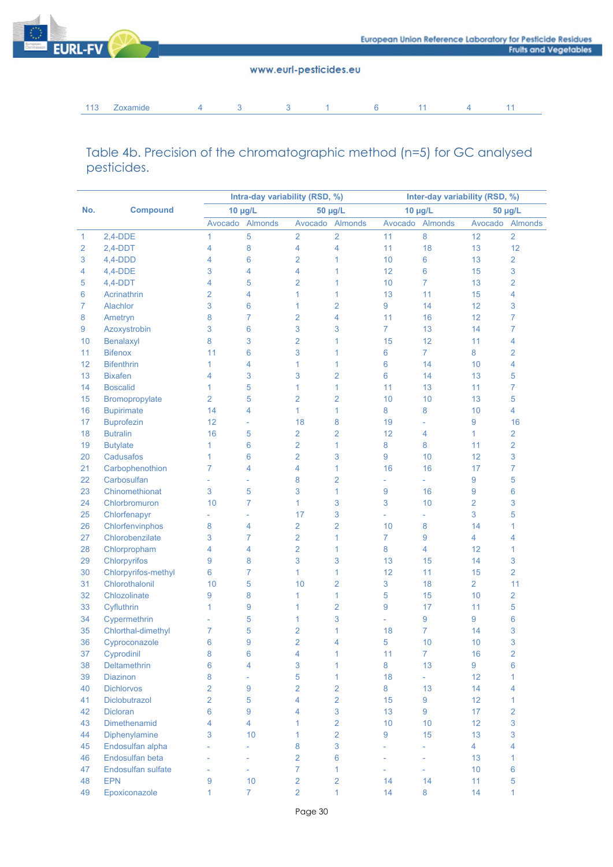

113 Zoxamide 4 3 3 1 6 11 4 11

## Table 4b. Precision of the chromatographic method (n=5) for GC analysed pesticides.

|     |                     |                | Intra-day variability (RSD, %) |                | Inter-day variability (RSD, %) |                          |                     |                |                |  |
|-----|---------------------|----------------|--------------------------------|----------------|--------------------------------|--------------------------|---------------------|----------------|----------------|--|
| No. | <b>Compound</b>     |                | $10 \mu g/L$                   |                | 50 µg/L                        | 10 µg/L                  |                     | 50 µg/L        |                |  |
|     |                     | Avocado        | <b>Almonds</b>                 | Avocado        | Almonds                        | Avocado                  | Almonds             | Avocado        | Almonds        |  |
| 1   | $2,4-DDE$           | 1              | 5                              | $\overline{2}$ | $\overline{2}$                 | 11                       | 8                   | 12             | $\overline{2}$ |  |
| 2   | $2,4-DDT$           | 4              | 8                              | 4              | 4                              | 11                       | 18                  | 13             | 12             |  |
| 3   | $4,4-DDD$           | 4              | 6                              | 2              | 1                              | 10                       | 6                   | 13             | $\overline{2}$ |  |
| 4   | $4,4-DDE$           | 3              | 4                              | 4              | 1                              | 12                       | 6                   | 15             | 3              |  |
| 5   | $4,4-DDT$           | 4              | 5                              | 2              | 1                              | 10                       | $\overline{7}$      | 13             | $\overline{2}$ |  |
| 6   | Acrinathrin         | $\overline{2}$ | 4                              | 1              | 1                              | 13                       | 11                  | 15             | 4              |  |
| 7   | Alachlor            | 3              | 6                              | 1              | $\overline{2}$                 | 9                        | 14                  | 12             | 3              |  |
| 8   | Ametryn             | 8              | $\overline{7}$                 | $\overline{2}$ | 4                              | 11                       | 16                  | 12             | $\overline{7}$ |  |
| 9   | Azoxystrobin        | 3              | 6                              | 3              | 3                              | $\overline{7}$           | 13                  | 14             | $\overline{7}$ |  |
| 10  | Benalaxyl           | 8              | 3                              | $\overline{2}$ | 1                              | 15                       | 12                  | 11             | 4              |  |
| 11  | <b>Bifenox</b>      | 11             | 6                              | 3              | 1                              | 6                        | $\overline{7}$      | 8              | $\overline{2}$ |  |
| 12  | <b>Bifenthrin</b>   | 1              | 4                              | 1              | 1                              | 6                        | 14                  | 10             | 4              |  |
| 13  | <b>Bixafen</b>      | 4              | 3                              | 3              | $\overline{2}$                 | 6                        | 14                  | 13             | 5              |  |
| 14  | <b>Boscalid</b>     | 1              | 5                              | 1              | 1                              | 11                       | 13                  | 11             | $\overline{7}$ |  |
| 15  | Bromopropylate      | $\overline{2}$ | 5                              | $\overline{2}$ | $\overline{2}$                 | 10                       | 10                  | 13             | 5              |  |
| 16  | <b>Bupirimate</b>   | 14             | 4                              | 1              | 1                              | 8                        | 8                   | 10             | 4              |  |
| 17  | <b>Buprofezin</b>   | 12             | $\bar{\phantom{a}}$            | 18             | 8                              | 19                       | $\bar{\phantom{a}}$ | 9              | 16             |  |
| 18  | <b>Butralin</b>     | 16             | 5                              | $\overline{2}$ | $\overline{2}$                 | 12                       | 4                   | 1              | $\overline{2}$ |  |
| 19  | <b>Butylate</b>     | 1              | 6                              | $\overline{2}$ | 1                              | 8                        | 8                   | 11             | $\overline{2}$ |  |
| 20  | Cadusafos           | 1              | 6                              | $\overline{2}$ | 3                              | 9                        | 10                  | 12             | 3              |  |
| 21  | Carbophenothion     | 7              | 4                              | 4              | 1                              | 16                       | 16                  | 17             | $\overline{7}$ |  |
| 22  | Carbosulfan         |                | $\bar{a}$                      | 8              | $\overline{2}$                 | ÷                        | $\equiv$            | 9              | 5              |  |
| 23  | Chinomethionat      | 3              | 5                              | 3              | 1                              | 9                        | 16                  | 9              | 6              |  |
| 24  | Chlorbromuron       | 10             | $\overline{7}$                 | 1              | 3                              | 3                        | 10                  | $\overline{2}$ | 3              |  |
| 25  | Chlorfenapyr        | $\overline{a}$ | $\bar{a}$                      | 17             | 3                              | $\overline{\phantom{a}}$ | $\bar{\phantom{a}}$ | 3              | 5              |  |
| 26  | Chlorfenvinphos     | 8              | 4                              | $\overline{2}$ | $\overline{2}$                 | 10                       | 8                   | 14             | 1              |  |
| 27  | Chlorobenzilate     | 3              | $\overline{7}$                 | $\overline{2}$ | 1                              | $\overline{7}$           | 9                   | $\overline{4}$ | 4              |  |
| 28  | Chlorpropham        | 4              | 4                              | $\overline{2}$ | 1                              | 8                        | $\overline{4}$      | 12             | 1              |  |
| 29  | Chlorpyrifos        | 9              | 8                              | 3              | 3                              | 13                       | 15                  | 14             | 3              |  |
| 30  | Chlorpyrifos-methyl | 6              | $\overline{7}$                 | 1              | 1                              | 12                       | 11                  | 15             | $\overline{2}$ |  |
| 31  | Chlorothalonil      | 10             | 5                              | 10             | $\overline{2}$                 | 3                        | 18                  | $\overline{2}$ | 11             |  |
| 32  | Chlozolinate        | 9              | 8                              | 1              | 1                              | 5                        | 15                  | 10             | $\overline{2}$ |  |
| 33  | Cyfluthrin          | 1              | 9                              | 1              | $\overline{2}$                 | 9                        | 17                  | 11             | 5              |  |
| 34  | Cypermethrin        |                | 5                              | 1              | 3                              | $\overline{\phantom{a}}$ | 9                   | 9              | 6              |  |
| 35  | Chlorthal-dimethyl  | 7              | 5                              | $\overline{2}$ | 1                              | 18                       | 7                   | 14             | 3              |  |
| 36  | Cyproconazole       | 6              | 9                              | $\overline{2}$ | 4                              | 5                        | 10                  | 10             | 3              |  |
| 37  | Cyprodinil          | 8              | 6                              | 4              | 1                              | 11                       | 7                   | 16             | $\overline{2}$ |  |
| 38  | Deltamethrin        | 6              | 4                              | 3              | 1                              | 8                        | 13                  | 9              | 6              |  |
| 39  | <b>Diazinon</b>     | 8              | $\overline{\phantom{a}}$       | 5              | 1                              | 18                       | ÷.                  | 12             | $\mathbf{1}$   |  |
| 40  | <b>Dichlorvos</b>   | $\overline{2}$ | 9                              | $\overline{2}$ | $\overline{2}$                 | 8                        | 13                  | 14             | 4              |  |
| 41  | Diclobutrazol       | $\overline{2}$ | 5                              | 4              | $\overline{2}$                 | 15                       | 9                   | 12             | $\mathbf{1}$   |  |
| 42  | <b>Dicloran</b>     | 6              | 9                              | 4              | $\mathbf{3}$                   | 13                       | 9                   | 17             | $\overline{2}$ |  |
| 43  | Dimethenamid        | 4              | $\overline{4}$                 | 1              | $\overline{2}$                 | 10                       | 10                  | 12             | 3              |  |
| 44  | Diphenylamine       | 3              | 10                             | 1              | $\overline{2}$                 | 9                        | 15                  | 13             | 3              |  |
| 45  | Endosulfan alpha    |                | $\overline{\phantom{a}}$       | 8              | $\mathbf{3}$                   | L,                       | $\equiv$            | $\overline{4}$ | 4              |  |
| 46  | Endosulfan beta     | L              | ÷,                             | $\overline{2}$ | 6                              | ÷,                       | L,                  | 13             | $\mathbf{1}$   |  |
| 47  | Endosulfan sulfate  | L              | L,                             | $\overline{7}$ | 1                              |                          | L,                  | 10             | 6              |  |
| 48  | <b>EPN</b>          | 9              | 10                             | $\overline{2}$ | $\overline{2}$                 | 14                       | 14                  | 11             | 5              |  |
| 49  | Epoxiconazole       | 1              | $\overline{7}$                 | $\overline{2}$ | 1                              | 14                       | 8                   | 14             | $\mathbf{1}$   |  |
|     |                     |                |                                |                |                                |                          |                     |                |                |  |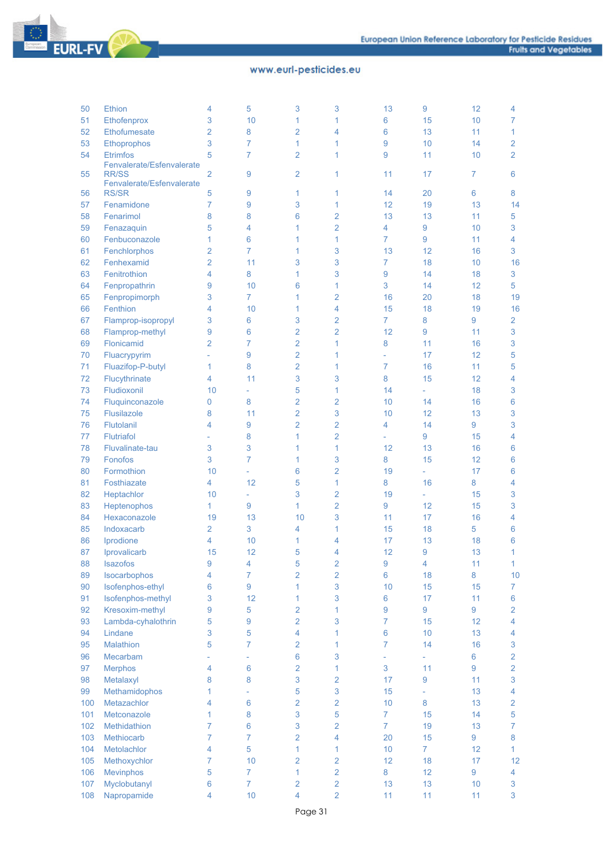

| 50  | Ethion                                    | 4                        | 5              | 3              | 3                        | 13             | 9              | 12              | 4              |
|-----|-------------------------------------------|--------------------------|----------------|----------------|--------------------------|----------------|----------------|-----------------|----------------|
| 51  | Ethofenprox                               | 3                        | 10             | 1              | 1                        | 6              | 15             | 10 <sup>1</sup> | 7              |
| 52  | Ethofumesate                              | $\overline{2}$           | 8              | 2              | 4                        | 6              | 13             | 11              | $\mathbf{1}$   |
| 53  | Ethoprophos                               | 3                        | 7              | 1              | 1                        | 9              | 10             | 14              | $\overline{2}$ |
| 54  | <b>Etrimfos</b>                           | 5                        | 7              | $\overline{2}$ | 1                        | 9              | 11             | 10              | $\overline{2}$ |
| 55  | Fenvalerate/Esfenvalerate<br><b>RR/SS</b> | $\overline{2}$           | 9              | 2              | 1                        | 11             | 17             | 7               | 6              |
|     | Fenvalerate/Esfenvalerate                 |                          |                |                |                          |                |                |                 |                |
| 56  | <b>RS/SR</b>                              | 5                        | 9              | 1              | 1                        | 14             | 20             | 6               | 8              |
| 57  | Fenamidone                                | 7                        | 9              | 3              | 1                        | 12             | 19             | 13              | 14             |
| 58  | Fenarimol                                 | 8                        | 8              | 6              | 2                        | 13             | 13             | 11              | 5              |
| 59  | Fenazaquin                                | 5                        | 4              | 1              | $\overline{2}$           | 4              | 9              | 10              | 3              |
| 60  | Fenbuconazole                             | 1                        | 6              | 1              | 1                        | 7              | 9              | 11              | 4              |
| 61  | Fenchlorphos                              | $\overline{2}$           | 7              | 1              | 3                        | 13             | 12             | 16              | 3              |
| 62  | Fenhexamid                                | $\overline{2}$           | 11             | 3              | 3                        | $\overline{7}$ | 18             | 10              | 16             |
| 63  | Fenitrothion                              | 4                        | 8              | 1              | 3                        | 9              | 14             | 18              | 3              |
| 64  | Fenpropathrin                             | 9                        | 10             | 6              | 1                        | 3              | 14             | 12              | 5              |
| 65  | Fenpropimorph                             | 3                        | $\overline{7}$ | 1              | 2                        | 16             | 20             | 18              | 19             |
| 66  | Fenthion                                  | 4                        | 10             | 1              | 4                        | 15             | 18             | 19              | 16             |
| 67  | Flamprop-isopropyl                        | 3                        | 6              | 3              | 2                        | $\overline{7}$ | 8              | 9               | $\overline{2}$ |
| 68  | Flamprop-methyl                           | 9                        | 6              | 2              | $\overline{2}$           | 12             | 9              | 11              | 3              |
| 69  | Flonicamid                                | $\overline{2}$           | 7              | 2              | 1                        | 8              | 11             | 16              | 3              |
| 70  | Fluacrypyrim                              |                          | 9              | $\overline{2}$ | 1                        |                | 17             | 12              | 5              |
| 71  | Fluazifop-P-butyl                         | $\mathbf{1}$             | 8              | $\overline{2}$ | 1                        | 7              | 16             | 11              | 5              |
| 72  | Flucythrinate                             | 4                        | 11             | 3              | 3                        | 8              | 15             | 12              | 4              |
| 73  | Fludioxonil                               | 10                       |                | 5              | 1                        | 14             | ÷.             | 18              | 3              |
| 74  | Fluquinconazole                           | 0                        | 8              | 2              | 2                        | 10             | 14             | 16              | 6              |
| 75  | Flusilazole                               | 8                        | 11             | $\overline{2}$ | 3                        | 10             | 12             | 13              | 3              |
| 76  | Flutolanil                                | 4                        | 9              | $\overline{2}$ | $\overline{2}$           | 4              | 14             | 9               | 3              |
| 77  | <b>Flutriafol</b>                         | $\overline{\phantom{a}}$ | 8              | 1              | $\overline{2}$           | $\overline{a}$ | 9              | 15              | 4              |
| 78  | Fluvalinate-tau                           | 3                        | 3              | 1              | 1                        | 12             | 13             | 16              | 6              |
| 79  | Fonofos                                   | 3                        | $\overline{7}$ | 1              | 3                        | 8              | 15             | 12              | 6              |
| 80  | Formothion                                | 10                       |                | 6              | $\overline{2}$           | 19             | ÷.             | 17              | 6              |
| 81  | Fosthiazate                               | 4                        | 12             | 5              | 1                        | 8              | 16             | 8               | 4              |
| 82  | Heptachlor                                | 10                       | L,             | 3              | 2                        | 19             | ÷.             | 15              | 3              |
| 83  | Heptenophos                               | 1                        | 9              | 1              | $\overline{2}$           | 9              | 12             | 15              | 3              |
| 84  | Hexaconazole                              | 19                       | 13             | 10             | 3                        | 11             | 17             | 16              | 4              |
| 85  | Indoxacarb                                | 2                        | 3              | 4              | 1                        | 15             | 18             | 5               | 6              |
| 86  | Iprodione                                 | 4                        | 10             | 1              | 4                        | 17             | 13             | 18              | 6              |
| 87  | Iprovalicarb                              | 15                       | 12             | 5              | 4                        | 12             | 9              | 13              | 1              |
| 88  | Isazofos                                  | 9                        | 4              | 5              | $\overline{\mathcal{L}}$ | 9              | 4              | 11              | 1              |
| 89  | Isocarbophos                              | 4                        | 7              | 2              | $\overline{2}$           | 6              | 18             | 8               | 10             |
| 90  | Isofenphos-ethyl                          | 6                        | 9              | 1              | 3                        | 10             | 15             | 15              | 7.             |
| 91  | Isofenphos-methyl                         | 3                        | 12             | 1              | 3                        | 6              | 17             | 11              | 6              |
| 92  | Kresoxim-methyl                           | 9                        | 5              | 2              | 1                        | 9              | 9              | 9               | $\overline{2}$ |
| 93  | Lambda-cyhalothrin                        | 5                        | 9              | 2              | 3                        | $\overline{7}$ | 15             | 12              | $\overline{4}$ |
| 94  | Lindane                                   | 3                        | 5              | 4              | 1                        | 6              | 10             | 13              | 4              |
| 95  | Malathion                                 | 5                        | 7              | 2              | 1                        | 7              | 14             | 16              | 3              |
| 96  | Mecarbam                                  |                          |                | 6              | 3                        |                |                | 6               | $\overline{2}$ |
| 97  | <b>Merphos</b>                            | 4                        | 6              | 2              | 1                        | 3              | 11             | 9               | $\overline{2}$ |
| 98  | Metalaxyl                                 | 8                        | 8              | 3              | 2                        | 17             | 9              | 11              | 3              |
| 99  | Methamidophos                             | 1                        |                | 5              | 3                        | 15             |                | 13              | 4              |
| 100 | Metazachlor                               | 4                        | 6              | 2              | $\overline{2}$           | 10             | 8              | 13              | 2              |
| 101 | Metconazole                               | 1                        | 8              | 3              | 5                        | $\overline{7}$ | 15             | 14              | 5              |
| 102 | Methidathion                              | 7                        | 6              | 3              | $\overline{2}$           | $\overline{7}$ | 19             | 13              | $\overline{7}$ |
| 103 | Methiocarb                                | $\overline{7}$           | 7              | 2              | 4                        | 20             | 15             | 9               | 8              |
| 104 | Metolachlor                               | 4                        | 5              | 1              | 1                        | 10             | $\overline{7}$ | 12              | 1              |
| 105 | Methoxychlor                              | 7                        | 10             | 2              | 2                        | 12             | 18             | 17              | 12             |
| 106 | <b>Mevinphos</b>                          | 5                        | 7              | 1              | $\overline{2}$           | 8              | 12             | 9               | 4              |
| 107 | Myclobutanyl                              | 6                        | $\overline{7}$ | 2              | $\overline{2}$           | 13             | 13             | 10              | 3              |
| 108 | Napropamide                               | 4                        | 10             | 4              | $\overline{2}$           | 11             | 11             | 11              | 3              |
|     |                                           |                          |                |                |                          |                |                |                 |                |